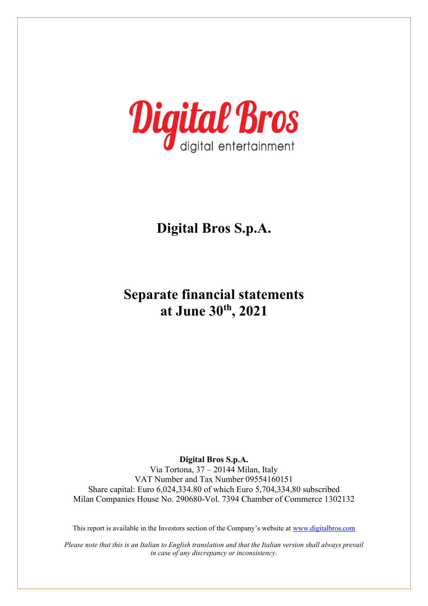

# **Separate financial statements at June 30th, 2021**

**Digital Bros S.p.A.**  Via Tortona, 37 – 20144 Milan, Italy VAT Number and Tax Number 09554160151 Share capital: Euro 6,024,334.80 of which Euro 5,704,334,80 subscribed Milan Companies House No. 290680-Vol. 7394 Chamber of Commerce 1302132

This report is available in the Investors section of the Company's website at [www.digitalbros.com](http://www.digitalbros.com/)

*Please note that this is an Italian to English translation and that the Italian version shall always prevail in case of any discrepancy or inconsistency.*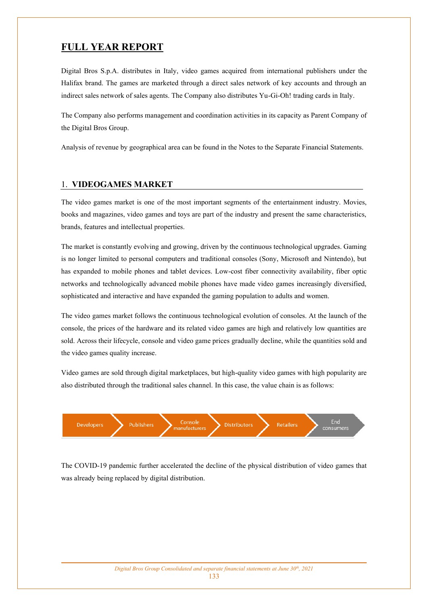## **FULL YEAR REPORT**

Digital Bros S.p.A. distributes in Italy, video games acquired from international publishers under the Halifax brand. The games are marketed through a direct sales network of key accounts and through an indirect sales network of sales agents. The Company also distributes Yu-Gi-Oh! trading cards in Italy.

The Company also performs management and coordination activities in its capacity as Parent Company of the Digital Bros Group.

Analysis of revenue by geographical area can be found in the Notes to the Separate Financial Statements.

### 1. **VIDEOGAMES MARKET**

The video games market is one of the most important segments of the entertainment industry. Movies, books and magazines, video games and toys are part of the industry and present the same characteristics, brands, features and intellectual properties.

The market is constantly evolving and growing, driven by the continuous technological upgrades. Gaming is no longer limited to personal computers and traditional consoles (Sony, Microsoft and Nintendo), but has expanded to mobile phones and tablet devices. Low-cost fiber connectivity availability, fiber optic networks and technologically advanced mobile phones have made video games increasingly diversified, sophisticated and interactive and have expanded the gaming population to adults and women.

The video games market follows the continuous technological evolution of consoles. At the launch of the console, the prices of the hardware and its related video games are high and relatively low quantities are sold. Across their lifecycle, console and video game prices gradually decline, while the quantities sold and the video games quality increase.

Video games are sold through digital marketplaces, but high-quality video games with high popularity are also distributed through the traditional sales channel. In this case, the value chain is as follows:



The COVID-19 pandemic further accelerated the decline of the physical distribution of video games that was already being replaced by digital distribution.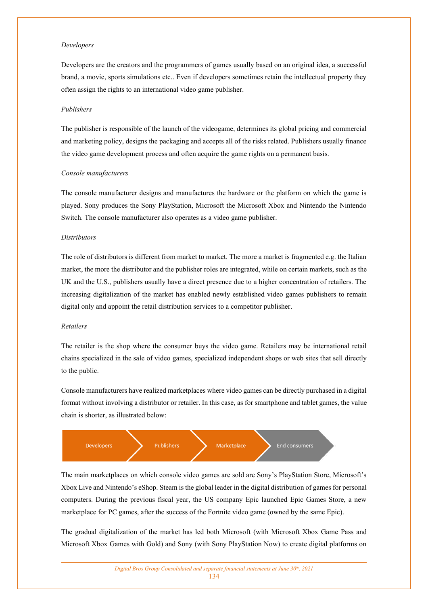#### *Developers*

Developers are the creators and the programmers of games usually based on an original idea, a successful brand, a movie, sports simulations etc.. Even if developers sometimes retain the intellectual property they often assign the rights to an international video game publisher.

#### *Publishers*

The publisher is responsible of the launch of the videogame, determines its global pricing and commercial and marketing policy, designs the packaging and accepts all of the risks related. Publishers usually finance the video game development process and often acquire the game rights on a permanent basis.

#### *Console manufacturers*

The console manufacturer designs and manufactures the hardware or the platform on which the game is played. Sony produces the Sony PlayStation, Microsoft the Microsoft Xbox and Nintendo the Nintendo Switch. The console manufacturer also operates as a video game publisher.

#### *Distributors*

The role of distributors is different from market to market. The more a market is fragmented e.g. the Italian market, the more the distributor and the publisher roles are integrated, while on certain markets, such as the UK and the U.S., publishers usually have a direct presence due to a higher concentration of retailers. The increasing digitalization of the market has enabled newly established video games publishers to remain digital only and appoint the retail distribution services to a competitor publisher.

#### *Retailers*

The retailer is the shop where the consumer buys the video game. Retailers may be international retail chains specialized in the sale of video games, specialized independent shops or web sites that sell directly to the public.

Console manufacturers have realized marketplaces where video games can be directly purchased in a digital format without involving a distributor or retailer. In this case, as for smartphone and tablet games, the value chain is shorter, as illustrated below:



The main marketplaces on which console video games are sold are Sony's PlayStation Store, Microsoft's Xbox Live and Nintendo's eShop. Steam is the global leader in the digital distribution of games for personal computers. During the previous fiscal year, the US company Epic launched Epic Games Store, a new marketplace for PC games, after the success of the Fortnite video game (owned by the same Epic).

The gradual digitalization of the market has led both Microsoft (with Microsoft Xbox Game Pass and Microsoft Xbox Games with Gold) and Sony (with Sony PlayStation Now) to create digital platforms on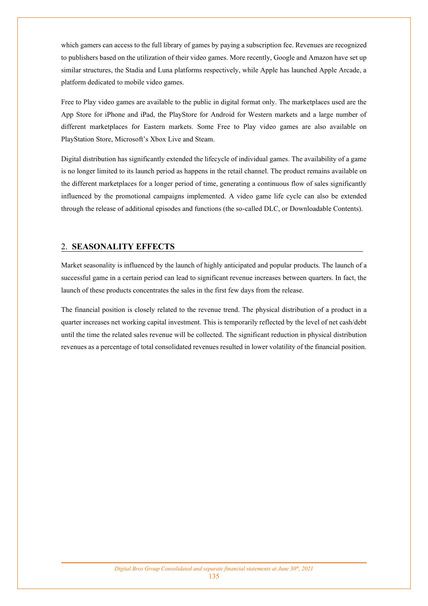which gamers can access to the full library of games by paying a subscription fee. Revenues are recognized to publishers based on the utilization of their video games. More recently, Google and Amazon have set up similar structures, the Stadia and Luna platforms respectively, while Apple has launched Apple Arcade, a platform dedicated to mobile video games.

Free to Play video games are available to the public in digital format only. The marketplaces used are the App Store for iPhone and iPad, the PlayStore for Android for Western markets and a large number of different marketplaces for Eastern markets. Some Free to Play video games are also available on PlayStation Store, Microsoft's Xbox Live and Steam.

Digital distribution has significantly extended the lifecycle of individual games. The availability of a game is no longer limited to its launch period as happens in the retail channel. The product remains available on the different marketplaces for a longer period of time, generating a continuous flow of sales significantly influenced by the promotional campaigns implemented. A video game life cycle can also be extended through the release of additional episodes and functions (the so-called DLC, or Downloadable Contents).

## 2. **SEASONALITY EFFECTS**

Market seasonality is influenced by the launch of highly anticipated and popular products. The launch of a successful game in a certain period can lead to significant revenue increases between quarters. In fact, the launch of these products concentrates the sales in the first few days from the release.

The financial position is closely related to the revenue trend. The physical distribution of a product in a quarter increases net working capital investment. This is temporarily reflected by the level of net cash/debt until the time the related sales revenue will be collected. The significant reduction in physical distribution revenues as a percentage of total consolidated revenues resulted in lower volatility of the financial position.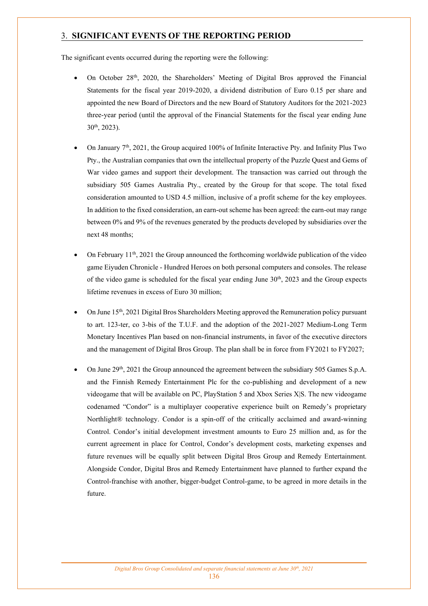## 3. **SIGNIFICANT EVENTS OF THE REPORTING PERIOD**

The significant events occurred during the reporting were the following:

- On October 28th, 2020, the Shareholders' Meeting of Digital Bros approved the Financial Statements for the fiscal year 2019-2020, a dividend distribution of Euro 0.15 per share and appointed the new Board of Directors and the new Board of Statutory Auditors for the 2021-2023 three-year period (until the approval of the Financial Statements for the fiscal year ending June 30th, 2023).
- On January  $7<sup>th</sup>$ , 2021, the Group acquired 100% of Infinite Interactive Pty. and Infinity Plus Two Pty., the Australian companies that own the intellectual property of the Puzzle Quest and Gems of War video games and support their development. The transaction was carried out through the subsidiary 505 Games Australia Pty., created by the Group for that scope. The total fixed consideration amounted to USD 4.5 million, inclusive of a profit scheme for the key employees. In addition to the fixed consideration, an earn-out scheme has been agreed: the earn-out may range between 0% and 9% of the revenues generated by the products developed by subsidiaries over the next 48 months;
- On February  $11<sup>th</sup>$ , 2021 the Group announced the forthcoming worldwide publication of the video game Eiyuden Chronicle - Hundred Heroes on both personal computers and consoles. The release of the video game is scheduled for the fiscal year ending June 30<sup>th</sup>, 2023 and the Group expects lifetime revenues in excess of Euro 30 million;
- On June  $15<sup>th</sup>$ , 2021 Digital Bros Shareholders Meeting approved the Remuneration policy pursuant to art. 123-ter, co 3-bis of the T.U.F. and the adoption of the 2021-2027 Medium-Long Term Monetary Incentives Plan based on non-financial instruments, in favor of the executive directors and the management of Digital Bros Group. The plan shall be in force from FY2021 to FY2027;
- On June  $29<sup>th</sup>$ , 2021 the Group announced the agreement between the subsidiary 505 Games S.p.A. and the Finnish Remedy Entertainment Plc for the co-publishing and development of a new videogame that will be available on PC, PlayStation 5 and Xbox Series X|S. The new videogame codenamed "Condor" is a multiplayer cooperative experience built on Remedy's proprietary Northlight® technology. Condor is a spin-off of the critically acclaimed and award-winning Control. Condor's initial development investment amounts to Euro 25 million and, as for the current agreement in place for Control, Condor's development costs, marketing expenses and future revenues will be equally split between Digital Bros Group and Remedy Entertainment. Alongside Condor, Digital Bros and Remedy Entertainment have planned to further expand the Control-franchise with another, bigger-budget Control-game, to be agreed in more details in the future.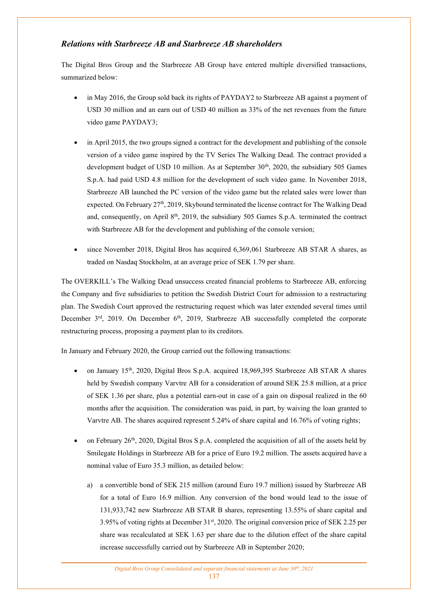## *Relations with Starbreeze AB and Starbreeze AB shareholders*

The Digital Bros Group and the Starbreeze AB Group have entered multiple diversified transactions, summarized below:

- in May 2016, the Group sold back its rights of PAYDAY2 to Starbreeze AB against a payment of USD 30 million and an earn out of USD 40 million as 33% of the net revenues from the future video game PAYDAY3;
- in April 2015, the two groups signed a contract for the development and publishing of the console version of a video game inspired by the TV Series The Walking Dead. The contract provided a development budget of USD 10 million. As at September  $30<sup>th</sup>$ , 2020, the subsidiary 505 Games S.p.A. had paid USD 4.8 million for the development of such video game. In November 2018, Starbreeze AB launched the PC version of the video game but the related sales were lower than expected. On February  $27<sup>th</sup>$ , 2019, Skybound terminated the license contract for The Walking Dead and, consequently, on April 8<sup>th</sup>, 2019, the subsidiary 505 Games S.p.A. terminated the contract with Starbreeze AB for the development and publishing of the console version;
- since November 2018, Digital Bros has acquired 6,369,061 Starbreeze AB STAR A shares, as traded on Nasdaq Stockholm, at an average price of SEK 1.79 per share.

The OVERKILL's The Walking Dead unsuccess created financial problems to Starbreeze AB, enforcing the Company and five subsidiaries to petition the Swedish District Court for admission to a restructuring plan. The Swedish Court approved the restructuring request which was later extended several times until December 3<sup>rd</sup>, 2019. On December 6<sup>th</sup>, 2019, Starbreeze AB successfully completed the corporate restructuring process, proposing a payment plan to its creditors.

In January and February 2020, the Group carried out the following transactions:

- on January 15th, 2020, Digital Bros S.p.A. acquired 18,969,395 Starbreeze AB STAR A shares held by Swedish company Varvtre AB for a consideration of around SEK 25.8 million, at a price of SEK 1.36 per share, plus a potential earn-out in case of a gain on disposal realized in the 60 months after the acquisition. The consideration was paid, in part, by waiving the loan granted to Varvtre AB. The shares acquired represent 5.24% of share capital and 16.76% of voting rights;
- on February  $26<sup>th</sup>$ , 2020, Digital Bros S.p.A. completed the acquisition of all of the assets held by Smilegate Holdings in Starbreeze AB for a price of Euro 19.2 million. The assets acquired have a nominal value of Euro 35.3 million, as detailed below:
	- a) a convertible bond of SEK 215 million (around Euro 19.7 million) issued by Starbreeze AB for a total of Euro 16.9 million. Any conversion of the bond would lead to the issue of 131,933,742 new Starbreeze AB STAR B shares, representing 13.55% of share capital and 3.95% of voting rights at December 31st, 2020. The original conversion price of SEK 2.25 per share was recalculated at SEK 1.63 per share due to the dilution effect of the share capital increase successfully carried out by Starbreeze AB in September 2020;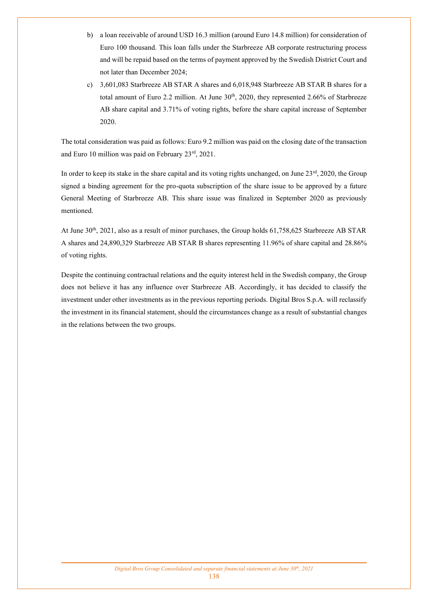- b) a loan receivable of around USD 16.3 million (around Euro 14.8 million) for consideration of Euro 100 thousand. This loan falls under the Starbreeze AB corporate restructuring process and will be repaid based on the terms of payment approved by the Swedish District Court and not later than December 2024;
- c) 3,601,083 Starbreeze AB STAR A shares and 6,018,948 Starbreeze AB STAR B shares for a total amount of Euro 2.2 million. At June  $30<sup>th</sup>$ , 2020, they represented 2.66% of Starbreeze AB share capital and 3.71% of voting rights, before the share capital increase of September 2020.

The total consideration was paid as follows: Euro 9.2 million was paid on the closing date of the transaction and Euro 10 million was paid on February 23rd, 2021.

In order to keep its stake in the share capital and its voting rights unchanged, on June  $23<sup>rd</sup>$ , 2020, the Group signed a binding agreement for the pro-quota subscription of the share issue to be approved by a future General Meeting of Starbreeze AB. This share issue was finalized in September 2020 as previously mentioned.

At June 30<sup>th</sup>, 2021, also as a result of minor purchases, the Group holds 61,758,625 Starbreeze AB STAR A shares and 24,890,329 Starbreeze AB STAR B shares representing 11.96% of share capital and 28.86% of voting rights.

Despite the continuing contractual relations and the equity interest held in the Swedish company, the Group does not believe it has any influence over Starbreeze AB. Accordingly, it has decided to classify the investment under other investments as in the previous reporting periods. Digital Bros S.p.A. will reclassify the investment in its financial statement, should the circumstances change as a result of substantial changes in the relations between the two groups.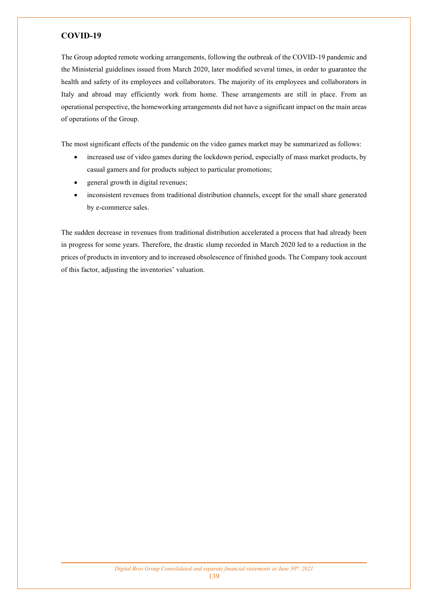## **COVID-19**

The Group adopted remote working arrangements, following the outbreak of the COVID-19 pandemic and the Ministerial guidelines issued from March 2020, later modified several times, in order to guarantee the health and safety of its employees and collaborators. The majority of its employees and collaborators in Italy and abroad may efficiently work from home. These arrangements are still in place. From an operational perspective, the homeworking arrangements did not have a significant impact on the main areas of operations of the Group.

The most significant effects of the pandemic on the video games market may be summarized as follows:

- increased use of video games during the lockdown period, especially of mass market products, by casual gamers and for products subject to particular promotions;
- general growth in digital revenues;
- inconsistent revenues from traditional distribution channels, except for the small share generated by e-commerce sales.

The sudden decrease in revenues from traditional distribution accelerated a process that had already been in progress for some years. Therefore, the drastic slump recorded in March 2020 led to a reduction in the prices of products in inventory and to increased obsolescence of finished goods. The Company took account of this factor, adjusting the inventories' valuation.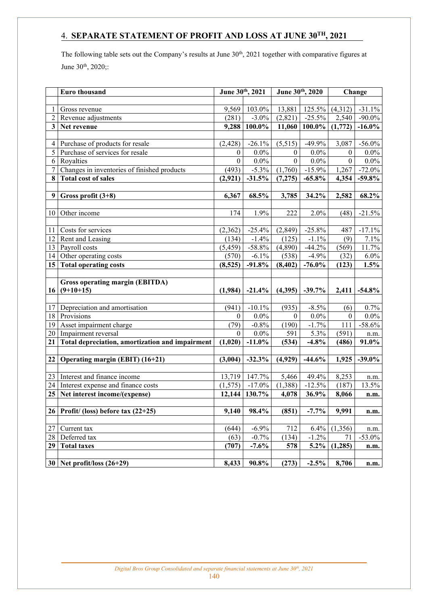## 4. **SEPARATE STATEMENT OF PROFIT AND LOSS AT JUNE 30TH, 2021**

The following table sets out the Company's results at June 30<sup>th</sup>, 2021 together with comparative figures at June 30<sup>th</sup>, 2020;:

|                | Euro thousand                                   | June 30th, 2021  |           | June 30th, 2020  |           |                  | Change    |  |
|----------------|-------------------------------------------------|------------------|-----------|------------------|-----------|------------------|-----------|--|
|                |                                                 |                  |           |                  |           |                  |           |  |
| 1              | Gross revenue                                   | 9,569            | 103.0%    | 13,881           | 125.5%    | (4,312)          | $-31.1%$  |  |
| $\overline{2}$ | Revenue adjustments                             | (281)            | $-3.0\%$  | (2,821)          | $-25.5%$  | 2,540            | $-90.0\%$ |  |
|                | 3 Net revenue                                   | 9,288            | $100.0\%$ | 11,060           | 100.0%    | (1,772)          | $-16.0\%$ |  |
|                |                                                 |                  |           |                  |           |                  |           |  |
| 4              | Purchase of products for resale                 | (2, 428)         | $-26.1%$  | (5,515)          | $-49.9%$  | 3,087            | $-56.0\%$ |  |
| 5              | Purchase of services for resale                 | $\boldsymbol{0}$ | $0.0\%$   | $\boldsymbol{0}$ | $0.0\%$   | $\boldsymbol{0}$ | $0.0\%$   |  |
| 6              | Royalties                                       | $\boldsymbol{0}$ | $0.0\%$   | $\boldsymbol{0}$ | $0.0\%$   | $\boldsymbol{0}$ | $0.0\%$   |  |
| 7              | Changes in inventories of finished products     | (493)            | $-5.3\%$  | (1,760)          | $-15.9%$  | 1,267            | $-72.0\%$ |  |
|                | 8 Total cost of sales                           | (2,921)          | $-31.5%$  | (7,275)          | $-65.8%$  | 4,354            | $-59.8%$  |  |
|                |                                                 |                  |           |                  |           |                  |           |  |
| 9 <sup>1</sup> | Gross profit (3+8)                              | 6,367            | 68.5%     | 3,785            | 34.2%     | 2,582            | 68.2%     |  |
|                |                                                 |                  |           |                  |           |                  |           |  |
| 10             | Other income                                    | 174              | 1.9%      | 222              | 2.0%      | (48)             | $-21.5%$  |  |
|                |                                                 |                  |           |                  |           |                  |           |  |
| 11             | Costs for services                              | (2,362)          | $-25.4%$  | (2, 849)         | $-25.8%$  | 487              | $-17.1%$  |  |
| 12             | Rent and Leasing                                | (134)            | $-1.4%$   | (125)            | $-1.1\%$  | (9)              | 7.1%      |  |
| 13             | Payroll costs                                   | (5, 459)         | $-58.8%$  | (4,890)          | $-44.2%$  | (569)            | 11.7%     |  |
| 14             | Other operating costs                           | (570)            | $-6.1\%$  | (538)            | $-4.9\%$  | (32)             | $6.0\%$   |  |
|                | 15 Total operating costs                        | (8,525)          | $-91.8%$  | (8, 402)         | $-76.0\%$ | (123)            | 1.5%      |  |
|                |                                                 |                  |           |                  |           |                  |           |  |
|                | <b>Gross operating margin (EBITDA)</b>          |                  |           |                  |           |                  |           |  |
|                | $16   (9+10+15)$                                | (1,984)          | $-21.4%$  | (4,395)          | $-39.7%$  | 2,411            | $-54.8\%$ |  |
|                |                                                 |                  |           |                  |           |                  |           |  |
| 17             | Depreciation and amortisation                   | (941)            | $-10.1%$  | (935)            | $-8.5\%$  | (6)              | 0.7%      |  |
|                | 18 Provisions                                   | $\theta$         | $0.0\%$   | $\mathbf{0}$     | $0.0\%$   | $\mathbf{0}$     | $0.0\%$   |  |
| 19             | Asset impairment charge                         | (79)             | $-0.8\%$  | (190)            | $-1.7%$   | 111              | $-58.6%$  |  |
| 20             | Impairment reversal                             | $\theta$         | $0.0\%$   | 591              | 5.3%      | (591)            | n.m.      |  |
| 21             | Total depreciation, amortization and impairment | (1,020)          | $-11.0\%$ | (534)            | $-4.8%$   | (486)            | 91.0%     |  |
|                |                                                 |                  |           |                  |           |                  |           |  |
|                | 22 Operating margin (EBIT) (16+21)              | (3,004)          | $-32.3%$  | (4,929)          | $-44.6%$  | 1,925            | $-39.0%$  |  |
|                |                                                 |                  |           |                  |           |                  |           |  |
| 23             | Interest and finance income                     | 13,719           | 147.7%    | 5,466            | 49.4%     | 8,253            | n.m.      |  |
| 24             | Interest expense and finance costs              | (1, 575)         | $-17.0\%$ | (1,388)          | $-12.5%$  | (187)            | 13.5%     |  |
|                | 25 Net interest income/(expense)                | 12,144           | 130.7%    | 4,078            | 36.9%     | 8,066            | n.m.      |  |
|                |                                                 |                  |           |                  |           |                  |           |  |
|                | $26$ Profit/ (loss) before tax (22+25)          | 9,140            | 98.4%     | (851)            | $-7.7%$   | 9,991            | n.m.      |  |
|                |                                                 |                  |           |                  |           |                  |           |  |
| 27             | Current tax                                     | (644)            | $-6.9%$   | 712              | 6.4%      | (1,356)          | n.m.      |  |
| 28             | Deferred tax                                    | (63)             | $-0.7%$   | (134)            | $-1.2%$   | 71               | $-53.0%$  |  |
|                | 29 Total taxes                                  | (707)            | $-7.6%$   | 578              | $5.2\%$   | (1,285)          | n.m.      |  |
|                | $30$ Net profit/loss $(26+29)$                  |                  |           |                  |           |                  |           |  |
|                |                                                 | 8,433            | 90.8%     | (273)            | $-2.5%$   | 8,706            | n.m.      |  |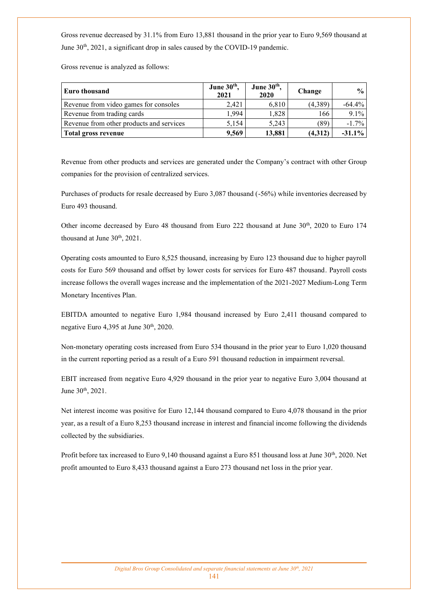Gross revenue decreased by 31.1% from Euro 13,881 thousand in the prior year to Euro 9,569 thousand at June 30<sup>th</sup>, 2021, a significant drop in sales caused by the COVID-19 pandemic.

Gross revenue is analyzed as follows:

| <b>Euro thousand</b>                     | June 30 <sup>th</sup> ,<br>2021 | June 30 <sup>th</sup> ,<br>2020 | Change  | $\frac{1}{2}$ |
|------------------------------------------|---------------------------------|---------------------------------|---------|---------------|
| Revenue from video games for consoles    | 2,421                           | 6,810                           | (4,389) | $-64.4%$      |
| Revenue from trading cards               | 1.994                           | 1.828                           | 166     | 9.1%          |
| Revenue from other products and services | 5.154                           | 5.243                           | (89)    | $-1.7\%$      |
| Total gross revenue                      | 9,569                           | 13,881                          | (4,312) | $-31.1\%$     |

Revenue from other products and services are generated under the Company's contract with other Group companies for the provision of centralized services.

Purchases of products for resale decreased by Euro 3,087 thousand (-56%) while inventories decreased by Euro 493 thousand.

Other income decreased by Euro 48 thousand from Euro 222 thousand at June  $30<sup>th</sup>$ , 2020 to Euro 174 thousand at June  $30<sup>th</sup>$ ,  $2021$ .

Operating costs amounted to Euro 8,525 thousand, increasing by Euro 123 thousand due to higher payroll costs for Euro 569 thousand and offset by lower costs for services for Euro 487 thousand. Payroll costs increase follows the overall wages increase and the implementation of the 2021-2027 Medium-Long Term Monetary Incentives Plan.

EBITDA amounted to negative Euro 1,984 thousand increased by Euro 2,411 thousand compared to negative Euro  $4,395$  at June  $30<sup>th</sup>$ ,  $2020$ .

Non-monetary operating costs increased from Euro 534 thousand in the prior year to Euro 1,020 thousand in the current reporting period as a result of a Euro 591 thousand reduction in impairment reversal.

EBIT increased from negative Euro 4,929 thousand in the prior year to negative Euro 3,004 thousand at June 30th, 2021.

Net interest income was positive for Euro 12,144 thousand compared to Euro 4,078 thousand in the prior year, as a result of a Euro 8,253 thousand increase in interest and financial income following the dividends collected by the subsidiaries.

Profit before tax increased to Euro 9,140 thousand against a Euro 851 thousand loss at June 30<sup>th</sup>, 2020. Net profit amounted to Euro 8,433 thousand against a Euro 273 thousand net loss in the prior year.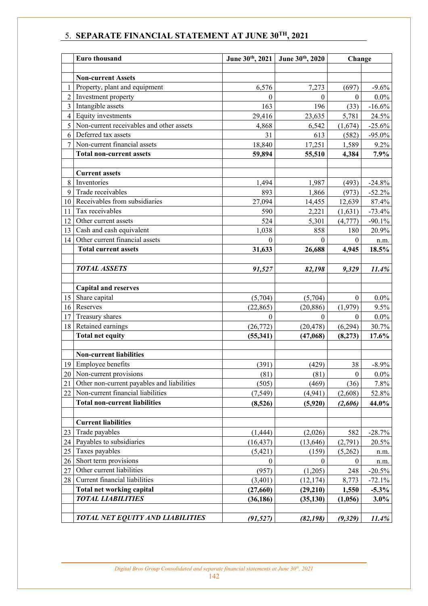## 5. **SEPARATE FINANCIAL STATEMENT AT JUNE 30TH, 2021**

|                | Euro thousand                              | June 30th, 2021  | June 30th, 2020 | Change           |           |
|----------------|--------------------------------------------|------------------|-----------------|------------------|-----------|
|                |                                            |                  |                 |                  |           |
|                | <b>Non-current Assets</b>                  |                  |                 |                  |           |
| 1              | Property, plant and equipment              | 6,576            | 7,273           | (697)            | $-9.6%$   |
| $\overline{2}$ | Investment property                        | $\theta$         | $\theta$        | $\boldsymbol{0}$ | $0.0\%$   |
| $\overline{3}$ | Intangible assets                          | 163              | 196             | (33)             | $-16.6%$  |
| $\overline{4}$ | Equity investments                         | 29,416           | 23,635          | 5,781            | 24.5%     |
| 5              | Non-current receivables and other assets   | 4,868            | 6,542           | (1,674)          | $-25.6%$  |
| 6              | Deferred tax assets                        | 31               | 613             | (582)            | $-95.0\%$ |
| 7              | Non-current financial assets               | 18,840           | 17,251          | 1,589            | 9.2%      |
|                | <b>Total non-current assets</b>            | 59,894           | 55,510          | 4,384            | 7.9%      |
|                |                                            |                  |                 |                  |           |
|                | <b>Current assets</b>                      |                  |                 |                  |           |
| 8              | Inventories                                | 1,494            | 1,987           | (493)            | $-24.8%$  |
| 9              | Trade receivables                          | 893              | 1,866           | (973)            | $-52.2%$  |
| 10             | Receivables from subsidiaries              | 27,094           | 14,455          | 12,639           | 87.4%     |
| 11             | Tax receivables                            | 590              | 2,221           | (1,631)          | $-73.4%$  |
| 12             | Other current assets                       | 524              | 5,301           | (4, 777)         | $-90.1%$  |
| 13             | Cash and cash equivalent                   | 1,038            | 858             | 180              | 20.9%     |
| 14             | Other current financial assets             | $\mathbf{0}$     | $\theta$        | $\boldsymbol{0}$ | n.m.      |
|                | <b>Total current assets</b>                | 31,633           | 26,688          | 4,945            | 18.5%     |
|                |                                            |                  |                 |                  |           |
|                | <b>TOTAL ASSETS</b>                        | 91,527           | 82,198          | 9,329            | 11.4%     |
|                |                                            |                  |                 |                  |           |
|                | <b>Capital and reserves</b>                |                  |                 |                  |           |
| 15             | Share capital                              | (5,704)          | (5,704)         | $\boldsymbol{0}$ | $0.0\%$   |
| 16             | Reserves                                   | (22, 865)        | (20, 886)       | (1,979)          | 9.5%      |
| 17             | Treasury shares                            | $\theta$         | $\theta$        | $\theta$         | $0.0\%$   |
| 18             | Retained earnings                          | (26, 772)        | (20, 478)       | (6,294)          | 30.7%     |
|                | <b>Total net equity</b>                    | (55, 341)        | (47,068)        | (8,273)          | 17.6%     |
|                |                                            |                  |                 |                  |           |
|                | <b>Non-current liabilities</b>             |                  |                 |                  |           |
|                | 19 Employee benefits                       | (391)            | (429)           | 38               | $-8.9\%$  |
|                | 20 Non-current provisions                  | (81)             | (81)            | $\boldsymbol{0}$ | $0.0\%$   |
| 21             | Other non-current payables and liabilities | (505)            | (469)           | (36)             | 7.8%      |
| 22             | Non-current financial liabilities          | (7, 549)         | (4,941)         | (2,608)          | 52.8%     |
|                | <b>Total non-current liabilities</b>       | (8,526)          | (5,920)         | (2,606)          | 44.0%     |
|                |                                            |                  |                 |                  |           |
|                | <b>Current liabilities</b>                 |                  |                 |                  |           |
| 23             | Trade payables                             | (1, 444)         | (2,026)         | 582              | $-28.7%$  |
| 24             | Payables to subsidiaries                   | (16, 437)        | (13, 646)       | (2,791)          | 20.5%     |
| 25             | Taxes payables                             | (5, 421)         | (159)           | (5,262)          | n.m.      |
| 26             | Short term provisions                      | $\boldsymbol{0}$ | $\mathbf{0}$    | $\mathbf{0}$     | n.m.      |
| 27             | Other current liabilities                  | (957)            | (1,205)         | 248              | $-20.5%$  |
| 28             | Current financial liabilities              | (3,401)          | (12, 174)       | 8,773            | $-72.1%$  |
|                | <b>Total net working capital</b>           | (27, 660)        | (29, 210)       | 1,550            | $-5.3\%$  |
|                | <b>TOTAL LIABILITIES</b>                   | (36, 186)        | (35, 130)       | (1,056)          | 3.0%      |
|                |                                            |                  |                 |                  |           |
|                | TOTAL NET EQUITY AND LIABILITIES           | (91, 527)        | (82, 198)       | (9, 329)         | $11.4\%$  |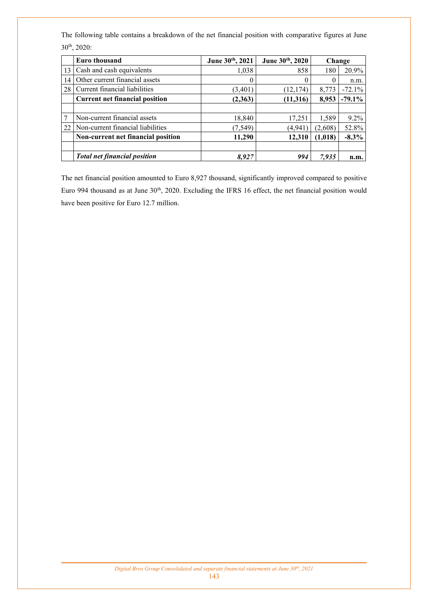The following table contains a breakdown of the net financial position with comparative figures at June 30th, 2020:

|    | Euro thousand                         | June 30th, 2021 | June 30th, 2020 |         | Change   |
|----|---------------------------------------|-----------------|-----------------|---------|----------|
| 13 | Cash and cash equivalents             | 1,038           | 858             | 180     | 20.9%    |
| 14 | Other current financial assets        | $\left($        | $\theta$        |         | n.m.     |
| 28 | Current financial liabilities         | (3,401)         | (12, 174)       | 8,773   | $-72.1%$ |
|    | <b>Current net financial position</b> | (2,363)         | (11,316)        | 8,953   | $-79.1%$ |
|    |                                       |                 |                 |         |          |
|    | Non-current financial assets          | 18,840          | 17,251          | 1,589   | $9.2\%$  |
| 22 | Non-current financial liabilities     | (7, 549)        | (4,941          | (2,608) | 52.8%    |
|    | Non-current net financial position    | 11,290          | 12,310          | (1,018) | $-8.3%$  |
|    | <b>Total net financial position</b>   | 8,927           | 994             | 7,935   | n.m.     |

The net financial position amounted to Euro 8,927 thousand, significantly improved compared to positive Euro 994 thousand as at June 30<sup>th</sup>, 2020. Excluding the IFRS 16 effect, the net financial position would have been positive for Euro 12.7 million.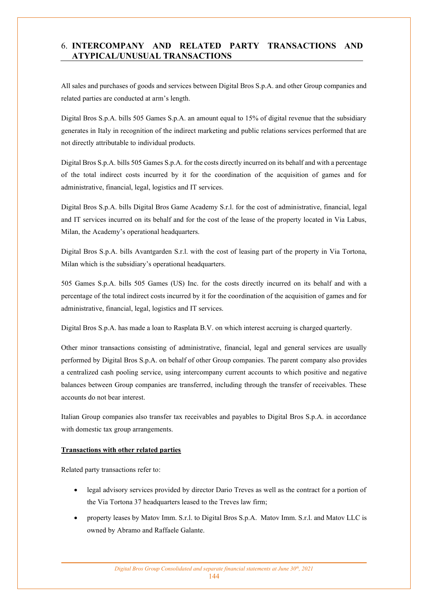## 6. **INTERCOMPANY AND RELATED PARTY TRANSACTIONS AND ATYPICAL/UNUSUAL TRANSACTIONS**

All sales and purchases of goods and services between Digital Bros S.p.A. and other Group companies and related parties are conducted at arm's length.

Digital Bros S.p.A. bills 505 Games S.p.A. an amount equal to 15% of digital revenue that the subsidiary generates in Italy in recognition of the indirect marketing and public relations services performed that are not directly attributable to individual products.

Digital Bros S.p.A. bills 505 Games S.p.A. for the costs directly incurred on its behalf and with a percentage of the total indirect costs incurred by it for the coordination of the acquisition of games and for administrative, financial, legal, logistics and IT services.

Digital Bros S.p.A. bills Digital Bros Game Academy S.r.l. for the cost of administrative, financial, legal and IT services incurred on its behalf and for the cost of the lease of the property located in Via Labus, Milan, the Academy's operational headquarters.

Digital Bros S.p.A. bills Avantgarden S.r.l. with the cost of leasing part of the property in Via Tortona, Milan which is the subsidiary's operational headquarters.

505 Games S.p.A. bills 505 Games (US) Inc. for the costs directly incurred on its behalf and with a percentage of the total indirect costs incurred by it for the coordination of the acquisition of games and for administrative, financial, legal, logistics and IT services.

Digital Bros S.p.A. has made a loan to Rasplata B.V. on which interest accruing is charged quarterly.

Other minor transactions consisting of administrative, financial, legal and general services are usually performed by Digital Bros S.p.A. on behalf of other Group companies. The parent company also provides a centralized cash pooling service, using intercompany current accounts to which positive and negative balances between Group companies are transferred, including through the transfer of receivables. These accounts do not bear interest.

Italian Group companies also transfer tax receivables and payables to Digital Bros S.p.A. in accordance with domestic tax group arrangements.

#### **Transactions with other related parties**

Related party transactions refer to:

- legal advisory services provided by director Dario Treves as well as the contract for a portion of the Via Tortona 37 headquarters leased to the Treves law firm;
- property leases by Matov Imm. S.r.l. to Digital Bros S.p.A. Matov Imm. S.r.l. and Matov LLC is owned by Abramo and Raffaele Galante.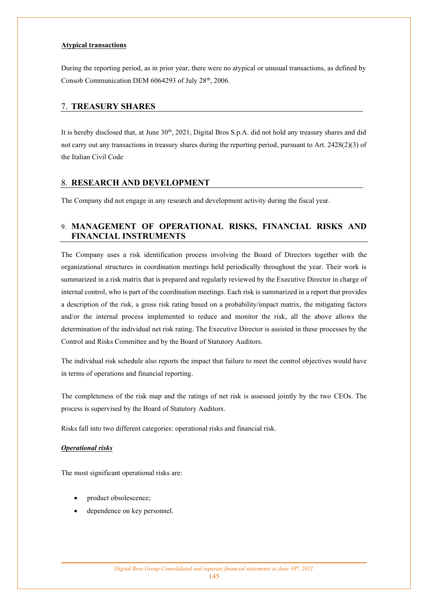#### **Atypical transactions**

During the reporting period, as in prior year, there were no atypical or unusual transactions, as defined by Consob Communication DEM 6064293 of July 28<sup>th</sup>, 2006.

## 7. **TREASURY SHARES**

It is hereby disclosed that, at June  $30<sup>th</sup>$ ,  $2021$ , Digital Bros S.p.A. did not hold any treasury shares and did not carry out any transactions in treasury shares during the reporting period, pursuant to Art. 2428(2)(3) of the Italian Civil Code

## 8. **RESEARCH AND DEVELOPMENT**

The Company did not engage in any research and development activity during the fiscal year.

## 9. **MANAGEMENT OF OPERATIONAL RISKS, FINANCIAL RISKS AND FINANCIAL INSTRUMENTS**

The Company uses a risk identification process involving the Board of Directors together with the organizational structures in coordination meetings held periodically throughout the year. Their work is summarized in a risk matrix that is prepared and regularly reviewed by the Executive Director in charge of internal control, who is part of the coordination meetings. Each risk is summarized in a report that provides a description of the risk, a gross risk rating based on a probability/impact matrix, the mitigating factors and/or the internal process implemented to reduce and monitor the risk, all the above allows the determination of the individual net risk rating. The Executive Director is assisted in these processes by the Control and Risks Committee and by the Board of Statutory Auditors.

The individual risk schedule also reports the impact that failure to meet the control objectives would have in terms of operations and financial reporting.

The completeness of the risk map and the ratings of net risk is assessed jointly by the two CEOs. The process is supervised by the Board of Statutory Auditors.

Risks fall into two different categories: operational risks and financial risk.

#### *Operational risks*

The most significant operational risks are:

- product obsolescence;
- dependence on key personnel.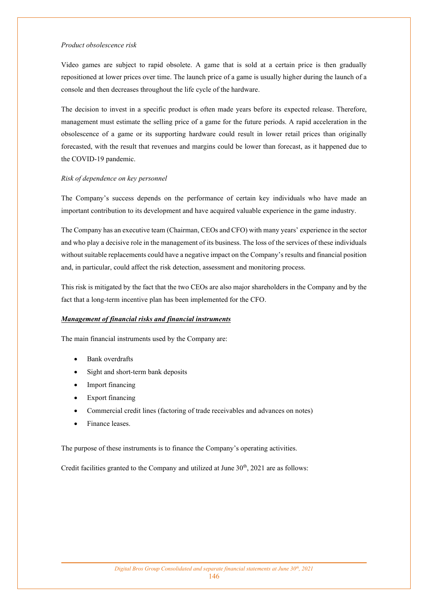#### *Product obsolescence risk*

Video games are subject to rapid obsolete. A game that is sold at a certain price is then gradually repositioned at lower prices over time. The launch price of a game is usually higher during the launch of a console and then decreases throughout the life cycle of the hardware.

The decision to invest in a specific product is often made years before its expected release. Therefore, management must estimate the selling price of a game for the future periods. A rapid acceleration in the obsolescence of a game or its supporting hardware could result in lower retail prices than originally forecasted, with the result that revenues and margins could be lower than forecast, as it happened due to the COVID-19 pandemic.

#### *Risk of dependence on key personnel*

The Company's success depends on the performance of certain key individuals who have made an important contribution to its development and have acquired valuable experience in the game industry.

The Company has an executive team (Chairman, CEOs and CFO) with many years' experience in the sector and who play a decisive role in the management of its business. The loss of the services of these individuals without suitable replacements could have a negative impact on the Company's results and financial position and, in particular, could affect the risk detection, assessment and monitoring process.

This risk is mitigated by the fact that the two CEOs are also major shareholders in the Company and by the fact that a long-term incentive plan has been implemented for the CFO.

#### *Management of financial risks and financial instruments*

The main financial instruments used by the Company are:

- Bank overdrafts
- Sight and short-term bank deposits
- Import financing
- Export financing
- Commercial credit lines (factoring of trade receivables and advances on notes)
- Finance leases.

The purpose of these instruments is to finance the Company's operating activities.

Credit facilities granted to the Company and utilized at June  $30<sup>th</sup>$ ,  $2021$  are as follows: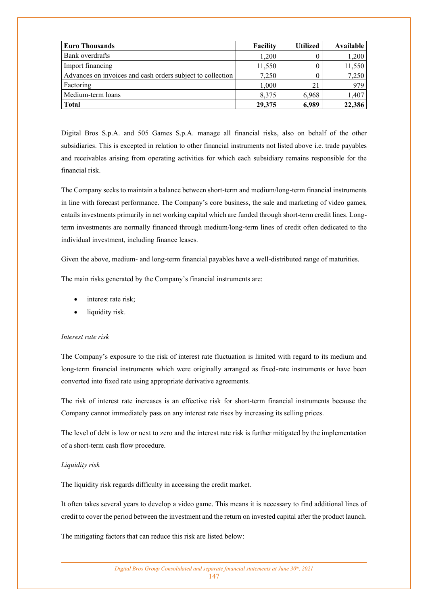| <b>Euro Thousands</b>                                      | Facility | <b>Utilized</b> | Available |
|------------------------------------------------------------|----------|-----------------|-----------|
| Bank overdrafts                                            | 1,200    |                 | 1,200     |
| Import financing                                           | 11,550   |                 | 11,550    |
| Advances on invoices and cash orders subject to collection | 7,250    |                 | 7,250     |
| Factoring                                                  | 1,000    | 21              | 979       |
| Medium-term loans                                          | 8,375    | 6,968           | 1,407     |
| <b>Total</b>                                               | 29,375   | 6,989           | 22,386    |

Digital Bros S.p.A. and 505 Games S.p.A. manage all financial risks, also on behalf of the other subsidiaries. This is excepted in relation to other financial instruments not listed above i.e. trade payables and receivables arising from operating activities for which each subsidiary remains responsible for the financial risk.

The Company seeks to maintain a balance between short-term and medium/long-term financial instruments in line with forecast performance. The Company's core business, the sale and marketing of video games, entails investments primarily in net working capital which are funded through short-term credit lines. Longterm investments are normally financed through medium/long-term lines of credit often dedicated to the individual investment, including finance leases.

Given the above, medium- and long-term financial payables have a well-distributed range of maturities.

The main risks generated by the Company's financial instruments are:

- interest rate risk;
- liquidity risk.

#### *Interest rate risk*

The Company's exposure to the risk of interest rate fluctuation is limited with regard to its medium and long-term financial instruments which were originally arranged as fixed-rate instruments or have been converted into fixed rate using appropriate derivative agreements.

The risk of interest rate increases is an effective risk for short-term financial instruments because the Company cannot immediately pass on any interest rate rises by increasing its selling prices.

The level of debt is low or next to zero and the interest rate risk is further mitigated by the implementation of a short-term cash flow procedure.

#### *Liquidity risk*

The liquidity risk regards difficulty in accessing the credit market.

It often takes several years to develop a video game. This means it is necessary to find additional lines of credit to cover the period between the investment and the return on invested capital after the product launch.

The mitigating factors that can reduce this risk are listed below: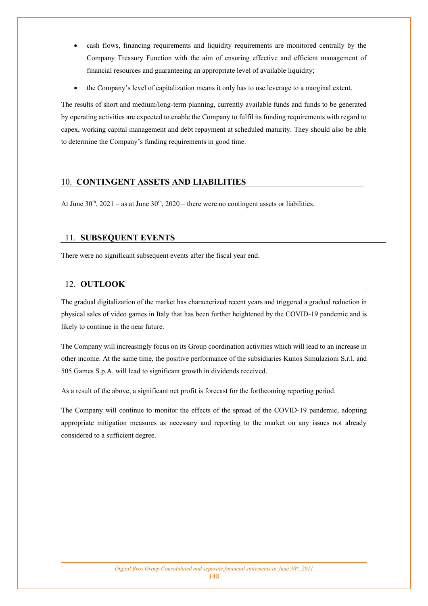- cash flows, financing requirements and liquidity requirements are monitored centrally by the Company Treasury Function with the aim of ensuring effective and efficient management of financial resources and guaranteeing an appropriate level of available liquidity;
- the Company's level of capitalization means it only has to use leverage to a marginal extent.

The results of short and medium/long-term planning, currently available funds and funds to be generated by operating activities are expected to enable the Company to fulfil its funding requirements with regard to capex, working capital management and debt repayment at scheduled maturity. They should also be able to determine the Company's funding requirements in good time.

## 10. **CONTINGENT ASSETS AND LIABILITIES**

At June  $30<sup>th</sup>$ ,  $2021 - as$  at June  $30<sup>th</sup>$ ,  $2020 - there$  were no contingent assets or liabilities.

## 11. **SUBSEQUENT EVENTS**

There were no significant subsequent events after the fiscal year end.

## 12. **OUTLOOK**

The gradual digitalization of the market has characterized recent years and triggered a gradual reduction in physical sales of video games in Italy that has been further heightened by the COVID-19 pandemic and is likely to continue in the near future.

The Company will increasingly focus on its Group coordination activities which will lead to an increase in other income. At the same time, the positive performance of the subsidiaries Kunos Simulazioni S.r.l. and 505 Games S.p.A. will lead to significant growth in dividends received.

As a result of the above, a significant net profit is forecast for the forthcoming reporting period.

The Company will continue to monitor the effects of the spread of the COVID-19 pandemic, adopting appropriate mitigation measures as necessary and reporting to the market on any issues not already considered to a sufficient degree.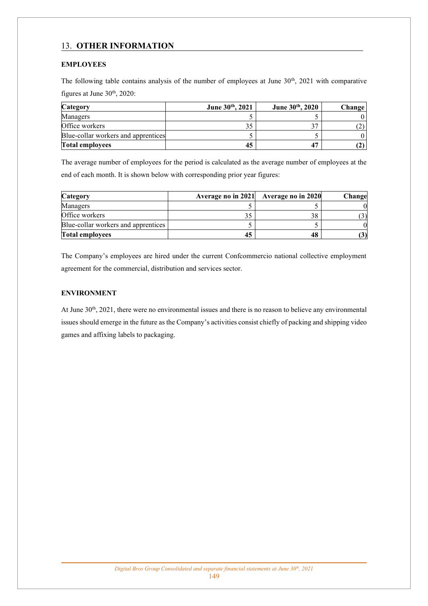## 13. **OTHER INFORMATION**

## **EMPLOYEES**

The following table contains analysis of the number of employees at June  $30<sup>th</sup>$ ,  $2021$  with comparative figures at June  $30<sup>th</sup>$ ,  $2020$ :

| Category                            | June 30th, 2021 | June 30th, 2020 | Change |
|-------------------------------------|-----------------|-----------------|--------|
| Managers                            |                 |                 |        |
| Office workers                      |                 | າສ              |        |
| Blue-collar workers and apprentices |                 |                 |        |
| <b>Total employees</b>              | 45              |                 |        |

The average number of employees for the period is calculated as the average number of employees at the end of each month. It is shown below with corresponding prior year figures:

| Category                            |    | Average no in 2021 Average no in 2020 | Change |
|-------------------------------------|----|---------------------------------------|--------|
| Managers                            |    |                                       |        |
| Office workers                      |    | 38                                    |        |
| Blue-collar workers and apprentices |    |                                       |        |
| <b>Total employees</b>              | 45 | 48                                    | (3)    |

The Company's employees are hired under the current Confcommercio national collective employment agreement for the commercial, distribution and services sector.

## **ENVIRONMENT**

At June 30<sup>th</sup>, 2021, there were no environmental issues and there is no reason to believe any environmental issues should emerge in the future as the Company's activities consist chiefly of packing and shipping video games and affixing labels to packaging.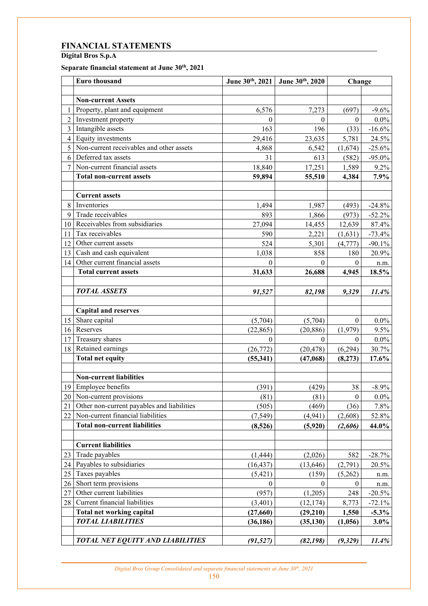# **FINANCIAL STATEMENTS**

**Digital Bros S.p.A** 

## **Separate financial statement at June 30th, 2021**

|                | Euro thousand                              |                  | June 30th, 2021 June 30th, 2020 | Change           |           |
|----------------|--------------------------------------------|------------------|---------------------------------|------------------|-----------|
|                |                                            |                  |                                 |                  |           |
|                | <b>Non-current Assets</b>                  |                  |                                 |                  |           |
| 1              | Property, plant and equipment              | 6,576            | 7,273                           | (697)            | $-9.6%$   |
| $\overline{2}$ | Investment property                        | $\boldsymbol{0}$ | $\mathbf{0}$                    | $\boldsymbol{0}$ | $0.0\%$   |
| $\overline{3}$ | Intangible assets                          | 163              | 196                             | (33)             | $-16.6%$  |
| $\overline{4}$ | Equity investments                         | 29,416           | 23,635                          | 5,781            | 24.5%     |
| 5              | Non-current receivables and other assets   | 4,868            | 6,542                           | (1,674)          | $-25.6%$  |
| 6              | Deferred tax assets                        | 31               | 613                             | (582)            | $-95.0\%$ |
| $\tau$         | Non-current financial assets               | 18,840           | 17,251                          | 1,589            | 9.2%      |
|                | <b>Total non-current assets</b>            | 59,894           | 55,510                          | 4,384            | 7.9%      |
|                |                                            |                  |                                 |                  |           |
|                | <b>Current assets</b>                      |                  |                                 |                  |           |
| $8\,$          | Inventories                                | 1,494            | 1,987                           | (493)            | $-24.8%$  |
| 9              | Trade receivables                          | 893              | 1,866                           | (973)            | $-52.2%$  |
| 10             | Receivables from subsidiaries              | 27,094           | 14,455                          | 12,639           | 87.4%     |
| 11             | Tax receivables                            | 590              | 2,221                           | (1,631)          | $-73.4%$  |
| 12             | Other current assets                       | 524              | 5,301                           | (4,777)          | $-90.1%$  |
| 13             | Cash and cash equivalent                   | 1,038            | 858                             | 180              | 20.9%     |
| 14             | Other current financial assets             | $\Omega$         | 0                               | $\theta$         | n.m.      |
|                | <b>Total current assets</b>                | 31,633           | 26,688                          | 4,945            | 18.5%     |
|                |                                            |                  |                                 |                  |           |
|                | <b>TOTAL ASSETS</b>                        | 91,527           | 82,198                          | 9,329            | 11.4%     |
|                |                                            |                  |                                 |                  |           |
|                | <b>Capital and reserves</b>                |                  |                                 |                  |           |
| 15             | Share capital                              | (5,704)          | (5,704)                         | $\boldsymbol{0}$ | $0.0\%$   |
| 16             | Reserves                                   | (22, 865)        | (20, 886)                       | (1,979)          | 9.5%      |
| 17             | Treasury shares                            | $\theta$         | $\Omega$                        | $\Omega$         | $0.0\%$   |
| 18             | Retained earnings                          | (26, 772)        | (20, 478)                       | (6,294)          | 30.7%     |
|                | <b>Total net equity</b>                    | (55,341)         | (47,068)                        | (8,273)          | 17.6%     |
|                |                                            |                  |                                 |                  |           |
|                | <b>Non-current liabilities</b>             |                  |                                 |                  |           |
|                | 19 Employee benefits                       | (391)            | (429)                           | 38               | $-8.9\%$  |
|                | 20 Non-current provisions                  | (81)             | (81)                            | $\boldsymbol{0}$ | $0.0\%$   |
| 21             | Other non-current payables and liabilities | (505)            | (469)                           | (36)             | 7.8%      |
| 22             | Non-current financial liabilities          | (7, 549)         | (4,941)                         | (2,608)          | 52.8%     |
|                | <b>Total non-current liabilities</b>       | (8,526)          | (5,920)                         | (2,606)          | 44.0%     |
|                |                                            |                  |                                 |                  |           |
|                | <b>Current liabilities</b>                 |                  |                                 |                  |           |
| 23             | Trade payables                             | (1, 444)         | (2,026)                         | 582              | $-28.7%$  |
| 24             | Payables to subsidiaries                   | (16, 437)        | (13, 646)                       | (2,791)          | 20.5%     |
| 25             | Taxes payables                             | (5, 421)         | (159)                           | (5,262)          | n.m.      |
| 26             | Short term provisions                      | $\theta$         | $\theta$                        | $\mathbf{0}$     | n.m.      |
| 27             | Other current liabilities                  | (957)            | (1,205)                         | 248              | $-20.5%$  |
| 28             | Current financial liabilities              | (3,401)          | (12, 174)                       | 8,773            | $-72.1%$  |
|                | <b>Total net working capital</b>           | (27, 660)        | (29, 210)                       | 1,550            | $-5.3\%$  |
|                | <b>TOTAL LIABILITIES</b>                   | (36, 186)        | (35, 130)                       | (1,056)          | 3.0%      |
|                |                                            |                  |                                 |                  |           |
|                | TOTAL NET EQUITY AND LIABILITIES           | (91, 527)        | (82, 198)                       | (9, 329)         | $11.4\%$  |

*Digital Bros Group Consolidated and separate financial statements at June 30th, 2021*  150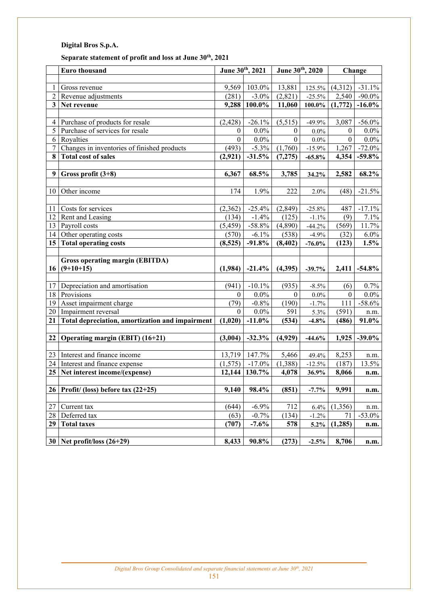## **Separate statement of profit and loss at June 30th, 2021**

|                 | Euro thousand                                   | June 30th, 2021  |                      | June 30th, 2020  |           |                  | Change    |
|-----------------|-------------------------------------------------|------------------|----------------------|------------------|-----------|------------------|-----------|
|                 |                                                 |                  |                      |                  |           |                  |           |
| $\mathbf{1}$    | Gross revenue                                   | 9,569            | 103.0%               | 13,881           | 125.5%    | (4,312)          | $-31.1%$  |
| $\overline{c}$  | Revenue adjustments                             | (281)            | $-3.0\%$             | (2, 821)         | $-25.5%$  | 2,540            | $-90.0\%$ |
| 3 <sup>1</sup>  | Net revenue                                     | 9,288            | $100.0\%$            | 11,060           | $100.0\%$ | (1,772)          | $-16.0\%$ |
|                 |                                                 |                  |                      |                  |           |                  |           |
| $\overline{4}$  | Purchase of products for resale                 | (2, 428)         | $-26.1%$             | (5,515)          | $-49.9%$  | 3,087            | $-56.0\%$ |
| 5               | Purchase of services for resale                 | $\boldsymbol{0}$ | $0.0\%$              | $\boldsymbol{0}$ | $0.0\%$   | $\boldsymbol{0}$ | $0.0\%$   |
| 6               | Royalties                                       | $\boldsymbol{0}$ | $0.0\%$              | $\overline{0}$   | $0.0\%$   | $\overline{0}$   | $0.0\%$   |
| $\tau$          | Changes in inventories of finished products     | (493)            | $-5.3\%$             | (1,760)          | $-15.9%$  | 1,267            | $-72.0%$  |
| 8               | <b>Total cost of sales</b>                      | (2,921)          | $-31.5%$             | (7, 275)         | $-65.8%$  | 4,354            | $-59.8\%$ |
|                 |                                                 |                  |                      |                  |           |                  |           |
| 9 <sup>1</sup>  | Gross profit $(3+8)$                            | 6,367            | 68.5%                | 3,785            | 34.2%     | 2,582            | 68.2%     |
|                 |                                                 |                  |                      |                  |           |                  |           |
| 10              | Other income                                    | 174              | 1.9%                 | 222              | 2.0%      | (48)             | $-21.5%$  |
|                 |                                                 |                  |                      |                  |           |                  |           |
| 11              | Costs for services                              | (2,362)          | $-25.4%$             | (2, 849)         | $-25.8%$  | 487              | $-17.1%$  |
| 12              | Rent and Leasing                                | (134)            | $-1.4%$              | (125)            | $-1.1%$   | (9)              | 7.1%      |
| 13              | Payroll costs                                   | (5, 459)         | $-58.8%$             | (4,890)          | $-44.2%$  | (569)            | 11.7%     |
| 14              | Other operating costs                           | (570)            | $-6.1\%$             | (538)            | $-4.9%$   | (32)             | $6.0\%$   |
| 15 <sup>1</sup> | <b>Total operating costs</b>                    | (8,525)          | $-91.8%$             | (8, 402)         | $-76.0\%$ | (123)            | 1.5%      |
|                 |                                                 |                  |                      |                  |           |                  |           |
|                 | Gross operating margin (EBITDA)                 |                  |                      |                  |           |                  |           |
|                 | $16   (9+10+15)$                                | (1,984)          | $-21.4%$             | (4,395)          | $-39.7%$  | 2,411            | $-54.8\%$ |
|                 |                                                 |                  |                      |                  |           |                  |           |
| 17              | Depreciation and amortisation                   | (941)            | $-10.1\%$            | (935)            | $-8.5\%$  | (6)              | 0.7%      |
| 18              | Provisions                                      | $\mathbf{0}$     | $0.0\%$              | $\boldsymbol{0}$ | $0.0\%$   | $\overline{0}$   | $0.0\%$   |
| 19              | Asset impairment charge                         | (79)             | $-0.8\%$             | (190)            | $-1.7%$   | 111              | $-58.6%$  |
|                 | 20   Impairment reversal                        | $\mathbf{0}$     | $0.0\%$              | 591              | 5.3%      | (591)            | n.m.      |
| 21              | Total depreciation, amortization and impairment | (1,020)          | $-11.0\%$            | (534)            | $-4.8%$   | (486)            | 91.0%     |
|                 |                                                 |                  |                      |                  |           |                  |           |
| 22              | Operating margin (EBIT) (16+21)                 | (3,004)          | $-32.3%$             | (4,929)          | $-44.6%$  | 1,925            | $-39.0\%$ |
|                 |                                                 |                  |                      |                  |           |                  |           |
| 23              | Interest and finance income                     | 13,719           | $\overline{1}47.7\%$ | 5,466            | 49.4%     | 8,253            | n.m.      |
|                 | 24 Interest and finance expense                 | (1, 575)         | $-17.0\%$            | (1,388)          | $-12.5%$  | (187)            | 13.5%     |
|                 | 25 Net interest income/(expense)                | 12,144           | 130.7%               | 4,078            | 36.9%     | 8,066            | n.m.      |
|                 |                                                 |                  |                      |                  |           |                  |           |
|                 | $26$ Profit/ (loss) before tax (22+25)          | 9,140            | 98.4%                | (851)            | $-7.7%$   | 9,991            | n.m.      |
|                 |                                                 |                  |                      |                  |           |                  |           |
| 27              | Current tax                                     | (644)            | $-6.9%$              | 712              | 6.4%      | (1,356)          | n.m.      |
| 28              | Deferred tax                                    | (63)             | $-0.7%$              | (134)            | $-1.2%$   | 71               | $-53.0\%$ |
| 29              | <b>Total taxes</b>                              | (707)            | $-7.6%$              | 578              | $5.2\%$   | (1, 285)         | n.m.      |
|                 |                                                 |                  |                      |                  |           |                  |           |
|                 | 30 Net profit/loss $(26+29)$                    | 8,433            | 90.8%                | (273)            | $-2.5%$   | 8,706            | n.m.      |

151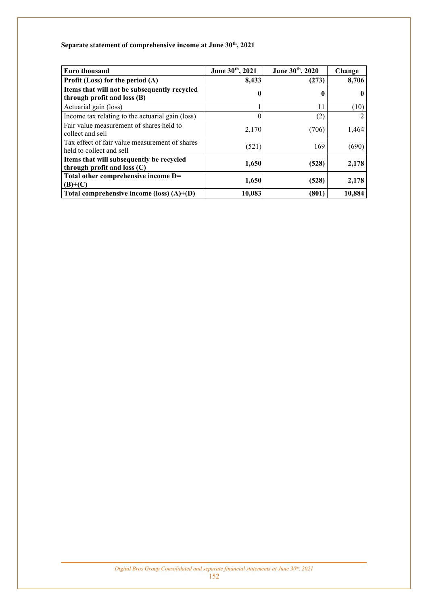## **Separate statement of comprehensive income at June 30th, 2021**

| <b>Euro thousand</b>                                                        | June 30th, 2021 | June 30th, 2020 | Change       |
|-----------------------------------------------------------------------------|-----------------|-----------------|--------------|
| Profit (Loss) for the period $(A)$                                          | 8,433           | (273)           | 8,706        |
| Items that will not be subsequently recycled<br>through profit and loss (B) | 0               | 0               | $\mathbf{0}$ |
| Actuarial gain (loss)                                                       |                 | 11              | (10)         |
| Income tax relating to the actuarial gain (loss)                            | 0               | (2)             | 2            |
| Fair value measurement of shares held to<br>collect and sell                | 2,170           | (706)           | 1,464        |
| Tax effect of fair value measurement of shares<br>held to collect and sell  | (521)           | 169             | (690)        |
| Items that will subsequently be recycled<br>through profit and loss $(C)$   | 1,650           | (528)           | 2,178        |
| Total other comprehensive income D=<br>$(B)+(C)$                            | 1,650           | (528)           | 2,178        |
| Total comprehensive income (loss) $(A)$ + $(D)$                             | 10,083          | (801)           | 10,884       |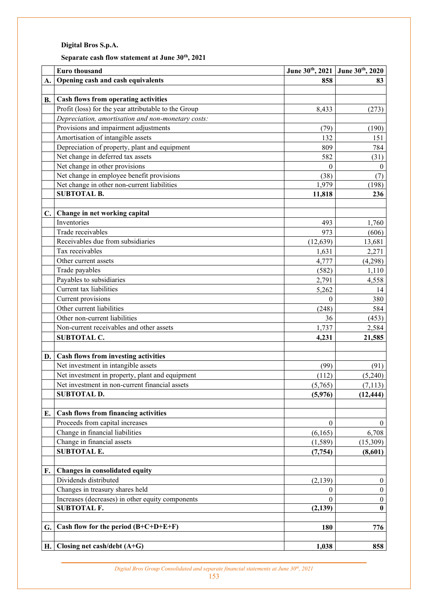# **Separate cash flow statement at June 30th, 2021**

|    | <b>Euro thousand</b>                                 |                  | June 30th, 2021 June 30th, 2020 |
|----|------------------------------------------------------|------------------|---------------------------------|
| A. | Opening cash and cash equivalents                    | 858              | 83                              |
|    |                                                      |                  |                                 |
| В. | Cash flows from operating activities                 |                  |                                 |
|    | Profit (loss) for the year attributable to the Group | 8,433            | (273)                           |
|    | Depreciation, amortisation and non-monetary costs:   |                  |                                 |
|    | Provisions and impairment adjustments                | (79)             | (190)                           |
|    | Amortisation of intangible assets                    | 132              | 151                             |
|    | Depreciation of property, plant and equipment        | 809              | 784                             |
|    | Net change in deferred tax assets                    | 582              | (31)                            |
|    | Net change in other provisions                       | $\theta$         | $\mathbf{0}$                    |
|    | Net change in employee benefit provisions            | (38)             | (7)                             |
|    | Net change in other non-current liabilities          | 1,979            | (198)                           |
|    | <b>SUBTOTAL B.</b>                                   | 11,818           | 236                             |
| C. | Change in net working capital                        |                  |                                 |
|    | Inventories                                          | 493              | 1,760                           |
|    | Trade receivables                                    | 973              | (606)                           |
|    | Receivables due from subsidiaries                    | (12, 639)        | 13,681                          |
|    | Tax receivables                                      | 1,631            | 2,271                           |
|    | Other current assets                                 | 4,777            | (4,298)                         |
|    | Trade payables                                       | (582)            | 1,110                           |
|    | Payables to subsidiaries                             | 2,791            | 4,558                           |
|    | Current tax liabilities                              | 5,262            | 14                              |
|    | Current provisions                                   | $\overline{0}$   | 380                             |
|    | Other current liabilities                            | (248)            | 584                             |
|    | Other non-current liabilities                        | 36               | (453)                           |
|    | Non-current receivables and other assets             | 1,737            | 2,584                           |
|    | <b>SUBTOTAL C.</b>                                   | 4,231            | 21,585                          |
|    |                                                      |                  |                                 |
| D. | Cash flows from investing activities                 |                  |                                 |
|    | Net investment in intangible assets                  | (99)             | (91)                            |
|    | Net investment in property, plant and equipment      | (112)            | (5,240)                         |
|    | Net investment in non-current financial assets       | (5,765)          | (7, 113)                        |
|    | <b>SUBTOTAL D.</b>                                   | (5,976)          | (12, 444)                       |
| E. | <b>Cash flows from financing activities</b>          |                  |                                 |
|    | Proceeds from capital increases                      | $\theta$         | $\overline{0}$                  |
|    | Change in financial liabilities                      | (6,165)          | 6,708                           |
|    | Change in financial assets                           | (1, 589)         | (15,309)                        |
|    | <b>SUBTOTAL E.</b>                                   | (7, 754)         | (8,601)                         |
| F. | Changes in consolidated equity                       |                  |                                 |
|    | Dividends distributed                                | (2, 139)         | $\boldsymbol{0}$                |
|    | Changes in treasury shares held                      | $\boldsymbol{0}$ | $\boldsymbol{0}$                |
|    | Increases (decreases) in other equity components     | $\theta$         | $\boldsymbol{0}$                |
|    | <b>SUBTOTAL F.</b>                                   | (2, 139)         | $\bf{0}$                        |
| G. | Cash flow for the period $(B+C+D+E+F)$               | 180              | 776                             |
|    |                                                      |                  |                                 |
| H. | Closing net cash/debt $(A+G)$                        | 1,038            | 858                             |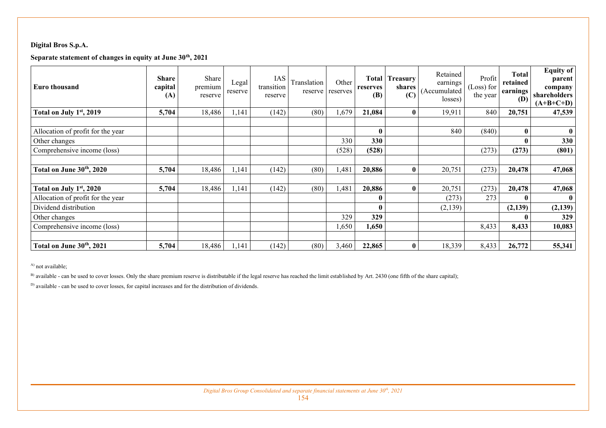## **Separate statement of changes in equity at June 30th, 2021**

| <b>Euro thousand</b>              | <b>Share</b><br>capital<br>(A) | Share<br>premium<br>reserve | Legal<br>reserve | IAS<br>transition<br>reserve | Translation | Other<br>reserve reserves | <b>Total</b><br>reserves<br>(B) | Treasury<br>shares<br>(C) | Retained<br>earnings<br>(Accumulated<br>losses) | Profit<br>Loss) for<br>the year | <b>Total</b><br>retained<br>earnings<br>(D) | Equity of<br>parent<br>company<br>shareholders<br>$(A+B+C+D)$ |
|-----------------------------------|--------------------------------|-----------------------------|------------------|------------------------------|-------------|---------------------------|---------------------------------|---------------------------|-------------------------------------------------|---------------------------------|---------------------------------------------|---------------------------------------------------------------|
| Total on July $1st$ , 2019        | 5,704                          | 18,486                      | 1,141            | (142)                        | (80)        | ,679                      | 21,084                          | $\mathbf{0}$              | 19,911                                          | 840                             | 20,751                                      | 47,539                                                        |
|                                   |                                |                             |                  |                              |             |                           |                                 |                           |                                                 |                                 |                                             |                                                               |
| Allocation of profit for the year |                                |                             |                  |                              |             |                           | 0                               |                           | 840                                             | (840)                           | $\mathbf{0}$                                | 0                                                             |
| Other changes                     |                                |                             |                  |                              |             | 330                       | 330                             |                           |                                                 |                                 | $\mathbf{0}$                                | 330                                                           |
| Comprehensive income (loss)       |                                |                             |                  |                              |             | (528)                     | (528)                           |                           |                                                 | (273)                           | (273)                                       | (801)                                                         |
|                                   |                                |                             |                  |                              |             |                           |                                 |                           |                                                 |                                 |                                             |                                                               |
| Total on June 30th, 2020          | 5,704                          | 18,486                      | 1,141            | (142)                        | (80)        | ,481                      | 20,886                          | $\bf{0}$                  | 20,751                                          | (273)                           | 20,478                                      | 47,068                                                        |
|                                   |                                |                             |                  |                              |             |                           |                                 |                           |                                                 |                                 |                                             |                                                               |
| Total on July 1st, 2020           | 5,704                          | 18,486                      | 1,141            | (142)                        | (80)        | ,481                      | 20,886                          | $\mathbf{0}$              | 20,751                                          | (273)                           | 20,478                                      | 47,068                                                        |
| Allocation of profit for the year |                                |                             |                  |                              |             |                           | $\bf{0}$                        |                           | (273)                                           | 273                             | $\mathbf{0}$                                | 0                                                             |
| Dividend distribution             |                                |                             |                  |                              |             |                           | 0                               |                           | (2,139)                                         |                                 | (2,139)                                     | (2,139)                                                       |
| Other changes                     |                                |                             |                  |                              |             | 329                       | 329                             |                           |                                                 |                                 | 0                                           | 329                                                           |
| Comprehensive income (loss)       |                                |                             |                  |                              |             | ,650                      | 1,650                           |                           |                                                 | 8,433                           | 8,433                                       | 10,083                                                        |
|                                   |                                |                             |                  |                              |             |                           |                                 |                           |                                                 |                                 |                                             |                                                               |
| Total on June 30th, 2021          | 5,704                          | 18,486                      | 1,141            | (142)                        | (80)        | 3,460                     | 22,865                          | $\bf{0}$                  | 18,339                                          | 8,433                           | 26,772                                      | 55,341                                                        |

<sup>A)</sup> not available;

B) available - can be used to cover losses. Only the share premium reserve is distributable if the legal reserve has reached the limit established by Art. 2430 (one fifth of the share capital);

<sup>D)</sup> available - can be used to cover losses, for capital increases and for the distribution of dividends.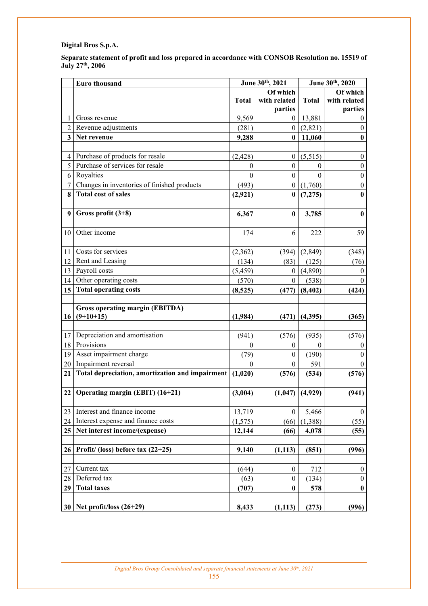**Separate statement of profit and loss prepared in accordance with CONSOB Resolution no. 15519 of July 27th, 2006** 

|                         | Euro thousand                                   | June 30th, 2021  |                  | June 30th, 2020 |                  |
|-------------------------|-------------------------------------------------|------------------|------------------|-----------------|------------------|
|                         |                                                 |                  | Of which         |                 | Of which         |
|                         |                                                 | <b>Total</b>     | with related     | <b>Total</b>    | with related     |
|                         |                                                 |                  | parties          |                 | parties          |
| $\mathbf{1}$            | Gross revenue                                   | 9,569            | $\overline{0}$   | 13,881          | $\boldsymbol{0}$ |
| $\overline{2}$          | Revenue adjustments                             | (281)            | $\overline{0}$   | (2,821)         | $\boldsymbol{0}$ |
| $\overline{\mathbf{3}}$ | Net revenue                                     | 9,288            | $\bf{0}$         | 11,060          | $\boldsymbol{0}$ |
|                         |                                                 |                  |                  |                 |                  |
| $\overline{4}$          | Purchase of products for resale                 | (2, 428)         | $\mathbf{0}$     | (5,515)         | $\boldsymbol{0}$ |
| 5                       | Purchase of services for resale                 | $\boldsymbol{0}$ | $\boldsymbol{0}$ | $\overline{0}$  | $\boldsymbol{0}$ |
| 6                       | Royalties                                       | $\boldsymbol{0}$ | $\boldsymbol{0}$ | $\theta$        | $\boldsymbol{0}$ |
| $\boldsymbol{7}$        | Changes in inventories of finished products     | (493)            | $\boldsymbol{0}$ | (1,760)         | $\boldsymbol{0}$ |
| 8                       | <b>Total cost of sales</b>                      | (2,921)          | $\mathbf{0}$     | (7,275)         | $\bf{0}$         |
|                         |                                                 |                  |                  |                 |                  |
| 9                       | Gross profit $(3+8)$                            | 6,367            | $\bf{0}$         | 3,785           | $\bf{0}$         |
|                         |                                                 |                  |                  |                 |                  |
| 10                      | Other income                                    | 174              | 6                | 222             | 59               |
|                         |                                                 |                  |                  |                 |                  |
| 11                      | Costs for services                              | (2,362)          | (394)            | (2, 849)        | (348)            |
| 12                      | Rent and Leasing                                | (134)            | (83)             | (125)           | (76)             |
| 13                      | Payroll costs                                   | (5, 459)         | $\overline{0}$   | (4,890)         | $\mathbf{0}$     |
| 14                      | Other operating costs                           | (570)            | $\theta$         | (538)           | $\theta$         |
| 15                      | <b>Total operating costs</b>                    | (8,525)          | (477)            | (8, 402)        | (424)            |
|                         |                                                 |                  |                  |                 |                  |
|                         | <b>Gross operating margin (EBITDA)</b>          |                  |                  |                 |                  |
| 16                      | $(9+10+15)$                                     | (1,984)          | (471)            | (4,395)         | (365)            |
|                         |                                                 |                  |                  |                 |                  |
| 17                      | Depreciation and amortisation                   | (941)            | (576)            | (935)           | (576)            |
| 18                      | Provisions                                      | $\boldsymbol{0}$ | $\mathbf{0}$     | $\mathbf{0}$    | $\theta$         |
| 19                      | Asset impairment charge                         | (79)             | $\boldsymbol{0}$ | (190)           | $\mathbf{0}$     |
| 20                      | Impairment reversal                             | $\boldsymbol{0}$ | $\boldsymbol{0}$ | 591             | $\mathbf{0}$     |
| 21                      | Total depreciation, amortization and impairment | (1,020)          | (576)            | (534)           | (576)            |
|                         |                                                 |                  |                  |                 |                  |
|                         | 22 Operating margin (EBIT) $(16+21)$            | (3,004)          | (1,047)          | (4,929)         | (941)            |
|                         |                                                 |                  |                  |                 |                  |
| 23                      | Interest and finance income                     | 13,719           | $\boldsymbol{0}$ | 5,466           | $\boldsymbol{0}$ |
| 24                      | Interest expense and finance costs              | (1, 575)         | (66)             | (1,388)         | (55)             |
| 25                      | Net interest income/(expense)                   | 12,144           | (66)             | 4,078           | (55)             |
|                         |                                                 |                  |                  |                 |                  |
| 26                      | Profit/ (loss) before tax $(22+25)$             | 9,140            | (1, 113)         | (851)           | (996)            |
|                         |                                                 |                  |                  |                 |                  |
| 27                      | Current tax                                     | (644)            | $\boldsymbol{0}$ | 712             | $\boldsymbol{0}$ |
| $28\,$                  | Deferred tax                                    | (63)             | $\boldsymbol{0}$ | (134)           | $\boldsymbol{0}$ |
| 29                      | <b>Total taxes</b>                              | (707)            | $\bf{0}$         | 578             | $\boldsymbol{0}$ |
|                         |                                                 |                  |                  |                 |                  |
|                         | $30$ Net profit/loss (26+29)                    |                  |                  |                 |                  |
|                         |                                                 | 8,433            | (1, 113)         | (273)           | (996)            |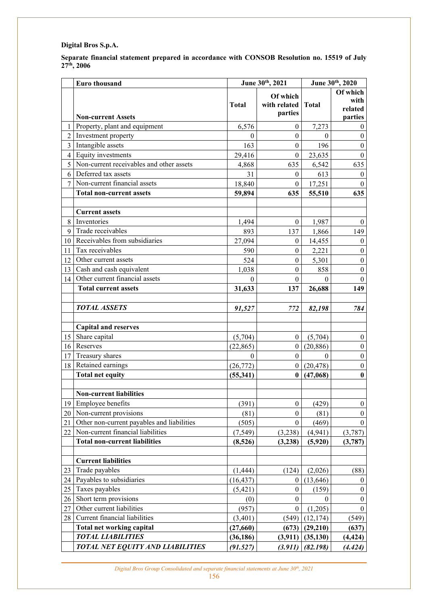**Separate financial statement prepared in accordance with CONSOB Resolution no. 15519 of July 27th, 2006** 

| Of which<br>Of which<br>with<br>with related<br><b>Total</b><br><b>Total</b><br>related<br>parties<br>parties<br><b>Non-current Assets</b><br>6,576<br>7,273<br>Property, plant and equipment<br>$\mathbf{1}$<br>$\theta$<br>$\boldsymbol{0}$<br>$\overline{2}$<br>Investment property<br>$\boldsymbol{0}$<br>$\theta$<br>$\theta$<br>$\theta$<br>$\overline{3}$<br>Intangible assets<br>163<br>$\theta$<br>196<br>$\boldsymbol{0}$<br>Equity investments<br>$\overline{4}$<br>29,416<br>23,635<br>$\mathbf{0}$<br>$\mathbf{0}$<br>5<br>Non-current receivables and other assets<br>635<br>4,868<br>635<br>6,542<br>Deferred tax assets<br>6<br>31<br>$\boldsymbol{0}$<br>613<br>$\boldsymbol{0}$<br>$\overline{7}$<br>Non-current financial assets<br>18,840<br>$\boldsymbol{0}$<br>17,251<br>$\theta$<br><b>Total non-current assets</b><br>59,894<br>635<br>635<br>55,510<br><b>Current assets</b><br>8<br>Inventories<br>1,494<br>$\boldsymbol{0}$<br>1,987<br>$\bf{0}$<br>Trade receivables<br>9<br>149<br>893<br>137<br>1,866<br>Receivables from subsidiaries<br>10<br>27,094<br>14,455<br>$\boldsymbol{0}$<br>$\theta$<br>Tax receivables<br>$\boldsymbol{0}$<br>11<br>590<br>$\theta$<br>2,221<br>12<br>Other current assets<br>524<br>$\boldsymbol{0}$<br>$\theta$<br>5,301<br>Cash and cash equivalent<br>13<br>$\boldsymbol{0}$<br>1,038<br>$\boldsymbol{0}$<br>858<br>Other current financial assets<br>$\theta$<br>$\theta$<br>14<br>$\theta$<br>$\theta$<br>26,688<br><b>Total current assets</b><br>31,633<br>149<br>137<br><b>TOTAL ASSETS</b><br>784<br>91,527<br>772<br>82,198<br><b>Capital and reserves</b><br>Share capital<br>15<br>$\theta$<br>$\boldsymbol{0}$<br>(5,704)<br>(5,704)<br>16<br>Reserves<br>$\boldsymbol{0}$<br>$\mathbf{0}$<br>(20, 886)<br>(22, 865)<br>Treasury shares<br>17<br>$\theta$<br>$\theta$<br>$\boldsymbol{0}$<br>$\theta$<br>Retained earnings<br>18<br>(26, 772)<br>(20, 478)<br>$\mathbf{0}$<br>$\overline{0}$<br><b>Total net equity</b><br>$\bf{0}$<br>(55, 341)<br>$\bf{0}$<br>(47,068)<br><b>Non-current liabilities</b><br>Employee benefits<br>(391)<br>(429)<br>19<br>$\boldsymbol{0}$<br>$\boldsymbol{0}$<br>Non-current provisions<br>(81)<br>$\theta$<br>(81)<br>$\mathbf{0}$<br>20<br>Other non-current payables and liabilities<br>21<br>(469)<br>(505)<br>$\mathbf{0}$<br>$\theta$<br>Non-current financial liabilities<br>22<br>(7, 549)<br>(3,238)<br>(4, 941)<br>(3,787)<br><b>Total non-current liabilities</b><br>(5,920)<br>(8,526)<br>(3,238)<br>(3,787)<br><b>Current liabilities</b><br>Trade payables<br>23<br>(1, 444)<br>(124)<br>(2,026)<br>(88)<br>Payables to subsidiaries<br>24<br>(16, 437)<br>(13, 646)<br>$\theta$<br>$\boldsymbol{0}$<br>Taxes payables<br>25<br>(159)<br>(5, 421)<br>$\boldsymbol{0}$<br>$\boldsymbol{0}$<br>Short term provisions<br>26<br>$\boldsymbol{0}$<br>$\boldsymbol{0}$<br>0<br>(0)<br>Other current liabilities<br>(1,205)<br>27<br>(957)<br>$\boldsymbol{0}$<br>$\boldsymbol{0}$<br>Current financial liabilities<br>28<br>(3, 401)<br>(12, 174)<br>(549)<br>(549)<br><b>Total net working capital</b><br>(27, 660)<br>(29,210)<br>(637)<br>(673)<br><b>TOTAL LIABILITIES</b><br>(36, 186)<br>(3, 911)<br>(35, 130)<br>(4, 424)<br>TOTAL NET EQUITY AND LIABILITIES<br>(91.527)<br>(3.911)<br>(82.198)<br>(4.424) | Euro thousand | June 30th, 2021 |  | June 30th, 2020 |  |
|---------------------------------------------------------------------------------------------------------------------------------------------------------------------------------------------------------------------------------------------------------------------------------------------------------------------------------------------------------------------------------------------------------------------------------------------------------------------------------------------------------------------------------------------------------------------------------------------------------------------------------------------------------------------------------------------------------------------------------------------------------------------------------------------------------------------------------------------------------------------------------------------------------------------------------------------------------------------------------------------------------------------------------------------------------------------------------------------------------------------------------------------------------------------------------------------------------------------------------------------------------------------------------------------------------------------------------------------------------------------------------------------------------------------------------------------------------------------------------------------------------------------------------------------------------------------------------------------------------------------------------------------------------------------------------------------------------------------------------------------------------------------------------------------------------------------------------------------------------------------------------------------------------------------------------------------------------------------------------------------------------------------------------------------------------------------------------------------------------------------------------------------------------------------------------------------------------------------------------------------------------------------------------------------------------------------------------------------------------------------------------------------------------------------------------------------------------------------------------------------------------------------------------------------------------------------------------------------------------------------------------------------------------------------------------------------------------------------------------------------------------------------------------------------------------------------------------------------------------------------------------------------------------------------------------------------------------------------------------------------------------------------------------------------------------------------------------------------------------------------------------------------------------------------------------------------------------------------------------------------------------------------------------------------------------------------------------------|---------------|-----------------|--|-----------------|--|
|                                                                                                                                                                                                                                                                                                                                                                                                                                                                                                                                                                                                                                                                                                                                                                                                                                                                                                                                                                                                                                                                                                                                                                                                                                                                                                                                                                                                                                                                                                                                                                                                                                                                                                                                                                                                                                                                                                                                                                                                                                                                                                                                                                                                                                                                                                                                                                                                                                                                                                                                                                                                                                                                                                                                                                                                                                                                                                                                                                                                                                                                                                                                                                                                                                                                                                                                       |               |                 |  |                 |  |
|                                                                                                                                                                                                                                                                                                                                                                                                                                                                                                                                                                                                                                                                                                                                                                                                                                                                                                                                                                                                                                                                                                                                                                                                                                                                                                                                                                                                                                                                                                                                                                                                                                                                                                                                                                                                                                                                                                                                                                                                                                                                                                                                                                                                                                                                                                                                                                                                                                                                                                                                                                                                                                                                                                                                                                                                                                                                                                                                                                                                                                                                                                                                                                                                                                                                                                                                       |               |                 |  |                 |  |
|                                                                                                                                                                                                                                                                                                                                                                                                                                                                                                                                                                                                                                                                                                                                                                                                                                                                                                                                                                                                                                                                                                                                                                                                                                                                                                                                                                                                                                                                                                                                                                                                                                                                                                                                                                                                                                                                                                                                                                                                                                                                                                                                                                                                                                                                                                                                                                                                                                                                                                                                                                                                                                                                                                                                                                                                                                                                                                                                                                                                                                                                                                                                                                                                                                                                                                                                       |               |                 |  |                 |  |
|                                                                                                                                                                                                                                                                                                                                                                                                                                                                                                                                                                                                                                                                                                                                                                                                                                                                                                                                                                                                                                                                                                                                                                                                                                                                                                                                                                                                                                                                                                                                                                                                                                                                                                                                                                                                                                                                                                                                                                                                                                                                                                                                                                                                                                                                                                                                                                                                                                                                                                                                                                                                                                                                                                                                                                                                                                                                                                                                                                                                                                                                                                                                                                                                                                                                                                                                       |               |                 |  |                 |  |
|                                                                                                                                                                                                                                                                                                                                                                                                                                                                                                                                                                                                                                                                                                                                                                                                                                                                                                                                                                                                                                                                                                                                                                                                                                                                                                                                                                                                                                                                                                                                                                                                                                                                                                                                                                                                                                                                                                                                                                                                                                                                                                                                                                                                                                                                                                                                                                                                                                                                                                                                                                                                                                                                                                                                                                                                                                                                                                                                                                                                                                                                                                                                                                                                                                                                                                                                       |               |                 |  |                 |  |
|                                                                                                                                                                                                                                                                                                                                                                                                                                                                                                                                                                                                                                                                                                                                                                                                                                                                                                                                                                                                                                                                                                                                                                                                                                                                                                                                                                                                                                                                                                                                                                                                                                                                                                                                                                                                                                                                                                                                                                                                                                                                                                                                                                                                                                                                                                                                                                                                                                                                                                                                                                                                                                                                                                                                                                                                                                                                                                                                                                                                                                                                                                                                                                                                                                                                                                                                       |               |                 |  |                 |  |
|                                                                                                                                                                                                                                                                                                                                                                                                                                                                                                                                                                                                                                                                                                                                                                                                                                                                                                                                                                                                                                                                                                                                                                                                                                                                                                                                                                                                                                                                                                                                                                                                                                                                                                                                                                                                                                                                                                                                                                                                                                                                                                                                                                                                                                                                                                                                                                                                                                                                                                                                                                                                                                                                                                                                                                                                                                                                                                                                                                                                                                                                                                                                                                                                                                                                                                                                       |               |                 |  |                 |  |
|                                                                                                                                                                                                                                                                                                                                                                                                                                                                                                                                                                                                                                                                                                                                                                                                                                                                                                                                                                                                                                                                                                                                                                                                                                                                                                                                                                                                                                                                                                                                                                                                                                                                                                                                                                                                                                                                                                                                                                                                                                                                                                                                                                                                                                                                                                                                                                                                                                                                                                                                                                                                                                                                                                                                                                                                                                                                                                                                                                                                                                                                                                                                                                                                                                                                                                                                       |               |                 |  |                 |  |
|                                                                                                                                                                                                                                                                                                                                                                                                                                                                                                                                                                                                                                                                                                                                                                                                                                                                                                                                                                                                                                                                                                                                                                                                                                                                                                                                                                                                                                                                                                                                                                                                                                                                                                                                                                                                                                                                                                                                                                                                                                                                                                                                                                                                                                                                                                                                                                                                                                                                                                                                                                                                                                                                                                                                                                                                                                                                                                                                                                                                                                                                                                                                                                                                                                                                                                                                       |               |                 |  |                 |  |
|                                                                                                                                                                                                                                                                                                                                                                                                                                                                                                                                                                                                                                                                                                                                                                                                                                                                                                                                                                                                                                                                                                                                                                                                                                                                                                                                                                                                                                                                                                                                                                                                                                                                                                                                                                                                                                                                                                                                                                                                                                                                                                                                                                                                                                                                                                                                                                                                                                                                                                                                                                                                                                                                                                                                                                                                                                                                                                                                                                                                                                                                                                                                                                                                                                                                                                                                       |               |                 |  |                 |  |
|                                                                                                                                                                                                                                                                                                                                                                                                                                                                                                                                                                                                                                                                                                                                                                                                                                                                                                                                                                                                                                                                                                                                                                                                                                                                                                                                                                                                                                                                                                                                                                                                                                                                                                                                                                                                                                                                                                                                                                                                                                                                                                                                                                                                                                                                                                                                                                                                                                                                                                                                                                                                                                                                                                                                                                                                                                                                                                                                                                                                                                                                                                                                                                                                                                                                                                                                       |               |                 |  |                 |  |
|                                                                                                                                                                                                                                                                                                                                                                                                                                                                                                                                                                                                                                                                                                                                                                                                                                                                                                                                                                                                                                                                                                                                                                                                                                                                                                                                                                                                                                                                                                                                                                                                                                                                                                                                                                                                                                                                                                                                                                                                                                                                                                                                                                                                                                                                                                                                                                                                                                                                                                                                                                                                                                                                                                                                                                                                                                                                                                                                                                                                                                                                                                                                                                                                                                                                                                                                       |               |                 |  |                 |  |
|                                                                                                                                                                                                                                                                                                                                                                                                                                                                                                                                                                                                                                                                                                                                                                                                                                                                                                                                                                                                                                                                                                                                                                                                                                                                                                                                                                                                                                                                                                                                                                                                                                                                                                                                                                                                                                                                                                                                                                                                                                                                                                                                                                                                                                                                                                                                                                                                                                                                                                                                                                                                                                                                                                                                                                                                                                                                                                                                                                                                                                                                                                                                                                                                                                                                                                                                       |               |                 |  |                 |  |
|                                                                                                                                                                                                                                                                                                                                                                                                                                                                                                                                                                                                                                                                                                                                                                                                                                                                                                                                                                                                                                                                                                                                                                                                                                                                                                                                                                                                                                                                                                                                                                                                                                                                                                                                                                                                                                                                                                                                                                                                                                                                                                                                                                                                                                                                                                                                                                                                                                                                                                                                                                                                                                                                                                                                                                                                                                                                                                                                                                                                                                                                                                                                                                                                                                                                                                                                       |               |                 |  |                 |  |
|                                                                                                                                                                                                                                                                                                                                                                                                                                                                                                                                                                                                                                                                                                                                                                                                                                                                                                                                                                                                                                                                                                                                                                                                                                                                                                                                                                                                                                                                                                                                                                                                                                                                                                                                                                                                                                                                                                                                                                                                                                                                                                                                                                                                                                                                                                                                                                                                                                                                                                                                                                                                                                                                                                                                                                                                                                                                                                                                                                                                                                                                                                                                                                                                                                                                                                                                       |               |                 |  |                 |  |
|                                                                                                                                                                                                                                                                                                                                                                                                                                                                                                                                                                                                                                                                                                                                                                                                                                                                                                                                                                                                                                                                                                                                                                                                                                                                                                                                                                                                                                                                                                                                                                                                                                                                                                                                                                                                                                                                                                                                                                                                                                                                                                                                                                                                                                                                                                                                                                                                                                                                                                                                                                                                                                                                                                                                                                                                                                                                                                                                                                                                                                                                                                                                                                                                                                                                                                                                       |               |                 |  |                 |  |
|                                                                                                                                                                                                                                                                                                                                                                                                                                                                                                                                                                                                                                                                                                                                                                                                                                                                                                                                                                                                                                                                                                                                                                                                                                                                                                                                                                                                                                                                                                                                                                                                                                                                                                                                                                                                                                                                                                                                                                                                                                                                                                                                                                                                                                                                                                                                                                                                                                                                                                                                                                                                                                                                                                                                                                                                                                                                                                                                                                                                                                                                                                                                                                                                                                                                                                                                       |               |                 |  |                 |  |
|                                                                                                                                                                                                                                                                                                                                                                                                                                                                                                                                                                                                                                                                                                                                                                                                                                                                                                                                                                                                                                                                                                                                                                                                                                                                                                                                                                                                                                                                                                                                                                                                                                                                                                                                                                                                                                                                                                                                                                                                                                                                                                                                                                                                                                                                                                                                                                                                                                                                                                                                                                                                                                                                                                                                                                                                                                                                                                                                                                                                                                                                                                                                                                                                                                                                                                                                       |               |                 |  |                 |  |
|                                                                                                                                                                                                                                                                                                                                                                                                                                                                                                                                                                                                                                                                                                                                                                                                                                                                                                                                                                                                                                                                                                                                                                                                                                                                                                                                                                                                                                                                                                                                                                                                                                                                                                                                                                                                                                                                                                                                                                                                                                                                                                                                                                                                                                                                                                                                                                                                                                                                                                                                                                                                                                                                                                                                                                                                                                                                                                                                                                                                                                                                                                                                                                                                                                                                                                                                       |               |                 |  |                 |  |
|                                                                                                                                                                                                                                                                                                                                                                                                                                                                                                                                                                                                                                                                                                                                                                                                                                                                                                                                                                                                                                                                                                                                                                                                                                                                                                                                                                                                                                                                                                                                                                                                                                                                                                                                                                                                                                                                                                                                                                                                                                                                                                                                                                                                                                                                                                                                                                                                                                                                                                                                                                                                                                                                                                                                                                                                                                                                                                                                                                                                                                                                                                                                                                                                                                                                                                                                       |               |                 |  |                 |  |
|                                                                                                                                                                                                                                                                                                                                                                                                                                                                                                                                                                                                                                                                                                                                                                                                                                                                                                                                                                                                                                                                                                                                                                                                                                                                                                                                                                                                                                                                                                                                                                                                                                                                                                                                                                                                                                                                                                                                                                                                                                                                                                                                                                                                                                                                                                                                                                                                                                                                                                                                                                                                                                                                                                                                                                                                                                                                                                                                                                                                                                                                                                                                                                                                                                                                                                                                       |               |                 |  |                 |  |
|                                                                                                                                                                                                                                                                                                                                                                                                                                                                                                                                                                                                                                                                                                                                                                                                                                                                                                                                                                                                                                                                                                                                                                                                                                                                                                                                                                                                                                                                                                                                                                                                                                                                                                                                                                                                                                                                                                                                                                                                                                                                                                                                                                                                                                                                                                                                                                                                                                                                                                                                                                                                                                                                                                                                                                                                                                                                                                                                                                                                                                                                                                                                                                                                                                                                                                                                       |               |                 |  |                 |  |
|                                                                                                                                                                                                                                                                                                                                                                                                                                                                                                                                                                                                                                                                                                                                                                                                                                                                                                                                                                                                                                                                                                                                                                                                                                                                                                                                                                                                                                                                                                                                                                                                                                                                                                                                                                                                                                                                                                                                                                                                                                                                                                                                                                                                                                                                                                                                                                                                                                                                                                                                                                                                                                                                                                                                                                                                                                                                                                                                                                                                                                                                                                                                                                                                                                                                                                                                       |               |                 |  |                 |  |
|                                                                                                                                                                                                                                                                                                                                                                                                                                                                                                                                                                                                                                                                                                                                                                                                                                                                                                                                                                                                                                                                                                                                                                                                                                                                                                                                                                                                                                                                                                                                                                                                                                                                                                                                                                                                                                                                                                                                                                                                                                                                                                                                                                                                                                                                                                                                                                                                                                                                                                                                                                                                                                                                                                                                                                                                                                                                                                                                                                                                                                                                                                                                                                                                                                                                                                                                       |               |                 |  |                 |  |
|                                                                                                                                                                                                                                                                                                                                                                                                                                                                                                                                                                                                                                                                                                                                                                                                                                                                                                                                                                                                                                                                                                                                                                                                                                                                                                                                                                                                                                                                                                                                                                                                                                                                                                                                                                                                                                                                                                                                                                                                                                                                                                                                                                                                                                                                                                                                                                                                                                                                                                                                                                                                                                                                                                                                                                                                                                                                                                                                                                                                                                                                                                                                                                                                                                                                                                                                       |               |                 |  |                 |  |
|                                                                                                                                                                                                                                                                                                                                                                                                                                                                                                                                                                                                                                                                                                                                                                                                                                                                                                                                                                                                                                                                                                                                                                                                                                                                                                                                                                                                                                                                                                                                                                                                                                                                                                                                                                                                                                                                                                                                                                                                                                                                                                                                                                                                                                                                                                                                                                                                                                                                                                                                                                                                                                                                                                                                                                                                                                                                                                                                                                                                                                                                                                                                                                                                                                                                                                                                       |               |                 |  |                 |  |
|                                                                                                                                                                                                                                                                                                                                                                                                                                                                                                                                                                                                                                                                                                                                                                                                                                                                                                                                                                                                                                                                                                                                                                                                                                                                                                                                                                                                                                                                                                                                                                                                                                                                                                                                                                                                                                                                                                                                                                                                                                                                                                                                                                                                                                                                                                                                                                                                                                                                                                                                                                                                                                                                                                                                                                                                                                                                                                                                                                                                                                                                                                                                                                                                                                                                                                                                       |               |                 |  |                 |  |
|                                                                                                                                                                                                                                                                                                                                                                                                                                                                                                                                                                                                                                                                                                                                                                                                                                                                                                                                                                                                                                                                                                                                                                                                                                                                                                                                                                                                                                                                                                                                                                                                                                                                                                                                                                                                                                                                                                                                                                                                                                                                                                                                                                                                                                                                                                                                                                                                                                                                                                                                                                                                                                                                                                                                                                                                                                                                                                                                                                                                                                                                                                                                                                                                                                                                                                                                       |               |                 |  |                 |  |
|                                                                                                                                                                                                                                                                                                                                                                                                                                                                                                                                                                                                                                                                                                                                                                                                                                                                                                                                                                                                                                                                                                                                                                                                                                                                                                                                                                                                                                                                                                                                                                                                                                                                                                                                                                                                                                                                                                                                                                                                                                                                                                                                                                                                                                                                                                                                                                                                                                                                                                                                                                                                                                                                                                                                                                                                                                                                                                                                                                                                                                                                                                                                                                                                                                                                                                                                       |               |                 |  |                 |  |
|                                                                                                                                                                                                                                                                                                                                                                                                                                                                                                                                                                                                                                                                                                                                                                                                                                                                                                                                                                                                                                                                                                                                                                                                                                                                                                                                                                                                                                                                                                                                                                                                                                                                                                                                                                                                                                                                                                                                                                                                                                                                                                                                                                                                                                                                                                                                                                                                                                                                                                                                                                                                                                                                                                                                                                                                                                                                                                                                                                                                                                                                                                                                                                                                                                                                                                                                       |               |                 |  |                 |  |
|                                                                                                                                                                                                                                                                                                                                                                                                                                                                                                                                                                                                                                                                                                                                                                                                                                                                                                                                                                                                                                                                                                                                                                                                                                                                                                                                                                                                                                                                                                                                                                                                                                                                                                                                                                                                                                                                                                                                                                                                                                                                                                                                                                                                                                                                                                                                                                                                                                                                                                                                                                                                                                                                                                                                                                                                                                                                                                                                                                                                                                                                                                                                                                                                                                                                                                                                       |               |                 |  |                 |  |
|                                                                                                                                                                                                                                                                                                                                                                                                                                                                                                                                                                                                                                                                                                                                                                                                                                                                                                                                                                                                                                                                                                                                                                                                                                                                                                                                                                                                                                                                                                                                                                                                                                                                                                                                                                                                                                                                                                                                                                                                                                                                                                                                                                                                                                                                                                                                                                                                                                                                                                                                                                                                                                                                                                                                                                                                                                                                                                                                                                                                                                                                                                                                                                                                                                                                                                                                       |               |                 |  |                 |  |
|                                                                                                                                                                                                                                                                                                                                                                                                                                                                                                                                                                                                                                                                                                                                                                                                                                                                                                                                                                                                                                                                                                                                                                                                                                                                                                                                                                                                                                                                                                                                                                                                                                                                                                                                                                                                                                                                                                                                                                                                                                                                                                                                                                                                                                                                                                                                                                                                                                                                                                                                                                                                                                                                                                                                                                                                                                                                                                                                                                                                                                                                                                                                                                                                                                                                                                                                       |               |                 |  |                 |  |
|                                                                                                                                                                                                                                                                                                                                                                                                                                                                                                                                                                                                                                                                                                                                                                                                                                                                                                                                                                                                                                                                                                                                                                                                                                                                                                                                                                                                                                                                                                                                                                                                                                                                                                                                                                                                                                                                                                                                                                                                                                                                                                                                                                                                                                                                                                                                                                                                                                                                                                                                                                                                                                                                                                                                                                                                                                                                                                                                                                                                                                                                                                                                                                                                                                                                                                                                       |               |                 |  |                 |  |
|                                                                                                                                                                                                                                                                                                                                                                                                                                                                                                                                                                                                                                                                                                                                                                                                                                                                                                                                                                                                                                                                                                                                                                                                                                                                                                                                                                                                                                                                                                                                                                                                                                                                                                                                                                                                                                                                                                                                                                                                                                                                                                                                                                                                                                                                                                                                                                                                                                                                                                                                                                                                                                                                                                                                                                                                                                                                                                                                                                                                                                                                                                                                                                                                                                                                                                                                       |               |                 |  |                 |  |
|                                                                                                                                                                                                                                                                                                                                                                                                                                                                                                                                                                                                                                                                                                                                                                                                                                                                                                                                                                                                                                                                                                                                                                                                                                                                                                                                                                                                                                                                                                                                                                                                                                                                                                                                                                                                                                                                                                                                                                                                                                                                                                                                                                                                                                                                                                                                                                                                                                                                                                                                                                                                                                                                                                                                                                                                                                                                                                                                                                                                                                                                                                                                                                                                                                                                                                                                       |               |                 |  |                 |  |
|                                                                                                                                                                                                                                                                                                                                                                                                                                                                                                                                                                                                                                                                                                                                                                                                                                                                                                                                                                                                                                                                                                                                                                                                                                                                                                                                                                                                                                                                                                                                                                                                                                                                                                                                                                                                                                                                                                                                                                                                                                                                                                                                                                                                                                                                                                                                                                                                                                                                                                                                                                                                                                                                                                                                                                                                                                                                                                                                                                                                                                                                                                                                                                                                                                                                                                                                       |               |                 |  |                 |  |
|                                                                                                                                                                                                                                                                                                                                                                                                                                                                                                                                                                                                                                                                                                                                                                                                                                                                                                                                                                                                                                                                                                                                                                                                                                                                                                                                                                                                                                                                                                                                                                                                                                                                                                                                                                                                                                                                                                                                                                                                                                                                                                                                                                                                                                                                                                                                                                                                                                                                                                                                                                                                                                                                                                                                                                                                                                                                                                                                                                                                                                                                                                                                                                                                                                                                                                                                       |               |                 |  |                 |  |
|                                                                                                                                                                                                                                                                                                                                                                                                                                                                                                                                                                                                                                                                                                                                                                                                                                                                                                                                                                                                                                                                                                                                                                                                                                                                                                                                                                                                                                                                                                                                                                                                                                                                                                                                                                                                                                                                                                                                                                                                                                                                                                                                                                                                                                                                                                                                                                                                                                                                                                                                                                                                                                                                                                                                                                                                                                                                                                                                                                                                                                                                                                                                                                                                                                                                                                                                       |               |                 |  |                 |  |
|                                                                                                                                                                                                                                                                                                                                                                                                                                                                                                                                                                                                                                                                                                                                                                                                                                                                                                                                                                                                                                                                                                                                                                                                                                                                                                                                                                                                                                                                                                                                                                                                                                                                                                                                                                                                                                                                                                                                                                                                                                                                                                                                                                                                                                                                                                                                                                                                                                                                                                                                                                                                                                                                                                                                                                                                                                                                                                                                                                                                                                                                                                                                                                                                                                                                                                                                       |               |                 |  |                 |  |
|                                                                                                                                                                                                                                                                                                                                                                                                                                                                                                                                                                                                                                                                                                                                                                                                                                                                                                                                                                                                                                                                                                                                                                                                                                                                                                                                                                                                                                                                                                                                                                                                                                                                                                                                                                                                                                                                                                                                                                                                                                                                                                                                                                                                                                                                                                                                                                                                                                                                                                                                                                                                                                                                                                                                                                                                                                                                                                                                                                                                                                                                                                                                                                                                                                                                                                                                       |               |                 |  |                 |  |
|                                                                                                                                                                                                                                                                                                                                                                                                                                                                                                                                                                                                                                                                                                                                                                                                                                                                                                                                                                                                                                                                                                                                                                                                                                                                                                                                                                                                                                                                                                                                                                                                                                                                                                                                                                                                                                                                                                                                                                                                                                                                                                                                                                                                                                                                                                                                                                                                                                                                                                                                                                                                                                                                                                                                                                                                                                                                                                                                                                                                                                                                                                                                                                                                                                                                                                                                       |               |                 |  |                 |  |
|                                                                                                                                                                                                                                                                                                                                                                                                                                                                                                                                                                                                                                                                                                                                                                                                                                                                                                                                                                                                                                                                                                                                                                                                                                                                                                                                                                                                                                                                                                                                                                                                                                                                                                                                                                                                                                                                                                                                                                                                                                                                                                                                                                                                                                                                                                                                                                                                                                                                                                                                                                                                                                                                                                                                                                                                                                                                                                                                                                                                                                                                                                                                                                                                                                                                                                                                       |               |                 |  |                 |  |
|                                                                                                                                                                                                                                                                                                                                                                                                                                                                                                                                                                                                                                                                                                                                                                                                                                                                                                                                                                                                                                                                                                                                                                                                                                                                                                                                                                                                                                                                                                                                                                                                                                                                                                                                                                                                                                                                                                                                                                                                                                                                                                                                                                                                                                                                                                                                                                                                                                                                                                                                                                                                                                                                                                                                                                                                                                                                                                                                                                                                                                                                                                                                                                                                                                                                                                                                       |               |                 |  |                 |  |
|                                                                                                                                                                                                                                                                                                                                                                                                                                                                                                                                                                                                                                                                                                                                                                                                                                                                                                                                                                                                                                                                                                                                                                                                                                                                                                                                                                                                                                                                                                                                                                                                                                                                                                                                                                                                                                                                                                                                                                                                                                                                                                                                                                                                                                                                                                                                                                                                                                                                                                                                                                                                                                                                                                                                                                                                                                                                                                                                                                                                                                                                                                                                                                                                                                                                                                                                       |               |                 |  |                 |  |

*Digital Bros Group Consolidated and separate financial statements at June 30th, 2021* 

156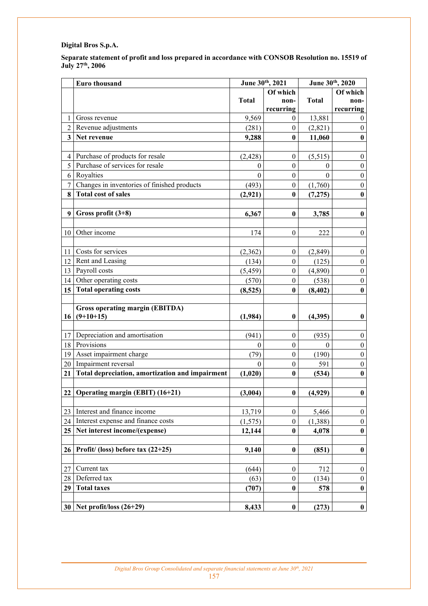**Separate statement of profit and loss prepared in accordance with CONSOB Resolution no. 15519 of July 27th, 2006** 

|                                              | Euro thousand                                                                                                                                                                              | June 30th, 2021                                                          |                                                                                                                          | June 30th, 2020                                                    |                                                                                                                                |
|----------------------------------------------|--------------------------------------------------------------------------------------------------------------------------------------------------------------------------------------------|--------------------------------------------------------------------------|--------------------------------------------------------------------------------------------------------------------------|--------------------------------------------------------------------|--------------------------------------------------------------------------------------------------------------------------------|
|                                              |                                                                                                                                                                                            | Of which                                                                 |                                                                                                                          |                                                                    | Of which                                                                                                                       |
|                                              |                                                                                                                                                                                            | <b>Total</b>                                                             | non-                                                                                                                     | <b>Total</b>                                                       | non-                                                                                                                           |
|                                              |                                                                                                                                                                                            |                                                                          | recurring                                                                                                                |                                                                    | recurring                                                                                                                      |
| 1                                            | Gross revenue                                                                                                                                                                              | 9,569                                                                    | $\boldsymbol{0}$                                                                                                         | 13,881                                                             | $\boldsymbol{0}$                                                                                                               |
| $\overline{2}$                               | Revenue adjustments                                                                                                                                                                        | (281)                                                                    | $\boldsymbol{0}$                                                                                                         | (2, 821)                                                           | $\mathbf{0}$                                                                                                                   |
| $\overline{\mathbf{3}}$                      | Net revenue                                                                                                                                                                                | 9,288                                                                    | $\bf{0}$                                                                                                                 | 11,060                                                             | $\boldsymbol{0}$                                                                                                               |
|                                              |                                                                                                                                                                                            |                                                                          |                                                                                                                          |                                                                    |                                                                                                                                |
| $\overline{4}$                               | Purchase of products for resale                                                                                                                                                            | (2, 428)                                                                 | $\boldsymbol{0}$                                                                                                         | (5,515)                                                            | $\boldsymbol{0}$                                                                                                               |
| 5                                            | Purchase of services for resale                                                                                                                                                            | $\mathbf{0}$                                                             | $\boldsymbol{0}$                                                                                                         | $\theta$                                                           | $\boldsymbol{0}$                                                                                                               |
| 6                                            | Royalties                                                                                                                                                                                  | $\theta$                                                                 | $\boldsymbol{0}$                                                                                                         | $\theta$                                                           | $\boldsymbol{0}$                                                                                                               |
| $\overline{7}$                               | Changes in inventories of finished products                                                                                                                                                | (493)                                                                    | $\boldsymbol{0}$                                                                                                         | (1,760)                                                            | $\boldsymbol{0}$                                                                                                               |
| 8                                            | <b>Total cost of sales</b>                                                                                                                                                                 | (2,921)                                                                  | $\bf{0}$                                                                                                                 | (7,275)                                                            | $\bf{0}$                                                                                                                       |
|                                              |                                                                                                                                                                                            |                                                                          |                                                                                                                          |                                                                    |                                                                                                                                |
| 9                                            | Gross profit $(3+8)$                                                                                                                                                                       | 6,367                                                                    | $\bf{0}$                                                                                                                 | 3,785                                                              | $\bf{0}$                                                                                                                       |
|                                              |                                                                                                                                                                                            |                                                                          |                                                                                                                          |                                                                    |                                                                                                                                |
| 10                                           | Other income                                                                                                                                                                               | 174                                                                      | $\boldsymbol{0}$                                                                                                         | 222                                                                | $\boldsymbol{0}$                                                                                                               |
|                                              |                                                                                                                                                                                            |                                                                          |                                                                                                                          |                                                                    |                                                                                                                                |
| 11                                           | Costs for services                                                                                                                                                                         | (2,362)                                                                  | $\boldsymbol{0}$                                                                                                         | (2, 849)                                                           | $\boldsymbol{0}$                                                                                                               |
| 12                                           | Rent and Leasing                                                                                                                                                                           | (134)                                                                    | $\boldsymbol{0}$                                                                                                         | (125)                                                              | $\boldsymbol{0}$                                                                                                               |
| 13                                           | Payroll costs                                                                                                                                                                              | (5, 459)                                                                 | $\boldsymbol{0}$                                                                                                         | (4,890)                                                            | $\boldsymbol{0}$                                                                                                               |
| 14                                           | Other operating costs                                                                                                                                                                      | (570)                                                                    | $\boldsymbol{0}$                                                                                                         | (538)                                                              | $\boldsymbol{0}$                                                                                                               |
| 15 <sup>15</sup>                             | <b>Total operating costs</b>                                                                                                                                                               | (8,525)                                                                  | $\bf{0}$                                                                                                                 | (8, 402)                                                           | $\bf{0}$                                                                                                                       |
|                                              |                                                                                                                                                                                            |                                                                          |                                                                                                                          |                                                                    |                                                                                                                                |
|                                              | <b>Gross operating margin (EBITDA)</b>                                                                                                                                                     |                                                                          |                                                                                                                          |                                                                    |                                                                                                                                |
| 16                                           | $(9+10+15)$                                                                                                                                                                                | (1,984)                                                                  | $\boldsymbol{0}$                                                                                                         | (4,395)                                                            | $\boldsymbol{0}$                                                                                                               |
|                                              |                                                                                                                                                                                            |                                                                          |                                                                                                                          |                                                                    |                                                                                                                                |
| 17                                           | Depreciation and amortisation                                                                                                                                                              | (941)                                                                    | $\boldsymbol{0}$                                                                                                         | (935)                                                              | $\boldsymbol{0}$                                                                                                               |
| 18                                           | Provisions                                                                                                                                                                                 | $\boldsymbol{0}$                                                         | $\boldsymbol{0}$                                                                                                         | $\theta$                                                           | $\boldsymbol{0}$                                                                                                               |
| 19                                           | Asset impairment charge                                                                                                                                                                    | (79)                                                                     | $\boldsymbol{0}$                                                                                                         | (190)                                                              | $\boldsymbol{0}$                                                                                                               |
| 20                                           | Impairment reversal                                                                                                                                                                        | $\mathbf{0}$                                                             | $\boldsymbol{0}$                                                                                                         | 591                                                                | $\boldsymbol{0}$                                                                                                               |
| 21                                           | Total depreciation, amortization and impairment                                                                                                                                            | (1,020)                                                                  | $\bf{0}$                                                                                                                 | (534)                                                              | $\bf{0}$                                                                                                                       |
|                                              |                                                                                                                                                                                            |                                                                          |                                                                                                                          |                                                                    |                                                                                                                                |
| 22                                           | Operating margin (EBIT) (16+21)                                                                                                                                                            | (3,004)                                                                  | $\bf{0}$                                                                                                                 | (4,929)                                                            | $\pmb{0}$                                                                                                                      |
|                                              |                                                                                                                                                                                            |                                                                          |                                                                                                                          |                                                                    |                                                                                                                                |
|                                              | Interest and finance income                                                                                                                                                                |                                                                          |                                                                                                                          |                                                                    |                                                                                                                                |
|                                              |                                                                                                                                                                                            |                                                                          |                                                                                                                          |                                                                    |                                                                                                                                |
|                                              |                                                                                                                                                                                            |                                                                          |                                                                                                                          |                                                                    |                                                                                                                                |
|                                              |                                                                                                                                                                                            |                                                                          |                                                                                                                          |                                                                    |                                                                                                                                |
|                                              |                                                                                                                                                                                            |                                                                          |                                                                                                                          |                                                                    |                                                                                                                                |
|                                              |                                                                                                                                                                                            |                                                                          |                                                                                                                          |                                                                    |                                                                                                                                |
|                                              |                                                                                                                                                                                            |                                                                          |                                                                                                                          |                                                                    |                                                                                                                                |
|                                              |                                                                                                                                                                                            |                                                                          |                                                                                                                          |                                                                    |                                                                                                                                |
|                                              |                                                                                                                                                                                            |                                                                          |                                                                                                                          |                                                                    |                                                                                                                                |
|                                              |                                                                                                                                                                                            |                                                                          |                                                                                                                          |                                                                    |                                                                                                                                |
|                                              |                                                                                                                                                                                            |                                                                          |                                                                                                                          |                                                                    |                                                                                                                                |
| 23<br>24<br>25<br>26<br>27<br>28<br>29<br>30 | Interest expense and finance costs<br>Net interest income/(expense)<br>Profit/ (loss) before tax $(22+25)$<br>Current tax<br>Deferred tax<br><b>Total taxes</b><br>Net profit/loss (26+29) | 13,719<br>(1, 575)<br>12,144<br>9,140<br>(644)<br>(63)<br>(707)<br>8,433 | $\boldsymbol{0}$<br>$\boldsymbol{0}$<br>$\bf{0}$<br>$\bf{0}$<br>$\mathbf{0}$<br>$\boldsymbol{0}$<br>$\bf{0}$<br>$\bf{0}$ | 5,466<br>(1,388)<br>4,078<br>(851)<br>712<br>(134)<br>578<br>(273) | $\boldsymbol{0}$<br>$\boldsymbol{0}$<br>$\pmb{0}$<br>$\bf{0}$<br>$\boldsymbol{0}$<br>$\boldsymbol{0}$<br>$\bf{0}$<br>$\pmb{0}$ |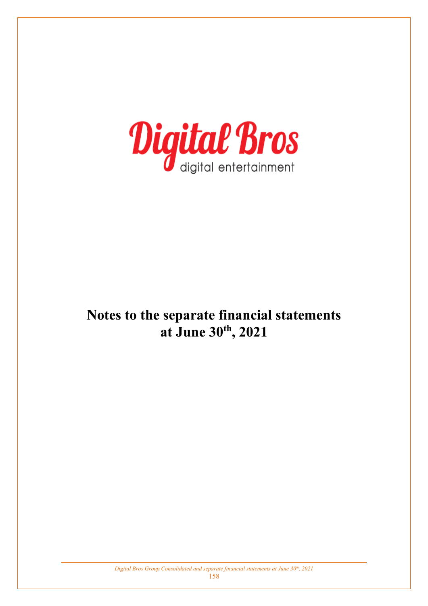

# **Notes to the separate financial statements at June 30th, 2021**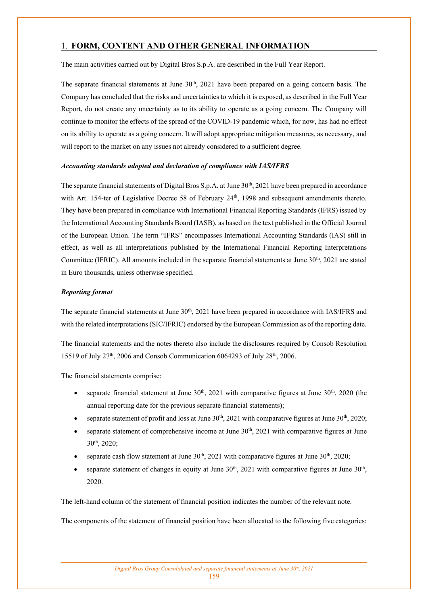## 1. **FORM, CONTENT AND OTHER GENERAL INFORMATION**

The main activities carried out by Digital Bros S.p.A. are described in the Full Year Report.

The separate financial statements at June  $30<sup>th</sup>$ , 2021 have been prepared on a going concern basis. The Company has concluded that the risks and uncertainties to which it is exposed, as described in the Full Year Report, do not create any uncertainty as to its ability to operate as a going concern. The Company will continue to monitor the effects of the spread of the COVID-19 pandemic which, for now, has had no effect on its ability to operate as a going concern. It will adopt appropriate mitigation measures, as necessary, and will report to the market on any issues not already considered to a sufficient degree.

### *Accounting standards adopted and declaration of compliance with IAS/IFRS*

The separate financial statements of Digital Bros S.p.A. at June 30<sup>th</sup>, 2021 have been prepared in accordance with Art. 154-ter of Legislative Decree 58 of February  $24<sup>th</sup>$ , 1998 and subsequent amendments thereto. They have been prepared in compliance with International Financial Reporting Standards (IFRS) issued by the International Accounting Standards Board (IASB), as based on the text published in the Official Journal of the European Union. The term "IFRS" encompasses International Accounting Standards (IAS) still in effect, as well as all interpretations published by the International Financial Reporting Interpretations Committee (IFRIC). All amounts included in the separate financial statements at June  $30<sup>th</sup>$ , 2021 are stated in Euro thousands, unless otherwise specified.

### *Reporting format*

The separate financial statements at June 30<sup>th</sup>, 2021 have been prepared in accordance with IAS/IFRS and with the related interpretations (SIC/IFRIC) endorsed by the European Commission as of the reporting date.

The financial statements and the notes thereto also include the disclosures required by Consob Resolution 15519 of July 27th, 2006 and Consob Communication 6064293 of July 28th, 2006.

The financial statements comprise:

- separate financial statement at June  $30<sup>th</sup>$ , 2021 with comparative figures at June  $30<sup>th</sup>$ , 2020 (the annual reporting date for the previous separate financial statements);
- separate statement of profit and loss at June 30<sup>th</sup>, 2021 with comparative figures at June 30<sup>th</sup>, 2020;
- separate statement of comprehensive income at June  $30<sup>th</sup>$ , 2021 with comparative figures at June 30th, 2020;
- separate cash flow statement at June  $30<sup>th</sup>$ , 2021 with comparative figures at June  $30<sup>th</sup>$ , 2020;
- separate statement of changes in equity at June  $30<sup>th</sup>$ , 2021 with comparative figures at June  $30<sup>th</sup>$ , 2020.

The left-hand column of the statement of financial position indicates the number of the relevant note.

The components of the statement of financial position have been allocated to the following five categories: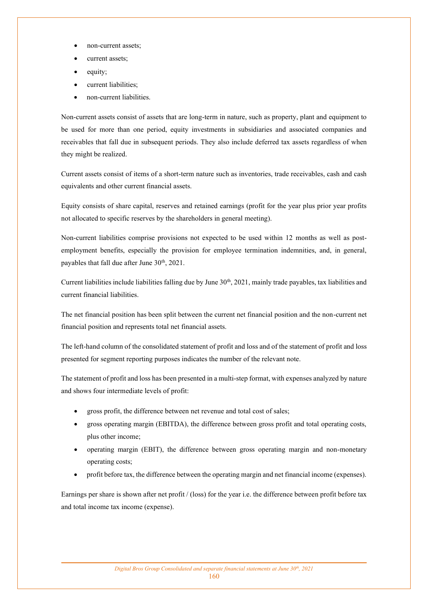- non-current assets;
- current assets;
- equity;
- current liabilities;
- non-current liabilities.

Non-current assets consist of assets that are long-term in nature, such as property, plant and equipment to be used for more than one period, equity investments in subsidiaries and associated companies and receivables that fall due in subsequent periods. They also include deferred tax assets regardless of when they might be realized.

Current assets consist of items of a short-term nature such as inventories, trade receivables, cash and cash equivalents and other current financial assets.

Equity consists of share capital, reserves and retained earnings (profit for the year plus prior year profits not allocated to specific reserves by the shareholders in general meeting).

Non-current liabilities comprise provisions not expected to be used within 12 months as well as postemployment benefits, especially the provision for employee termination indemnities, and, in general, payables that fall due after June  $30<sup>th</sup>$ ,  $2021$ .

Current liabilities include liabilities falling due by June 30<sup>th</sup>, 2021, mainly trade payables, tax liabilities and current financial liabilities.

The net financial position has been split between the current net financial position and the non-current net financial position and represents total net financial assets.

The left-hand column of the consolidated statement of profit and loss and of the statement of profit and loss presented for segment reporting purposes indicates the number of the relevant note.

The statement of profit and loss has been presented in a multi-step format, with expenses analyzed by nature and shows four intermediate levels of profit:

- gross profit, the difference between net revenue and total cost of sales;
- gross operating margin (EBITDA), the difference between gross profit and total operating costs, plus other income;
- operating margin (EBIT), the difference between gross operating margin and non-monetary operating costs;
- profit before tax, the difference between the operating margin and net financial income (expenses).

Earnings per share is shown after net profit / (loss) for the year i.e. the difference between profit before tax and total income tax income (expense).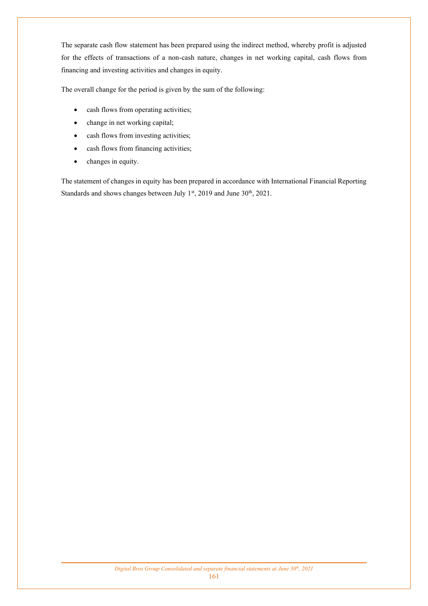The separate cash flow statement has been prepared using the indirect method, whereby profit is adjusted for the effects of transactions of a non-cash nature, changes in net working capital, cash flows from financing and investing activities and changes in equity.

The overall change for the period is given by the sum of the following:

- cash flows from operating activities;
- change in net working capital;
- cash flows from investing activities;
- cash flows from financing activities;
- changes in equity.

The statement of changes in equity has been prepared in accordance with International Financial Reporting Standards and shows changes between July 1<sup>st</sup>, 2019 and June 30<sup>th</sup>, 2021.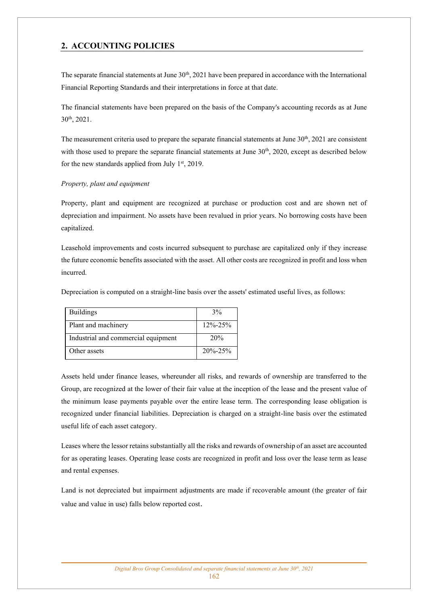## **2. ACCOUNTING POLICIES**

The separate financial statements at June  $30<sup>th</sup>$ , 2021 have been prepared in accordance with the International Financial Reporting Standards and their interpretations in force at that date.

The financial statements have been prepared on the basis of the Company's accounting records as at June 30th, 2021.

The measurement criteria used to prepare the separate financial statements at June  $30<sup>th</sup>$ ,  $2021$  are consistent with those used to prepare the separate financial statements at June  $30<sup>th</sup>$ , 2020, except as described below for the new standards applied from July  $1<sup>st</sup>$ , 2019.

#### *Property, plant and equipment*

Property, plant and equipment are recognized at purchase or production cost and are shown net of depreciation and impairment. No assets have been revalued in prior years. No borrowing costs have been capitalized.

Leasehold improvements and costs incurred subsequent to purchase are capitalized only if they increase the future economic benefits associated with the asset. All other costs are recognized in profit and loss when incurred.

Depreciation is computed on a straight-line basis over the assets' estimated useful lives, as follows:

| <b>Buildings</b>                    | 3%            |
|-------------------------------------|---------------|
| Plant and machinery                 | $12\% - 25\%$ |
| Industrial and commercial equipment | 20%           |
| Other assets                        | $20\% - 25\%$ |

Assets held under finance leases, whereunder all risks, and rewards of ownership are transferred to the Group, are recognized at the lower of their fair value at the inception of the lease and the present value of the minimum lease payments payable over the entire lease term. The corresponding lease obligation is recognized under financial liabilities. Depreciation is charged on a straight-line basis over the estimated useful life of each asset category.

Leases where the lessor retains substantially all the risks and rewards of ownership of an asset are accounted for as operating leases. Operating lease costs are recognized in profit and loss over the lease term as lease and rental expenses.

Land is not depreciated but impairment adjustments are made if recoverable amount (the greater of fair value and value in use) falls below reported cost.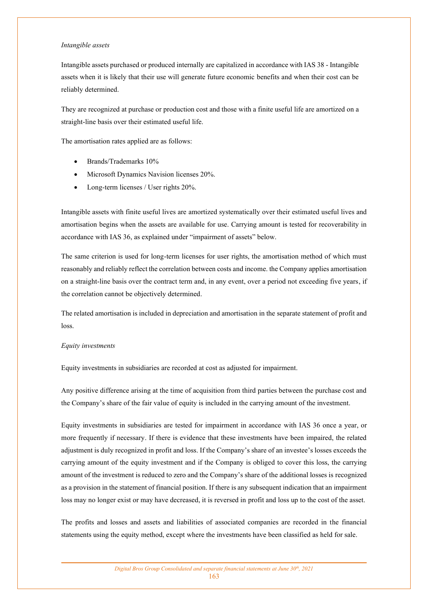#### *Intangible assets*

Intangible assets purchased or produced internally are capitalized in accordance with IAS 38 - Intangible assets when it is likely that their use will generate future economic benefits and when their cost can be reliably determined.

They are recognized at purchase or production cost and those with a finite useful life are amortized on a straight-line basis over their estimated useful life.

The amortisation rates applied are as follows:

- Brands/Trademarks 10%
- Microsoft Dynamics Navision licenses 20%.
- Long-term licenses / User rights 20%.

Intangible assets with finite useful lives are amortized systematically over their estimated useful lives and amortisation begins when the assets are available for use. Carrying amount is tested for recoverability in accordance with IAS 36, as explained under "impairment of assets" below.

The same criterion is used for long-term licenses for user rights, the amortisation method of which must reasonably and reliably reflect the correlation between costs and income. the Company applies amortisation on a straight-line basis over the contract term and, in any event, over a period not exceeding five years, if the correlation cannot be objectively determined.

The related amortisation is included in depreciation and amortisation in the separate statement of profit and loss.

#### *Equity investments*

Equity investments in subsidiaries are recorded at cost as adjusted for impairment.

Any positive difference arising at the time of acquisition from third parties between the purchase cost and the Company's share of the fair value of equity is included in the carrying amount of the investment.

Equity investments in subsidiaries are tested for impairment in accordance with IAS 36 once a year, or more frequently if necessary. If there is evidence that these investments have been impaired, the related adjustment is duly recognized in profit and loss. If the Company's share of an investee's losses exceeds the carrying amount of the equity investment and if the Company is obliged to cover this loss, the carrying amount of the investment is reduced to zero and the Company's share of the additional losses is recognized as a provision in the statement of financial position. If there is any subsequent indication that an impairment loss may no longer exist or may have decreased, it is reversed in profit and loss up to the cost of the asset.

The profits and losses and assets and liabilities of associated companies are recorded in the financial statements using the equity method, except where the investments have been classified as held for sale.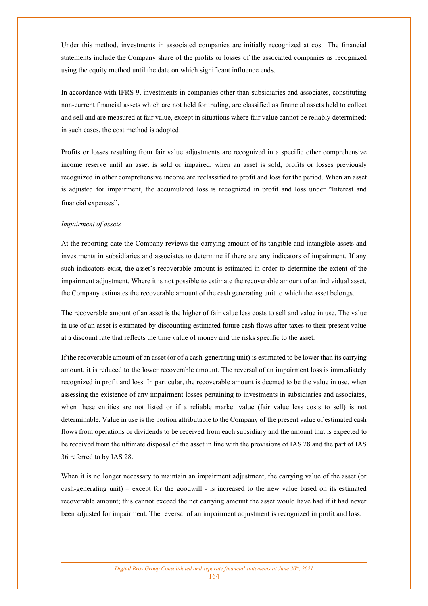Under this method, investments in associated companies are initially recognized at cost. The financial statements include the Company share of the profits or losses of the associated companies as recognized using the equity method until the date on which significant influence ends.

In accordance with IFRS 9, investments in companies other than subsidiaries and associates, constituting non-current financial assets which are not held for trading, are classified as financial assets held to collect and sell and are measured at fair value, except in situations where fair value cannot be reliably determined: in such cases, the cost method is adopted.

Profits or losses resulting from fair value adjustments are recognized in a specific other comprehensive income reserve until an asset is sold or impaired; when an asset is sold, profits or losses previously recognized in other comprehensive income are reclassified to profit and loss for the period. When an asset is adjusted for impairment, the accumulated loss is recognized in profit and loss under "Interest and financial expenses".

#### *Impairment of assets*

At the reporting date the Company reviews the carrying amount of its tangible and intangible assets and investments in subsidiaries and associates to determine if there are any indicators of impairment. If any such indicators exist, the asset's recoverable amount is estimated in order to determine the extent of the impairment adjustment. Where it is not possible to estimate the recoverable amount of an individual asset, the Company estimates the recoverable amount of the cash generating unit to which the asset belongs.

The recoverable amount of an asset is the higher of fair value less costs to sell and value in use. The value in use of an asset is estimated by discounting estimated future cash flows after taxes to their present value at a discount rate that reflects the time value of money and the risks specific to the asset.

If the recoverable amount of an asset (or of a cash-generating unit) is estimated to be lower than its carrying amount, it is reduced to the lower recoverable amount. The reversal of an impairment loss is immediately recognized in profit and loss. In particular, the recoverable amount is deemed to be the value in use, when assessing the existence of any impairment losses pertaining to investments in subsidiaries and associates, when these entities are not listed or if a reliable market value (fair value less costs to sell) is not determinable. Value in use is the portion attributable to the Company of the present value of estimated cash flows from operations or dividends to be received from each subsidiary and the amount that is expected to be received from the ultimate disposal of the asset in line with the provisions of IAS 28 and the part of IAS 36 referred to by IAS 28.

When it is no longer necessary to maintain an impairment adjustment, the carrying value of the asset (or cash-generating unit) – except for the goodwill - is increased to the new value based on its estimated recoverable amount; this cannot exceed the net carrying amount the asset would have had if it had never been adjusted for impairment. The reversal of an impairment adjustment is recognized in profit and loss.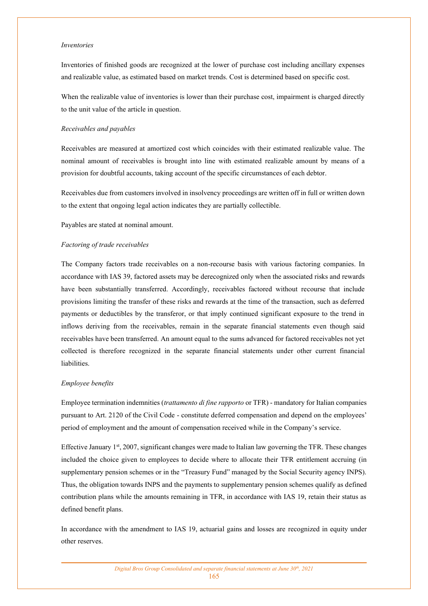#### *Inventories*

Inventories of finished goods are recognized at the lower of purchase cost including ancillary expenses and realizable value, as estimated based on market trends. Cost is determined based on specific cost.

When the realizable value of inventories is lower than their purchase cost, impairment is charged directly to the unit value of the article in question.

#### *Receivables and payables*

Receivables are measured at amortized cost which coincides with their estimated realizable value. The nominal amount of receivables is brought into line with estimated realizable amount by means of a provision for doubtful accounts, taking account of the specific circumstances of each debtor.

Receivables due from customers involved in insolvency proceedings are written off in full or written down to the extent that ongoing legal action indicates they are partially collectible.

Payables are stated at nominal amount.

#### *Factoring of trade receivables*

The Company factors trade receivables on a non-recourse basis with various factoring companies. In accordance with IAS 39, factored assets may be derecognized only when the associated risks and rewards have been substantially transferred. Accordingly, receivables factored without recourse that include provisions limiting the transfer of these risks and rewards at the time of the transaction, such as deferred payments or deductibles by the transferor, or that imply continued significant exposure to the trend in inflows deriving from the receivables, remain in the separate financial statements even though said receivables have been transferred. An amount equal to the sums advanced for factored receivables not yet collected is therefore recognized in the separate financial statements under other current financial liabilities.

#### *Employee benefits*

Employee termination indemnities (*trattamento di fine rapporto* or TFR) - mandatory for Italian companies pursuant to Art. 2120 of the Civil Code - constitute deferred compensation and depend on the employees' period of employment and the amount of compensation received while in the Company's service.

Effective January 1st, 2007, significant changes were made to Italian law governing the TFR. These changes included the choice given to employees to decide where to allocate their TFR entitlement accruing (in supplementary pension schemes or in the "Treasury Fund" managed by the Social Security agency INPS). Thus, the obligation towards INPS and the payments to supplementary pension schemes qualify as defined contribution plans while the amounts remaining in TFR, in accordance with IAS 19, retain their status as defined benefit plans.

In accordance with the amendment to IAS 19, actuarial gains and losses are recognized in equity under other reserves.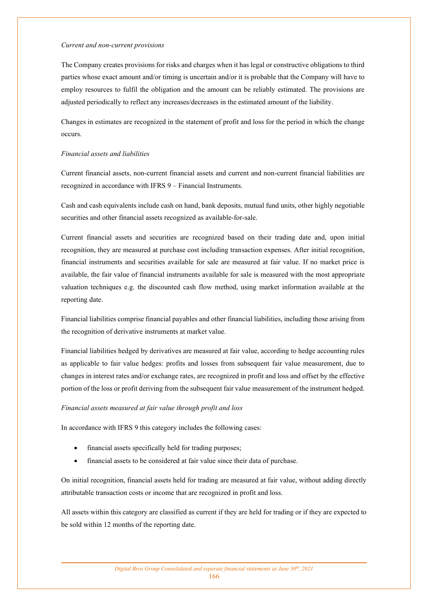#### *Current and non-current provisions*

The Company creates provisions for risks and charges when it has legal or constructive obligations to third parties whose exact amount and/or timing is uncertain and/or it is probable that the Company will have to employ resources to fulfil the obligation and the amount can be reliably estimated. The provisions are adjusted periodically to reflect any increases/decreases in the estimated amount of the liability.

Changes in estimates are recognized in the statement of profit and loss for the period in which the change occurs.

#### *Financial assets and liabilities*

Current financial assets, non-current financial assets and current and non-current financial liabilities are recognized in accordance with IFRS 9 – Financial Instruments.

Cash and cash equivalents include cash on hand, bank deposits, mutual fund units, other highly negotiable securities and other financial assets recognized as available-for-sale.

Current financial assets and securities are recognized based on their trading date and, upon initial recognition, they are measured at purchase cost including transaction expenses. After initial recognition, financial instruments and securities available for sale are measured at fair value. If no market price is available, the fair value of financial instruments available for sale is measured with the most appropriate valuation techniques e.g. the discounted cash flow method, using market information available at the reporting date.

Financial liabilities comprise financial payables and other financial liabilities, including those arising from the recognition of derivative instruments at market value.

Financial liabilities hedged by derivatives are measured at fair value, according to hedge accounting rules as applicable to fair value hedges: profits and losses from subsequent fair value measurement, due to changes in interest rates and/or exchange rates, are recognized in profit and loss and offset by the effective portion of the loss or profit deriving from the subsequent fair value measurement of the instrument hedged.

#### *Financial assets measured at fair value through profit and loss*

In accordance with IFRS 9 this category includes the following cases:

- financial assets specifically held for trading purposes;
- financial assets to be considered at fair value since their data of purchase.

On initial recognition, financial assets held for trading are measured at fair value, without adding directly attributable transaction costs or income that are recognized in profit and loss.

All assets within this category are classified as current if they are held for trading or if they are expected to be sold within 12 months of the reporting date.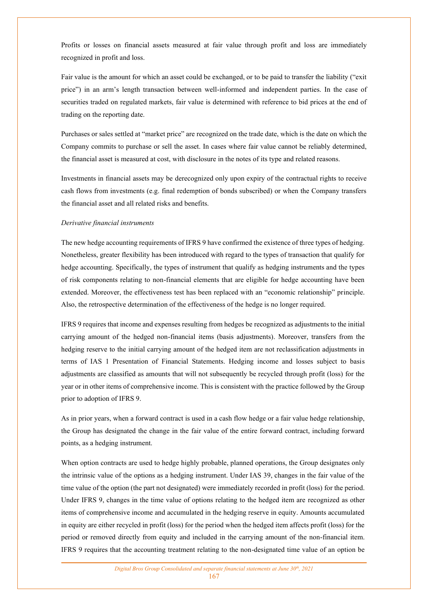Profits or losses on financial assets measured at fair value through profit and loss are immediately recognized in profit and loss.

Fair value is the amount for which an asset could be exchanged, or to be paid to transfer the liability ("exit price") in an arm's length transaction between well-informed and independent parties. In the case of securities traded on regulated markets, fair value is determined with reference to bid prices at the end of trading on the reporting date.

Purchases or sales settled at "market price" are recognized on the trade date, which is the date on which the Company commits to purchase or sell the asset. In cases where fair value cannot be reliably determined, the financial asset is measured at cost, with disclosure in the notes of its type and related reasons.

Investments in financial assets may be derecognized only upon expiry of the contractual rights to receive cash flows from investments (e.g. final redemption of bonds subscribed) or when the Company transfers the financial asset and all related risks and benefits.

#### *Derivative financial instruments*

The new hedge accounting requirements of IFRS 9 have confirmed the existence of three types of hedging. Nonetheless, greater flexibility has been introduced with regard to the types of transaction that qualify for hedge accounting. Specifically, the types of instrument that qualify as hedging instruments and the types of risk components relating to non-financial elements that are eligible for hedge accounting have been extended. Moreover, the effectiveness test has been replaced with an "economic relationship" principle. Also, the retrospective determination of the effectiveness of the hedge is no longer required.

IFRS 9 requires that income and expenses resulting from hedges be recognized as adjustments to the initial carrying amount of the hedged non-financial items (basis adjustments). Moreover, transfers from the hedging reserve to the initial carrying amount of the hedged item are not reclassification adjustments in terms of IAS 1 Presentation of Financial Statements. Hedging income and losses subject to basis adjustments are classified as amounts that will not subsequently be recycled through profit (loss) for the year or in other items of comprehensive income. This is consistent with the practice followed by the Group prior to adoption of IFRS 9.

As in prior years, when a forward contract is used in a cash flow hedge or a fair value hedge relationship, the Group has designated the change in the fair value of the entire forward contract, including forward points, as a hedging instrument.

When option contracts are used to hedge highly probable, planned operations, the Group designates only the intrinsic value of the options as a hedging instrument. Under IAS 39, changes in the fair value of the time value of the option (the part not designated) were immediately recorded in profit (loss) for the period. Under IFRS 9, changes in the time value of options relating to the hedged item are recognized as other items of comprehensive income and accumulated in the hedging reserve in equity. Amounts accumulated in equity are either recycled in profit (loss) for the period when the hedged item affects profit (loss) for the period or removed directly from equity and included in the carrying amount of the non-financial item. IFRS 9 requires that the accounting treatment relating to the non-designated time value of an option be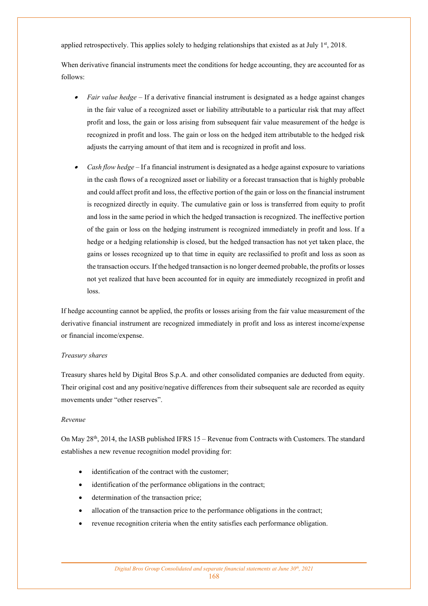applied retrospectively. This applies solely to hedging relationships that existed as at July 1<sup>st</sup>, 2018.

When derivative financial instruments meet the conditions for hedge accounting, they are accounted for as follows:

- *Fair value hedge* If a derivative financial instrument is designated as a hedge against changes in the fair value of a recognized asset or liability attributable to a particular risk that may affect profit and loss, the gain or loss arising from subsequent fair value measurement of the hedge is recognized in profit and loss. The gain or loss on the hedged item attributable to the hedged risk adjusts the carrying amount of that item and is recognized in profit and loss.
- • *Cash flow hedge* – If a financial instrument is designated as a hedge against exposure to variations in the cash flows of a recognized asset or liability or a forecast transaction that is highly probable and could affect profit and loss, the effective portion of the gain or loss on the financial instrument is recognized directly in equity. The cumulative gain or loss is transferred from equity to profit and loss in the same period in which the hedged transaction is recognized. The ineffective portion of the gain or loss on the hedging instrument is recognized immediately in profit and loss. If a hedge or a hedging relationship is closed, but the hedged transaction has not yet taken place, the gains or losses recognized up to that time in equity are reclassified to profit and loss as soon as the transaction occurs. If the hedged transaction is no longer deemed probable, the profits or losses not yet realized that have been accounted for in equity are immediately recognized in profit and loss.

If hedge accounting cannot be applied, the profits or losses arising from the fair value measurement of the derivative financial instrument are recognized immediately in profit and loss as interest income/expense or financial income/expense.

#### *Treasury shares*

Treasury shares held by Digital Bros S.p.A. and other consolidated companies are deducted from equity. Their original cost and any positive/negative differences from their subsequent sale are recorded as equity movements under "other reserves".

#### *Revenue*

On May 28<sup>th</sup>, 2014, the IASB published IFRS 15 – Revenue from Contracts with Customers. The standard establishes a new revenue recognition model providing for:

- identification of the contract with the customer:
- identification of the performance obligations in the contract;
- determination of the transaction price;
- allocation of the transaction price to the performance obligations in the contract;
- revenue recognition criteria when the entity satisfies each performance obligation.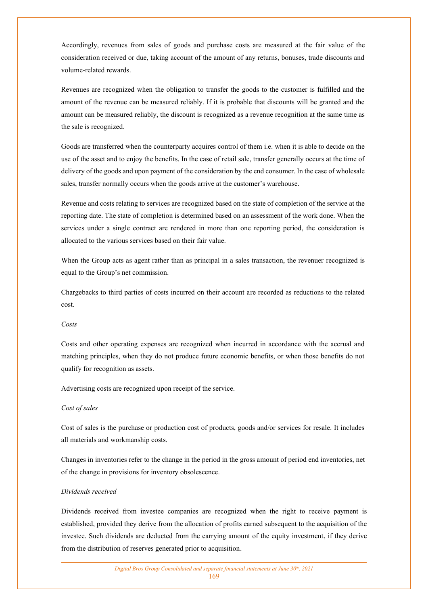Accordingly, revenues from sales of goods and purchase costs are measured at the fair value of the consideration received or due, taking account of the amount of any returns, bonuses, trade discounts and volume-related rewards.

Revenues are recognized when the obligation to transfer the goods to the customer is fulfilled and the amount of the revenue can be measured reliably. If it is probable that discounts will be granted and the amount can be measured reliably, the discount is recognized as a revenue recognition at the same time as the sale is recognized.

Goods are transferred when the counterparty acquires control of them i.e. when it is able to decide on the use of the asset and to enjoy the benefits. In the case of retail sale, transfer generally occurs at the time of delivery of the goods and upon payment of the consideration by the end consumer. In the case of wholesale sales, transfer normally occurs when the goods arrive at the customer's warehouse.

Revenue and costs relating to services are recognized based on the state of completion of the service at the reporting date. The state of completion is determined based on an assessment of the work done. When the services under a single contract are rendered in more than one reporting period, the consideration is allocated to the various services based on their fair value.

When the Group acts as agent rather than as principal in a sales transaction, the revenuer recognized is equal to the Group's net commission.

Chargebacks to third parties of costs incurred on their account are recorded as reductions to the related cost.

#### *Costs*

Costs and other operating expenses are recognized when incurred in accordance with the accrual and matching principles, when they do not produce future economic benefits, or when those benefits do not qualify for recognition as assets.

Advertising costs are recognized upon receipt of the service.

#### *Cost of sales*

Cost of sales is the purchase or production cost of products, goods and/or services for resale. It includes all materials and workmanship costs.

Changes in inventories refer to the change in the period in the gross amount of period end inventories, net of the change in provisions for inventory obsolescence.

### *Dividends received*

Dividends received from investee companies are recognized when the right to receive payment is established, provided they derive from the allocation of profits earned subsequent to the acquisition of the investee. Such dividends are deducted from the carrying amount of the equity investment, if they derive from the distribution of reserves generated prior to acquisition.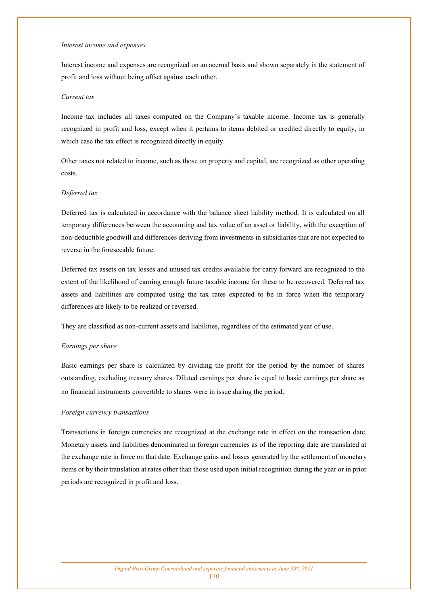#### *Interest income and expenses*

Interest income and expenses are recognized on an accrual basis and shown separately in the statement of profit and loss without being offset against each other.

#### *Current tax*

Income tax includes all taxes computed on the Company's taxable income. Income tax is generally recognized in profit and loss, except when it pertains to items debited or credited directly to equity, in which case the tax effect is recognized directly in equity.

Other taxes not related to income, such as those on property and capital, are recognized as other operating costs.

#### *Deferred tax*

Deferred tax is calculated in accordance with the balance sheet liability method. It is calculated on all temporary differences between the accounting and tax value of an asset or liability, with the exception of non-deductible goodwill and differences deriving from investments in subsidiaries that are not expected to reverse in the foreseeable future.

Deferred tax assets on tax losses and unused tax credits available for carry forward are recognized to the extent of the likelihood of earning enough future taxable income for these to be recovered. Deferred tax assets and liabilities are computed using the tax rates expected to be in force when the temporary differences are likely to be realized or reversed.

They are classified as non-current assets and liabilities, regardless of the estimated year of use.

#### *Earnings per share*

Basic earnings per share is calculated by dividing the profit for the period by the number of shares outstanding, excluding treasury shares. Diluted earnings per share is equal to basic earnings per share as no financial instruments convertible to shares were in issue during the period.

#### *Foreign currency transactions*

Transactions in foreign currencies are recognized at the exchange rate in effect on the transaction date. Monetary assets and liabilities denominated in foreign currencies as of the reporting date are translated at the exchange rate in force on that date. Exchange gains and losses generated by the settlement of monetary items or by their translation at rates other than those used upon initial recognition during the year or in prior periods are recognized in profit and loss.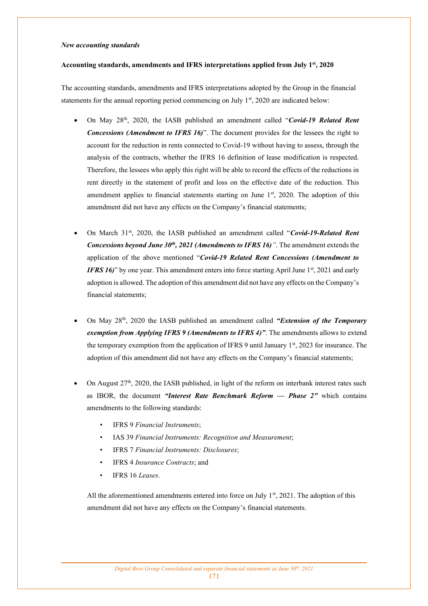### *New accounting standards*

#### **Accounting standards, amendments and IFRS interpretations applied from July 1st, 2020**

The accounting standards, amendments and IFRS interpretations adopted by the Group in the financial statements for the annual reporting period commencing on July  $1<sup>st</sup>$ , 2020 are indicated below:

- On May 28th, 2020, the IASB published an amendment called "*Covid-19 Related Rent Concessions (Amendment to IFRS 16)*". The document provides for the lessees the right to account for the reduction in rents connected to Covid-19 without having to assess, through the analysis of the contracts, whether the IFRS 16 definition of lease modification is respected. Therefore, the lessees who apply this right will be able to record the effects of the reductions in rent directly in the statement of profit and loss on the effective date of the reduction. This amendment applies to financial statements starting on June  $1<sup>st</sup>$ , 2020. The adoption of this amendment did not have any effects on the Company's financial statements;
- On March 31st, 2020, the IASB published an amendment called "*Covid-19-Related Rent Concessions beyond June 30th, 2021 (Amendments to IFRS 16)"*. The amendment extends the application of the above mentioned "*Covid-19 Related Rent Concessions (Amendment to IFRS 16*)" by one year. This amendment enters into force starting April June 1<sup>st</sup>, 2021 and early adoption is allowed. The adoption of this amendment did not have any effects on the Company's financial statements;
- On May 28th, 2020 the IASB published an amendment called *"Extension of the Temporary exemption from Applying IFRS 9 (Amendments to IFRS 4)"*. The amendments allows to extend the temporary exemption from the application of IFRS 9 until January  $1<sup>st</sup>$ , 2023 for insurance. The adoption of this amendment did not have any effects on the Company's financial statements;
- On August  $27<sup>th</sup>$ , 2020, the IASB published, in light of the reform on interbank interest rates such as IBOR, the document *"Interest Rate Benchmark Reform — Phase 2"* which contains amendments to the following standards:
	- IFRS 9 *Financial Instruments*;
	- IAS 39 *Financial Instruments: Recognition and Measurement*;
	- IFRS 7 *Financial Instruments: Disclosures*;
	- IFRS 4 *Insurance Contracts*; and
	- IFRS 16 *Leases*.

All the aforementioned amendments entered into force on July  $1<sup>st</sup>$ , 2021. The adoption of this amendment did not have any effects on the Company's financial statements.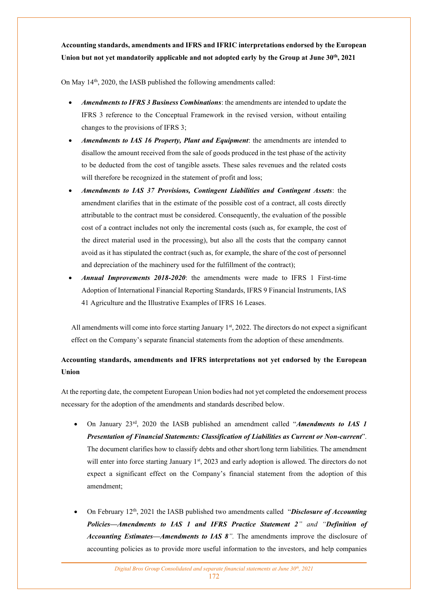**Accounting standards, amendments and IFRS and IFRIC interpretations endorsed by the European Union but not yet mandatorily applicable and not adopted early by the Group at June 30th, 2021** 

On May 14<sup>th</sup>, 2020, the IASB published the following amendments called:

- *Amendments to IFRS 3 Business Combinations*: the amendments are intended to update the IFRS 3 reference to the Conceptual Framework in the revised version, without entailing changes to the provisions of IFRS 3;
- *Amendments to IAS 16 Property, Plant and Equipment*: the amendments are intended to disallow the amount received from the sale of goods produced in the test phase of the activity to be deducted from the cost of tangible assets. These sales revenues and the related costs will therefore be recognized in the statement of profit and loss;
- *Amendments to IAS 37 Provisions, Contingent Liabilities and Contingent Assets*: the amendment clarifies that in the estimate of the possible cost of a contract, all costs directly attributable to the contract must be considered. Consequently, the evaluation of the possible cost of a contract includes not only the incremental costs (such as, for example, the cost of the direct material used in the processing), but also all the costs that the company cannot avoid as it has stipulated the contract (such as, for example, the share of the cost of personnel and depreciation of the machinery used for the fulfillment of the contract);
- *Annual Improvements 2018-2020*: the amendments were made to IFRS 1 First-time Adoption of International Financial Reporting Standards, IFRS 9 Financial Instruments, IAS 41 Agriculture and the Illustrative Examples of IFRS 16 Leases.

All amendments will come into force starting January 1<sup>st</sup>, 2022. The directors do not expect a significant effect on the Company's separate financial statements from the adoption of these amendments.

# **Accounting standards, amendments and IFRS interpretations not yet endorsed by the European Union**

At the reporting date, the competent European Union bodies had not yet completed the endorsement process necessary for the adoption of the amendments and standards described below.

- On January 23rd, 2020 the IASB published an amendment called "*Amendments to IAS 1 Presentation of Financial Statements: Classification of Liabilities as Current or Non-current*". The document clarifies how to classify debts and other short/long term liabilities. The amendment will enter into force starting January 1<sup>st</sup>, 2023 and early adoption is allowed. The directors do not expect a significant effect on the Company's financial statement from the adoption of this amendment;
- On February 12th, 2021 the IASB published two amendments called "*Disclosure of Accounting Policies—Amendments to IAS 1 and IFRS Practice Statement 2" and "Definition of Accounting Estimates—Amendments to IAS 8".* The amendments improve the disclosure of accounting policies as to provide more useful information to the investors, and help companies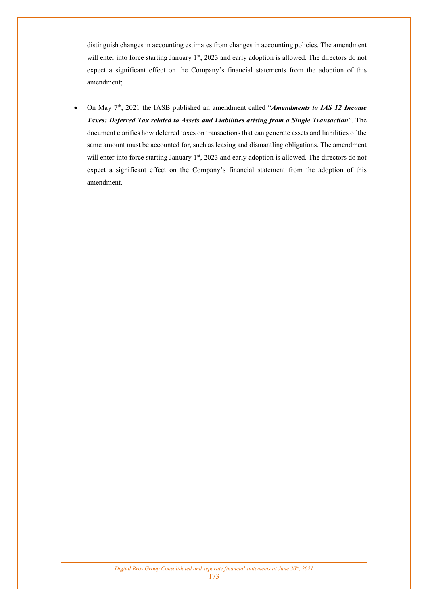distinguish changes in accounting estimates from changes in accounting policies. The amendment will enter into force starting January 1<sup>st</sup>, 2023 and early adoption is allowed. The directors do not expect a significant effect on the Company's financial statements from the adoption of this amendment;

• On May 7th, 2021 the IASB published an amendment called "*Amendments to IAS 12 Income Taxes: Deferred Tax related to Assets and Liabilities arising from a Single Transaction*". The document clarifies how deferred taxes on transactions that can generate assets and liabilities of the same amount must be accounted for, such as leasing and dismantling obligations. The amendment will enter into force starting January 1<sup>st</sup>, 2023 and early adoption is allowed. The directors do not expect a significant effect on the Company's financial statement from the adoption of this amendment.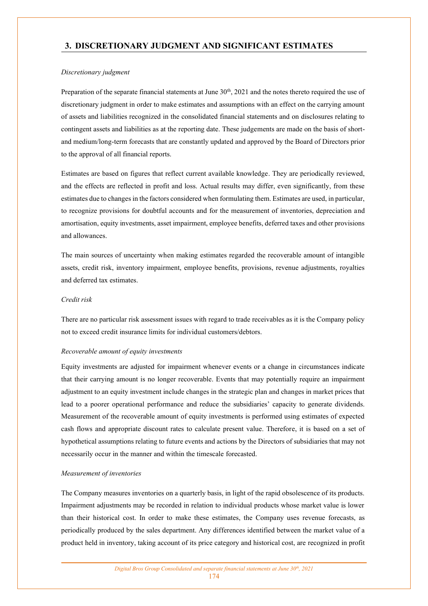# **3. DISCRETIONARY JUDGMENT AND SIGNIFICANT ESTIMATES**

### *Discretionary judgment*

Preparation of the separate financial statements at June 30<sup>th</sup>, 2021 and the notes thereto required the use of discretionary judgment in order to make estimates and assumptions with an effect on the carrying amount of assets and liabilities recognized in the consolidated financial statements and on disclosures relating to contingent assets and liabilities as at the reporting date. These judgements are made on the basis of shortand medium/long-term forecasts that are constantly updated and approved by the Board of Directors prior to the approval of all financial reports.

Estimates are based on figures that reflect current available knowledge. They are periodically reviewed, and the effects are reflected in profit and loss. Actual results may differ, even significantly, from these estimates due to changes in the factors considered when formulating them. Estimates are used, in particular, to recognize provisions for doubtful accounts and for the measurement of inventories, depreciation and amortisation, equity investments, asset impairment, employee benefits, deferred taxes and other provisions and allowances.

The main sources of uncertainty when making estimates regarded the recoverable amount of intangible assets, credit risk, inventory impairment, employee benefits, provisions, revenue adjustments, royalties and deferred tax estimates.

### *Credit risk*

There are no particular risk assessment issues with regard to trade receivables as it is the Company policy not to exceed credit insurance limits for individual customers/debtors.

### *Recoverable amount of equity investments*

Equity investments are adjusted for impairment whenever events or a change in circumstances indicate that their carrying amount is no longer recoverable. Events that may potentially require an impairment adjustment to an equity investment include changes in the strategic plan and changes in market prices that lead to a poorer operational performance and reduce the subsidiaries' capacity to generate dividends. Measurement of the recoverable amount of equity investments is performed using estimates of expected cash flows and appropriate discount rates to calculate present value. Therefore, it is based on a set of hypothetical assumptions relating to future events and actions by the Directors of subsidiaries that may not necessarily occur in the manner and within the timescale forecasted.

#### *Measurement of inventories*

The Company measures inventories on a quarterly basis, in light of the rapid obsolescence of its products. Impairment adjustments may be recorded in relation to individual products whose market value is lower than their historical cost. In order to make these estimates, the Company uses revenue forecasts, as periodically produced by the sales department. Any differences identified between the market value of a product held in inventory, taking account of its price category and historical cost, are recognized in profit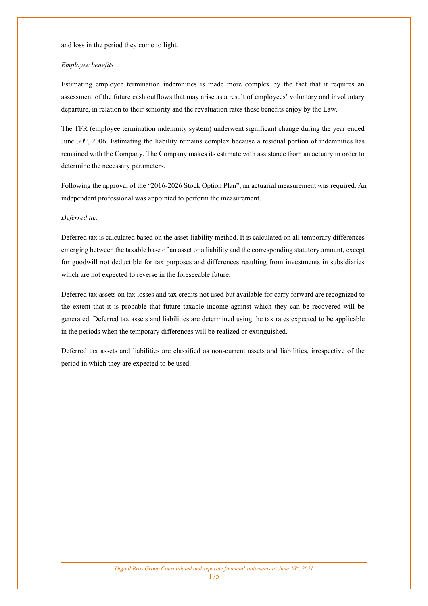and loss in the period they come to light.

#### *Employee benefits*

Estimating employee termination indemnities is made more complex by the fact that it requires an assessment of the future cash outflows that may arise as a result of employees' voluntary and involuntary departure, in relation to their seniority and the revaluation rates these benefits enjoy by the Law.

The TFR (employee termination indemnity system) underwent significant change during the year ended June 30th, 2006. Estimating the liability remains complex because a residual portion of indemnities has remained with the Company. The Company makes its estimate with assistance from an actuary in order to determine the necessary parameters.

Following the approval of the "2016-2026 Stock Option Plan", an actuarial measurement was required. An independent professional was appointed to perform the measurement.

#### *Deferred tax*

Deferred tax is calculated based on the asset-liability method. It is calculated on all temporary differences emerging between the taxable base of an asset or a liability and the corresponding statutory amount, except for goodwill not deductible for tax purposes and differences resulting from investments in subsidiaries which are not expected to reverse in the foreseeable future.

Deferred tax assets on tax losses and tax credits not used but available for carry forward are recognized to the extent that it is probable that future taxable income against which they can be recovered will be generated. Deferred tax assets and liabilities are determined using the tax rates expected to be applicable in the periods when the temporary differences will be realized or extinguished.

Deferred tax assets and liabilities are classified as non-current assets and liabilities, irrespective of the period in which they are expected to be used.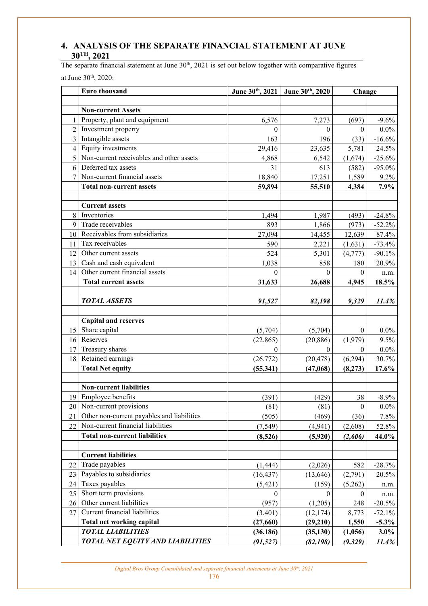# **4. ANALYSIS OF THE SEPARATE FINANCIAL STATEMENT AT JUNE 30TH, 2021**

The separate financial statement at June  $30<sup>th</sup>$ , 2021 is set out below together with comparative figures

at June 30th, 2020:

|                | Euro thousand                              |              | June 30th, 2021 June 30th, 2020 | Change           |           |
|----------------|--------------------------------------------|--------------|---------------------------------|------------------|-----------|
|                |                                            |              |                                 |                  |           |
|                | <b>Non-current Assets</b>                  |              |                                 |                  |           |
| 1              | Property, plant and equipment              | 6,576        | 7,273                           | (697)            | $-9.6%$   |
| $\overline{2}$ | Investment property                        | $\mathbf{0}$ | $\theta$                        | $\boldsymbol{0}$ | $0.0\%$   |
| $\overline{3}$ | Intangible assets                          | 163          | 196                             | (33)             | $-16.6%$  |
| $\overline{4}$ | Equity investments                         | 29,416       | 23,635                          | 5,781            | 24.5%     |
| 5              | Non-current receivables and other assets   | 4,868        | 6,542                           | (1,674)          | $-25.6%$  |
| 6              | Deferred tax assets                        | 31           | 613                             | (582)            | $-95.0\%$ |
| 7              | Non-current financial assets               | 18,840       | 17,251                          | 1,589            | $9.2\%$   |
|                | <b>Total non-current assets</b>            | 59,894       | 55,510                          | 4,384            | 7.9%      |
|                |                                            |              |                                 |                  |           |
|                | <b>Current assets</b>                      |              |                                 |                  |           |
| 8              | Inventories                                | 1,494        | 1,987                           | (493)            | $-24.8%$  |
| 9              | Trade receivables                          | 893          | 1,866                           | (973)            | $-52.2%$  |
| 10             | Receivables from subsidiaries              | 27,094       | 14,455                          | 12,639           | 87.4%     |
| 11             | Tax receivables                            | 590          | 2,221                           | (1,631)          | $-73.4%$  |
| 12             | Other current assets                       | 524          | 5,301                           | (4,777)          | $-90.1%$  |
| 13             | Cash and cash equivalent                   | 1,038        | 858                             | 180              | 20.9%     |
| 14             | Other current financial assets             | $\theta$     | $\Omega$                        | $\mathbf{0}$     | n.m.      |
|                | <b>Total current assets</b>                | 31,633       | 26,688                          | 4,945            | 18.5%     |
|                |                                            |              |                                 |                  |           |
|                | <b>TOTAL ASSETS</b>                        | 91,527       | 82,198                          | 9,329            | 11.4%     |
|                |                                            |              |                                 |                  |           |
|                | <b>Capital and reserves</b>                |              |                                 |                  |           |
| 15             | Share capital                              | (5,704)      | (5,704)                         | $\theta$         | $0.0\%$   |
| 16             | Reserves                                   | (22, 865)    | (20, 886)                       | (1,979)          | 9.5%      |
| 17             | Treasury shares                            | 0            | $\Omega$                        | $\theta$         | $0.0\%$   |
| 18             | Retained earnings                          | (26, 772)    | (20, 478)                       | (6,294)          | 30.7%     |
|                | <b>Total Net equity</b>                    | (55, 341)    | (47,068)                        | (8,273)          | 17.6%     |
|                |                                            |              |                                 |                  |           |
|                | <b>Non-current liabilities</b>             |              |                                 |                  |           |
| 19             | Employee benefits                          | (391)        | (429)                           | 38               | $-8.9\%$  |
|                | 20 Non-current provisions                  | (81)         | (81)                            | $\boldsymbol{0}$ | $0.0\%$   |
| 21             | Other non-current payables and liabilities | (505)        | (469)                           | (36)             | 7.8%      |
| 22             | Non-current financial liabilities          | (7, 549)     | (4,941)                         | (2,608)          | 52.8%     |
|                | <b>Total non-current liabilities</b>       | (8,526)      | (5,920)                         | (2,606)          | 44.0%     |
|                |                                            |              |                                 |                  |           |
|                | <b>Current liabilities</b>                 |              |                                 |                  |           |
| 22             | Trade payables                             | (1, 444)     | (2,026)                         | 582              | $-28.7%$  |
| 23             | Payables to subsidiaries                   | (16, 437)    | (13, 646)                       | (2,791)          | 20.5%     |
| 24             | Taxes payables                             | (5, 421)     | (159)                           | (5,262)          | n.m.      |
| 25             | Short term provisions                      | $\theta$     | $\theta$                        | $\boldsymbol{0}$ | n.m.      |
| 26             | Other current liabilities                  | (957)        | (1,205)                         | 248              | $-20.5\%$ |
| 27             | Current financial liabilities              | (3,401)      | (12, 174)                       | 8,773            | $-72.1%$  |
|                | Total net working capital                  | (27, 660)    | (29,210)                        | 1,550            | $-5.3\%$  |
|                | <b>TOTAL LIABILITIES</b>                   | (36, 186)    | (35, 130)                       | (1,056)          | $3.0\%$   |
|                | <b>TOTAL NET EQUITY AND LIABILITIES</b>    | (91, 527)    | (82, 198)                       | (9, 329)         | 11.4%     |

*Digital Bros Group Consolidated and separate financial statements at June 30th, 2021*  176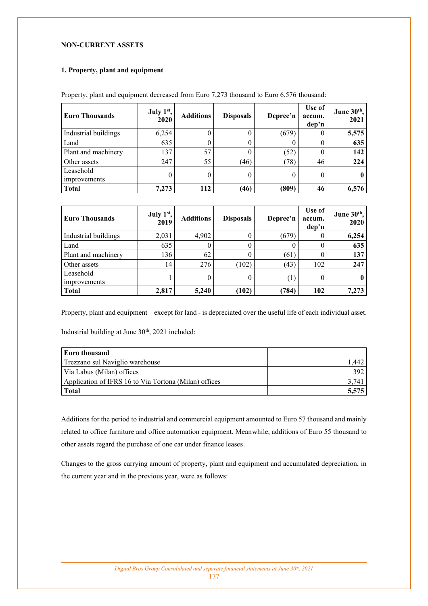## **NON-CURRENT ASSETS**

## **1. Property, plant and equipment**

| <b>Euro Thousands</b>            | July 1 <sup>st</sup> ,<br>2020 | <b>Additions</b> | <b>Disposals</b> | Deprec'n | Use of  <br>accum.<br>dep'n | June 30th,<br>2021 |
|----------------------------------|--------------------------------|------------------|------------------|----------|-----------------------------|--------------------|
| Industrial buildings             | 6,254                          | $^{(1)}$         | 0                | (679)    |                             | 5,575              |
| Land                             | 635                            | 0                | 0                |          |                             | 635                |
| Plant and machinery              | 137                            | 57               | 0                | (52)     |                             | 142                |
| Other assets                     | 247                            | 55               | (46)             | (78)     | 46                          | 224                |
| Leasehold<br><i>improvements</i> |                                | 0                | 0                |          | $\theta$                    |                    |
| <b>Total</b>                     | 7,273                          | 112              | (46)             | (809)    | 46                          | 6,576              |

Property, plant and equipment decreased from Euro 7,273 thousand to Euro 6,576 thousand:

| <b>Euro Thousands</b>     | July 1st,<br>2019 | <b>Additions</b> | <b>Disposals</b> | Deprec'n         | Use of  <br>accum.<br>dep'n | June 30th,<br>2020 |
|---------------------------|-------------------|------------------|------------------|------------------|-----------------------------|--------------------|
| Industrial buildings      | 2,031             | 4,902            | 0                | (679)            |                             | 6,254              |
| Land                      | 635               | 0                | 0                |                  |                             | 635                |
| Plant and machinery       | 136               | 62               | 0                | (61)             |                             | 137                |
| Other assets              | 14                | 276              | (102)            | (43)             | 102                         | 247                |
| Leasehold<br>improvements |                   | 0                | 0                | $\left(1\right)$ | 0                           |                    |
| <b>Total</b>              | 2,817             | 5,240            | (102)            | (784)            | 102                         | 7,273              |

Property, plant and equipment – except for land - is depreciated over the useful life of each individual asset.

Industrial building at June 30<sup>th</sup>, 2021 included:

| <b>Euro thousand</b>                                  |       |
|-------------------------------------------------------|-------|
| Trezzano sul Naviglio warehouse                       | .442  |
| Via Labus (Milan) offices                             | 392   |
| Application of IFRS 16 to Via Tortona (Milan) offices | 3.74  |
| <b>Total</b>                                          | 5.575 |

Additions for the period to industrial and commercial equipment amounted to Euro 57 thousand and mainly related to office furniture and office automation equipment. Meanwhile, additions of Euro 55 thousand to other assets regard the purchase of one car under finance leases.

Changes to the gross carrying amount of property, plant and equipment and accumulated depreciation, in the current year and in the previous year, were as follows: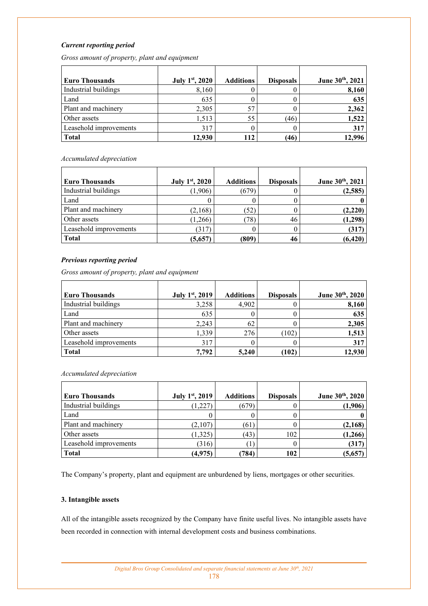## *Current reporting period*

*Gross amount of property, plant and equipment* 

| <b>Euro Thousands</b>  | July 1st, 2020 | <b>Additions</b> | <b>Disposals</b> | June 30th, 2021 |
|------------------------|----------------|------------------|------------------|-----------------|
| Industrial buildings   | 8,160          |                  |                  | 8,160           |
| Land                   | 635            |                  |                  | 635             |
| Plant and machinery    | 2,305          | 57               |                  | 2,362           |
| Other assets           | 1,513          | 55               | (46)             | 1,522           |
| Leasehold improvements | 317            |                  |                  | 317             |
| <b>Total</b>           | 12,930         | 112              | (46)             | 12.996          |

*Accumulated depreciation* 

| Euro Thousands         | July 1 <sup>st</sup> , 2020 | <b>Additions</b> | <b>Disposals</b> | June 30th, 2021 |
|------------------------|-----------------------------|------------------|------------------|-----------------|
| Industrial buildings   | (1,906)                     | (679)            |                  | (2,585)         |
| Land                   |                             |                  |                  |                 |
| Plant and machinery    | (2,168)                     | (52)             |                  | (2,220)         |
| Other assets           | (1,266)                     | 78)              | 46               | (1, 298)        |
| Leasehold improvements | (317)                       |                  |                  | (317)           |
| <b>Total</b>           | (5,657)                     | (809)            | 46               | (6, 420)        |

### *Previous reporting period*

*Gross amount of property, plant and equipment* 

| <b>Euro Thousands</b>  | July 1st, 2019 | <b>Additions</b> | <b>Disposals</b> | June 30th, 2020 |
|------------------------|----------------|------------------|------------------|-----------------|
| Industrial buildings   | 3,258          | 4,902            |                  | 8,160           |
| Land                   | 635            |                  |                  | 635             |
| Plant and machinery    | 2,243          | 62               |                  | 2,305           |
| Other assets           | 1,339          | 276              | (102)            | 1,513           |
| Leasehold improvements | 317            |                  |                  | 317             |
| <b>Total</b>           | 7.792          | 5.240            | (102)            | 12,930          |

*Accumulated depreciation* 

| <b>Euro Thousands</b>  | July 1 <sup>st</sup> , 2019 | <b>Additions</b> | <b>Disposals</b> | June 30th, 2020 |
|------------------------|-----------------------------|------------------|------------------|-----------------|
| Industrial buildings   | (1,227)                     | (679)            |                  | (1,906)         |
| Land                   |                             |                  |                  |                 |
| Plant and machinery    | (2,107)                     | (61)             |                  | (2,168)         |
| Other assets           | (1,325)                     | (43)             | 102              | (1,266)         |
| Leasehold improvements | (316)                       | 1                |                  | (317)           |
| <b>Total</b>           | (4,975)                     | 784)             | 102              | (5,657          |

The Company's property, plant and equipment are unburdened by liens, mortgages or other securities.

## **3. Intangible assets**

All of the intangible assets recognized by the Company have finite useful lives. No intangible assets have been recorded in connection with internal development costs and business combinations.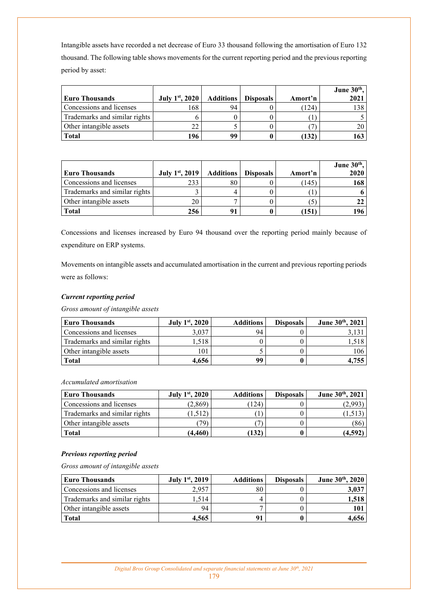Intangible assets have recorded a net decrease of Euro 33 thousand following the amortisation of Euro 132 thousand. The following table shows movements for the current reporting period and the previous reporting period by asset:

|                               |                |                  |                  |         | June $30th$ , |
|-------------------------------|----------------|------------------|------------------|---------|---------------|
| <b>Euro Thousands</b>         | July 1st, 2020 | <b>Additions</b> | <b>Disposals</b> | Amort'n | 2021          |
| Concessions and licenses      | 168            | 94               |                  | (124)   | 138           |
| Trademarks and similar rights |                |                  |                  |         |               |
| Other intangible assets       |                |                  |                  |         |               |
| <b>Total</b>                  | 196            | 99               |                  | (132    | 163           |

| <b>Euro Thousands</b>         | July 1st, 2019 | <b>Additions</b> | <b>Disposals</b> | Amort'n | June $30th$ ,<br>2020 |
|-------------------------------|----------------|------------------|------------------|---------|-----------------------|
| Concessions and licenses      | 233            | 80               |                  | (145    | 168                   |
| Trademarks and similar rights |                |                  |                  |         |                       |
| Other intangible assets       | 20             |                  |                  |         |                       |
| Total                         | 256            | 91               |                  | (151    | 196                   |

Concessions and licenses increased by Euro 94 thousand over the reporting period mainly because of expenditure on ERP systems.

Movements on intangible assets and accumulated amortisation in the current and previous reporting periods were as follows:

## *Current reporting period*

*Gross amount of intangible assets* 

| <b>Euro Thousands</b>         | July 1 <sup>st</sup> , 2020 | <b>Additions</b> | <b>Disposals</b> | June 30th, 2021 |
|-------------------------------|-----------------------------|------------------|------------------|-----------------|
| Concessions and licenses      | 3,037                       | 94               |                  |                 |
| Trademarks and similar rights | .518                        |                  |                  | .310            |
| Other intangible assets       | 101                         |                  |                  | 106             |
| <b>Total</b>                  | 4.656                       | 99               |                  | .755            |

*Accumulated amortisation* 

| <b>Euro Thousands</b>         | July 1 <sup>st</sup> , 2020 | <b>Additions</b> | <b>Disposals</b> | June 30th, 2021 |
|-------------------------------|-----------------------------|------------------|------------------|-----------------|
| Concessions and licenses      | (2,869)                     | 124)             |                  | (2.993)         |
| Trademarks and similar rights | (1.512)                     |                  |                  |                 |
| Other intangible assets       | 79                          |                  |                  | (86)            |
| <b>Total</b>                  | (4,460)                     | (132)            |                  | (4,592          |

## *Previous reporting period*

*Gross amount of intangible assets* 

| Euro Thousands                | <b>July 1st, 2019</b> | <b>Additions</b> | <b>Disposals</b> | June 30th, 2020 |
|-------------------------------|-----------------------|------------------|------------------|-----------------|
| Concessions and licenses      | 2.957                 | 80               |                  | 3,037           |
| Trademarks and similar rights | .514                  |                  |                  | 1,518           |
| Other intangible assets       | 94                    |                  |                  | 101             |
| <b>Total</b>                  | 4.565                 | 91               |                  | 4,656           |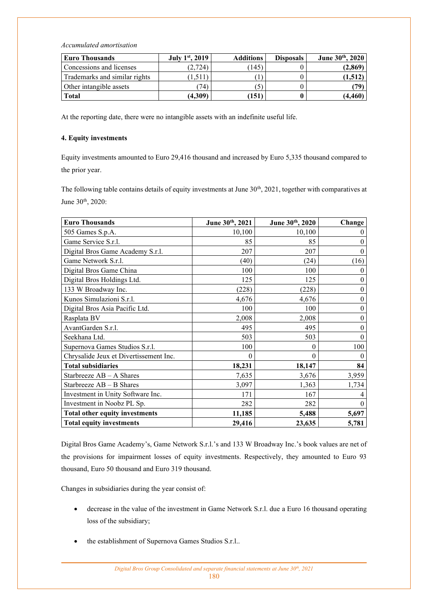*Accumulated amortisation* 

| <b>Euro Thousands</b>         | July 1 <sup>st</sup> , 2019 | <b>Additions</b> | <b>Disposals</b> | June 30th, 2020 |
|-------------------------------|-----------------------------|------------------|------------------|-----------------|
| Concessions and licenses      | (2,724)                     | 145              |                  | (2,869)         |
| Trademarks and similar rights | 1.511                       |                  |                  | (1,512)         |
| Other intangible assets       | 74                          |                  |                  | 79)             |
| <b>Total</b>                  | (4,309)                     | .151`            |                  | (4,460)         |

At the reporting date, there were no intangible assets with an indefinite useful life.

### **4. Equity investments**

Equity investments amounted to Euro 29,416 thousand and increased by Euro 5,335 thousand compared to the prior year.

The following table contains details of equity investments at June 30<sup>th</sup>, 2021, together with comparatives at June 30th, 2020:

| <b>Euro Thousands</b>                  | June 30th, 2021 | June 30th, 2020 | Change   |
|----------------------------------------|-----------------|-----------------|----------|
| 505 Games S.p.A.                       | 10,100          | 10,100          |          |
| Game Service S.r.l.                    | 85              | 85              | $\theta$ |
| Digital Bros Game Academy S.r.l.       | 207             | 207             | $\theta$ |
| Game Network S.r.l.                    | (40)            | (24)            | (16)     |
| Digital Bros Game China                | 100             | 100             | $\theta$ |
| Digital Bros Holdings Ltd.             | 125             | 125             | $\theta$ |
| 133 W Broadway Inc.                    | (228)           | (228)           | $\theta$ |
| Kunos Simulazioni S.r.l.               | 4,676           | 4,676           | $\theta$ |
| Digital Bros Asia Pacific Ltd.         | 100             | 100             | $\theta$ |
| Rasplata BV                            | 2,008           | 2,008           | $\theta$ |
| AvantGarden S.r.l.                     | 495             | 495             | $\theta$ |
| Seekhana Ltd.                          | 503             | 503             | $\theta$ |
| Supernova Games Studios S.r.l.         | 100             | $\theta$        | 100      |
| Chrysalide Jeux et Divertissement Inc. | $\theta$        | $\theta$        |          |
| <b>Total subsidiaries</b>              | 18,231          | 18,147          | 84       |
| Starbreeze AB - A Shares               | 7,635           | 3,676           | 3,959    |
| Starbreeze AB - B Shares               | 3,097           | 1,363           | 1,734    |
| Investment in Unity Software Inc.      | 171             | 167             |          |
| Investment in Noobz PL Sp.             | 282             | 282             |          |
| Total other equity investments         | 11,185          | 5,488           | 5,697    |
| <b>Total equity investments</b>        | 29,416          | 23,635          | 5,781    |

Digital Bros Game Academy's, Game Network S.r.l.'s and 133 W Broadway Inc.'s book values are net of the provisions for impairment losses of equity investments. Respectively, they amounted to Euro 93 thousand, Euro 50 thousand and Euro 319 thousand.

Changes in subsidiaries during the year consist of:

- decrease in the value of the investment in Game Network S.r.l. due a Euro 16 thousand operating loss of the subsidiary;
- the establishment of Supernova Games Studios S.r.l..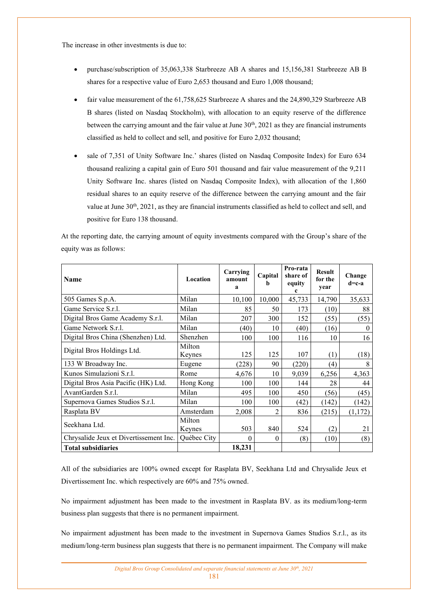The increase in other investments is due to:

- purchase/subscription of 35,063,338 Starbreeze AB A shares and 15,156,381 Starbreeze AB B shares for a respective value of Euro 2,653 thousand and Euro 1,008 thousand;
- fair value measurement of the 61,758,625 Starbreeze A shares and the 24,890,329 Starbreeze AB B shares (listed on Nasdaq Stockholm), with allocation to an equity reserve of the difference between the carrying amount and the fair value at June 30<sup>th</sup>, 2021 as they are financial instruments classified as held to collect and sell, and positive for Euro 2,032 thousand;
- sale of 7.351 of Unity Software Inc.' shares (listed on Nasdaq Composite Index) for Euro 634 thousand realizing a capital gain of Euro 501 thousand and fair value measurement of the 9,211 Unity Software Inc. shares (listed on Nasdaq Composite Index), with allocation of the 1,860 residual shares to an equity reserve of the difference between the carrying amount and the fair value at June  $30<sup>th</sup>$ ,  $2021$ , as they are financial instruments classified as held to collect and sell, and positive for Euro 138 thousand.

At the reporting date, the carrying amount of equity investments compared with the Group's share of the equity was as follows:

| <b>Name</b>                            | Location         | Carrying<br>amount<br>a | Capital        | Pro-rata<br>share of<br>equity<br>c | <b>Result</b><br>for the<br>year | Change<br>$d=c-a$ |
|----------------------------------------|------------------|-------------------------|----------------|-------------------------------------|----------------------------------|-------------------|
| 505 Games S.p.A.                       | Milan            | 10,100                  | 10,000         | 45,733                              | 14,790                           | 35,633            |
| Game Service S.r.l.                    | Milan            | 85                      | 50             | 173                                 | (10)                             | 88                |
| Digital Bros Game Academy S.r.l.       | Milan            | 207                     | 300            | 152                                 | (55)                             | (55)              |
| Game Network S.r.l.                    | Milan            | (40)                    | 10             | (40)                                | (16)                             | $\theta$          |
| Digital Bros China (Shenzhen) Ltd.     | Shenzhen         | 100                     | 100            | 116                                 | 10                               | 16                |
| Digital Bros Holdings Ltd.             | Milton<br>Keynes | 125                     | 125            | 107                                 | (1)                              | (18)              |
| 133 W Broadway Inc.                    | Eugene           | (228)                   | 90             | (220)                               | (4)                              | 8                 |
| Kunos Simulazioni S.r.l.               | Rome             | 4,676                   | 10             | 9,039                               | 6,256                            | 4,363             |
| Digital Bros Asia Pacific (HK) Ltd.    | Hong Kong        | 100                     | 100            | 144                                 | 28                               | 44                |
| AvantGarden S.r.l.                     | Milan            | 495                     | 100            | 450                                 | (56)                             | (45)              |
| Supernova Games Studios S.r.l.         | Milan            | 100                     | 100            | (42)                                | (142)                            | (142)             |
| Rasplata BV                            | Amsterdam        | 2,008                   | $\overline{2}$ | 836                                 | (215)                            | (1,172)           |
| Seekhana Ltd.                          | Milton<br>Keynes | 503                     | 840            | 524                                 | (2)                              | 21                |
| Chrysalide Jeux et Divertissement Inc. | Québec City      | 0                       | $\Omega$       | (8)                                 | (10)                             | (8)               |
| <b>Total subsidiaries</b>              |                  | 18,231                  |                |                                     |                                  |                   |

All of the subsidiaries are 100% owned except for Rasplata BV, Seekhana Ltd and Chrysalide Jeux et Divertissement Inc. which respectively are 60% and 75% owned.

No impairment adjustment has been made to the investment in Rasplata BV. as its medium/long-term business plan suggests that there is no permanent impairment.

No impairment adjustment has been made to the investment in Supernova Games Studios S.r.l., as its medium/long-term business plan suggests that there is no permanent impairment. The Company will make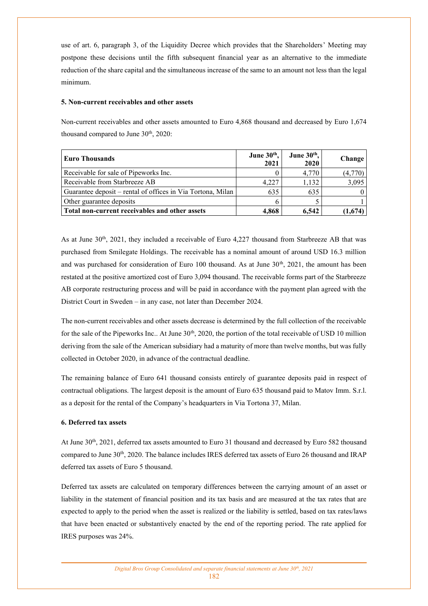use of art. 6, paragraph 3, of the Liquidity Decree which provides that the Shareholders' Meeting may postpone these decisions until the fifth subsequent financial year as an alternative to the immediate reduction of the share capital and the simultaneous increase of the same to an amount not less than the legal minimum.

### **5. Non-current receivables and other assets**

Non-current receivables and other assets amounted to Euro 4,868 thousand and decreased by Euro 1,674 thousand compared to June  $30<sup>th</sup>$ ,  $2020$ :

| <b>Euro Thousands</b>                                       | June 30 <sup>th</sup> ,<br>2021 | June $30th$ ,<br>2020 | Change <sup>1</sup> |
|-------------------------------------------------------------|---------------------------------|-----------------------|---------------------|
| Receivable for sale of Pipeworks Inc.                       |                                 | 4,770                 | (4,770)             |
| Receivable from Starbreeze AB                               | 4.227                           | 1.132                 | 3,095               |
| Guarantee deposit – rental of offices in Via Tortona, Milan | 635                             | 635                   |                     |
| Other guarantee deposits                                    |                                 |                       |                     |
| Total non-current receivables and other assets              | 4.868                           | 6.542                 | (1.674)             |

As at June  $30<sup>th</sup>$ , 2021, they included a receivable of Euro 4,227 thousand from Starbreeze AB that was purchased from Smilegate Holdings. The receivable has a nominal amount of around USD 16.3 million and was purchased for consideration of Euro 100 thousand. As at June  $30<sup>th</sup>$ , 2021, the amount has been restated at the positive amortized cost of Euro 3,094 thousand. The receivable forms part of the Starbreeze AB corporate restructuring process and will be paid in accordance with the payment plan agreed with the District Court in Sweden – in any case, not later than December 2024.

The non-current receivables and other assets decrease is determined by the full collection of the receivable for the sale of the Pipeworks Inc.. At June 30<sup>th</sup>, 2020, the portion of the total receivable of USD 10 million deriving from the sale of the American subsidiary had a maturity of more than twelve months, but was fully collected in October 2020, in advance of the contractual deadline.

The remaining balance of Euro 641 thousand consists entirely of guarantee deposits paid in respect of contractual obligations. The largest deposit is the amount of Euro 635 thousand paid to Matov Imm. S.r.l. as a deposit for the rental of the Company's headquarters in Via Tortona 37, Milan.

### **6. Deferred tax assets**

At June 30th, 2021, deferred tax assets amounted to Euro 31 thousand and decreased by Euro 582 thousand compared to June 30th, 2020. The balance includes IRES deferred tax assets of Euro 26 thousand and IRAP deferred tax assets of Euro 5 thousand.

Deferred tax assets are calculated on temporary differences between the carrying amount of an asset or liability in the statement of financial position and its tax basis and are measured at the tax rates that are expected to apply to the period when the asset is realized or the liability is settled, based on tax rates/laws that have been enacted or substantively enacted by the end of the reporting period. The rate applied for IRES purposes was 24%.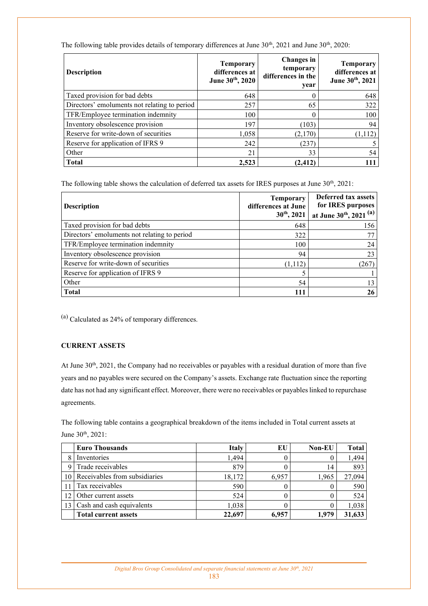| <b>Description</b>                           | <b>Temporary</b><br>differences at<br>June 30th, 2020 | Changes in<br>temporary<br>differences in the<br>year | <b>Temporary</b><br>differences at<br>June 30th, 2021 |
|----------------------------------------------|-------------------------------------------------------|-------------------------------------------------------|-------------------------------------------------------|
| Taxed provision for bad debts                | 648                                                   |                                                       | 648                                                   |
| Directors' emoluments not relating to period | 257                                                   | 65                                                    | 322                                                   |
| TFR/Employee termination indemnity           | 100                                                   |                                                       | 100                                                   |
| Inventory obsolescence provision             | 197                                                   | (103)                                                 | 94                                                    |
| Reserve for write-down of securities         | 1,058                                                 | (2,170)                                               | (1, 112)                                              |
| Reserve for application of IFRS 9            | 242                                                   | (237)                                                 | 5                                                     |
| Other                                        | 21                                                    | 33                                                    | 54                                                    |
| <b>Total</b>                                 | 2.523                                                 | (2.412)                                               | 111                                                   |

The following table provides details of temporary differences at June 30<sup>th</sup>, 2021 and June 30<sup>th</sup>, 2020:

The following table shows the calculation of deferred tax assets for IRES purposes at June 30<sup>th</sup>, 2021:

| <b>Description</b>                           | <b>Temporary</b><br>differences at June<br>$30th$ , 2021 | Deferred tax assets<br>for IRES purposes<br>at June 30th, 2021 (a) |
|----------------------------------------------|----------------------------------------------------------|--------------------------------------------------------------------|
| Taxed provision for bad debts                | 648                                                      | 156                                                                |
| Directors' emoluments not relating to period | 322                                                      |                                                                    |
| TFR/Employee termination indemnity           | 100                                                      | 24                                                                 |
| Inventory obsolescence provision             | 94                                                       | 23                                                                 |
| Reserve for write-down of securities         | (1, 112)                                                 | (267)                                                              |
| Reserve for application of IFRS 9            |                                                          |                                                                    |
| Other                                        | 54                                                       | 13                                                                 |
| <b>Total</b>                                 | 111                                                      | 26                                                                 |

(a) Calculated as 24% of temporary differences.

## **CURRENT ASSETS**

At June 30<sup>th</sup>, 2021, the Company had no receivables or payables with a residual duration of more than five years and no payables were secured on the Company's assets. Exchange rate fluctuation since the reporting date has not had any significant effect. Moreover, there were no receivables or payables linked to repurchase agreements.

The following table contains a geographical breakdown of the items included in Total current assets at June 30th, 2021:

|             | <b>Euro Thousands</b>         | <b>Italy</b> | EU    | <b>Non-EU</b> | <b>Total</b> |
|-------------|-------------------------------|--------------|-------|---------------|--------------|
| 8           | Inventories                   | 1,494        |       |               | 1,494        |
| $\mathbf Q$ | Trade receivables             | 879          |       | 14            | 893          |
| 10          | Receivables from subsidiaries | 18,172       | 6,957 | 1,965         | 27,094       |
|             | Tax receivables               | 590          |       |               | 590          |
|             | Other current assets          | 524          |       |               | 524          |
|             | Cash and cash equivalents     | 1.038        |       |               | 1,038        |
|             | <b>Total current assets</b>   | 22,697       | 6,957 | 1.979         | 31,633       |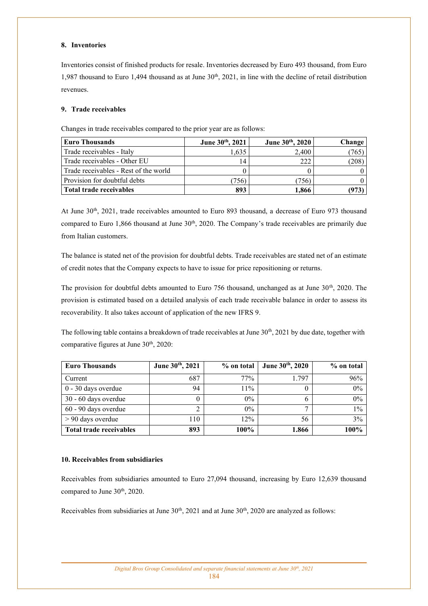### **8. Inventories**

Inventories consist of finished products for resale. Inventories decreased by Euro 493 thousand, from Euro 1,987 thousand to Euro 1,494 thousand as at June  $30<sup>th</sup>$ , 2021, in line with the decline of retail distribution revenues.

## **9. Trade receivables**

Changes in trade receivables compared to the prior year are as follows:

| <b>Euro Thousands</b>                 | June 30th, 2021 | June 30th, 2020 | Change |
|---------------------------------------|-----------------|-----------------|--------|
| Trade receivables - Italy             | 1.635           | 2.400           | (765)  |
| Trade receivables - Other EU          | 14              | 222             | 208)   |
| Trade receivables - Rest of the world |                 |                 |        |
| Provision for doubtful debts          | 756)            | 756)            |        |
| Total trade receivables               | 893             | 1,866           | 973    |

At June 30<sup>th</sup>, 2021, trade receivables amounted to Euro 893 thousand, a decrease of Euro 973 thousand compared to Euro 1,866 thousand at June 30<sup>th</sup>, 2020. The Company's trade receivables are primarily due from Italian customers.

The balance is stated net of the provision for doubtful debts. Trade receivables are stated net of an estimate of credit notes that the Company expects to have to issue for price repositioning or returns.

The provision for doubtful debts amounted to Euro 756 thousand, unchanged as at June 30<sup>th</sup>, 2020. The provision is estimated based on a detailed analysis of each trade receivable balance in order to assess its recoverability. It also takes account of application of the new IFRS 9.

The following table contains a breakdown of trade receivables at June 30<sup>th</sup>, 2021 by due date, together with comparative figures at June  $30<sup>th</sup>$ ,  $2020$ :

| <b>Euro Thousands</b>   | June 30th, 2021 | % on total | June 30th, 2020 | % on total |
|-------------------------|-----------------|------------|-----------------|------------|
| Current                 | 687             | 77%        | 1.797           | 96%        |
| 0 - 30 days overdue     | 94              | 11%        |                 | 0%         |
| 30 - 60 days overdue    |                 | $0\%$      | 6               | 0%         |
| 60 - 90 days overdue    |                 | $0\%$      |                 | $1\%$      |
| $> 90$ days overdue     | 110             | 12%        | 56              | 3%         |
| Total trade receivables | 893             | 100%       | 1.866           | 100%       |

## **10. Receivables from subsidiaries**

Receivables from subsidiaries amounted to Euro 27,094 thousand, increasing by Euro 12,639 thousand compared to June 30<sup>th</sup>, 2020.

Receivables from subsidiaries at June  $30<sup>th</sup>$ ,  $2021$  and at June  $30<sup>th</sup>$ ,  $2020$  are analyzed as follows: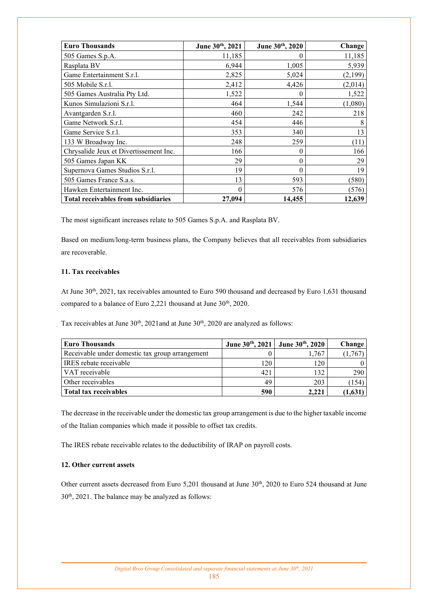| <b>Euro Thousands</b>                      | June 30th, 2021 | June 30th, 2020 | Change  |
|--------------------------------------------|-----------------|-----------------|---------|
| 505 Games S.p.A.                           | 11,185          |                 | 11,185  |
| Rasplata BV                                | 6,944           | 1,005           | 5,939   |
| Game Entertainment S.r.l.                  | 2,825           | 5,024           | (2,199) |
| 505 Mobile S.r.l.                          | 2,412           | 4,426           | (2,014) |
| 505 Games Australia Pty Ltd.               | 1,522           | $\theta$        | 1,522   |
| Kunos Simulazioni S.r.l.                   | 464             | 1,544           | (1,080) |
| Avantgarden S.r.l.                         | 460             | 242             | 218     |
| Game Network S.r.l.                        | 454             | 446             | 8       |
| Game Service S.r.l.                        | 353             | 340             | 13      |
| 133 W Broadway Inc.                        | 248             | 259             | (11)    |
| Chrysalide Jeux et Divertissement Inc.     | 166             | 0               | 166     |
| 505 Games Japan KK                         | 29              | 0               | 29      |
| Supernova Games Studios S.r.l.             | 19              | 0               | 19      |
| 505 Games France S.a.s.                    | 13              | 593             | (580)   |
| Hawken Entertainment Inc.                  | $\theta$        | 576             | (576)   |
| <b>Total receivables from subsidiaries</b> | 27,094          | 14,455          | 12,639  |

The most significant increases relate to 505 Games S.p.A. and Rasplata BV.

Based on medium/long-term business plans, the Company believes that all receivables from subsidiaries are recoverable.

## **11. Tax receivables**

At June 30<sup>th</sup>, 2021, tax receivables amounted to Euro 590 thousand and decreased by Euro 1,631 thousand compared to a balance of Euro 2,221 thousand at June 30<sup>th</sup>, 2020.

Tax receivables at June  $30<sup>th</sup>$ ,  $2021$  and at June  $30<sup>th</sup>$ ,  $2020$  are analyzed as follows:

| <b>Euro Thousands</b>                           |     | June 30th, 2021 June 30th, 2020 | Change   |
|-------------------------------------------------|-----|---------------------------------|----------|
| Receivable under domestic tax group arrangement |     | 1,767                           | (1,767)  |
| <b>IRES</b> rebate receivable                   | 120 | 120                             | $\Omega$ |
| VAT receivable                                  | 421 | 132                             | 290      |
| Other receivables                               | 49  | 203                             | (154)    |
| Total tax receivables                           | 590 | 2.221                           | (1,631)  |

The decrease in the receivable under the domestic tax group arrangement is due to the higher taxable income of the Italian companies which made it possible to offset tax credits.

The IRES rebate receivable relates to the deductibility of IRAP on payroll costs.

### **12. Other current assets**

Other current assets decreased from Euro 5,201 thousand at June 30<sup>th</sup>, 2020 to Euro 524 thousand at June 30th, 2021. The balance may be analyzed as follows: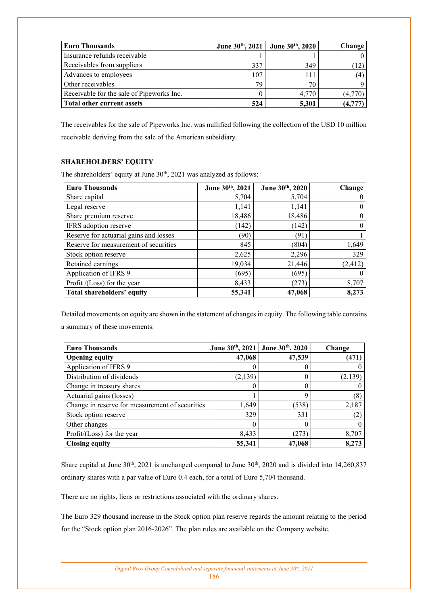| Euro Thousands                            | June $30^{th}$ , 2021 | June 30th, 2020 | Change   |
|-------------------------------------------|-----------------------|-----------------|----------|
| Insurance refunds receivable              |                       |                 | $\Omega$ |
| Receivables from suppliers                | 337                   | 349             |          |
| Advances to employees                     | 107                   | 111             | (4)      |
| Other receivables                         | 79                    | 70              | Q        |
| Receivable for the sale of Pipeworks Inc. |                       | 4.770           | (4,770)  |
| <b>Total other current assets</b>         | 524                   | 5,301           |          |

The receivables for the sale of Pipeworks Inc. was nullified following the collection of the USD 10 million receivable deriving from the sale of the American subsidiary.

## **SHAREHOLDERS' EQUITY**

The shareholders' equity at June 30<sup>th</sup>, 2021 was analyzed as follows:

| <b>Euro Thousands</b>                  | June 30th, 2021 | June 30th, 2020 | Change           |
|----------------------------------------|-----------------|-----------------|------------------|
| Share capital                          | 5,704           | 5,704           | $\theta$         |
| Legal reserve                          | 1,141           | 1,141           | $\boldsymbol{0}$ |
| Share premium reserve                  | 18,486          | 18,486          | $\bf{0}$         |
| IFRS adoption reserve                  | (142)           | (142)           | $\theta$         |
| Reserve for actuarial gains and losses | (90)            | (91`            |                  |
| Reserve for measurement of securities  | 845             | (804)           | 1,649            |
| Stock option reserve                   | 2,625           | 2,296           | 329              |
| Retained earnings                      | 19,034          | 21,446          | (2, 412)         |
| Application of IFRS 9                  | (695)           | (695)           | $\theta$         |
| Profit /(Loss) for the year            | 8,433           | (273)           | 8,707            |
| Total shareholders' equity             | 55,341          | 47,068          | 8,273            |

Detailed movements on equity are shown in the statement of changes in equity. The following table contains a summary of these movements:

| <b>Euro Thousands</b>                           | June 30th, 2021 | June $30^{th}$ , 2020 | Change   |
|-------------------------------------------------|-----------------|-----------------------|----------|
| <b>Opening equity</b>                           | 47,068          | 47,539                | (471)    |
| Application of IFRS 9                           |                 | U                     |          |
| Distribution of dividends                       | (2, 139)        | 0                     | (2, 139) |
| Change in treasury shares                       |                 |                       |          |
| Actuarial gains (losses)                        |                 | 9                     | (8)      |
| Change in reserve for measurement of securities | 1,649           | (538)                 | 2,187    |
| Stock option reserve                            | 329             | 331                   | (2)      |
| Other changes                                   |                 |                       |          |
| Profit/(Loss) for the year                      | 8,433           | (273)                 | 8,707    |
| <b>Closing equity</b>                           | 55,341          | 47,068                | 8,273    |

Share capital at June  $30<sup>th</sup>$ ,  $2021$  is unchanged compared to June  $30<sup>th</sup>$ ,  $2020$  and is divided into  $14,260,837$ ordinary shares with a par value of Euro 0.4 each, for a total of Euro 5,704 thousand.

There are no rights, liens or restrictions associated with the ordinary shares.

The Euro 329 thousand increase in the Stock option plan reserve regards the amount relating to the period for the "Stock option plan 2016-2026". The plan rules are available on the Company website.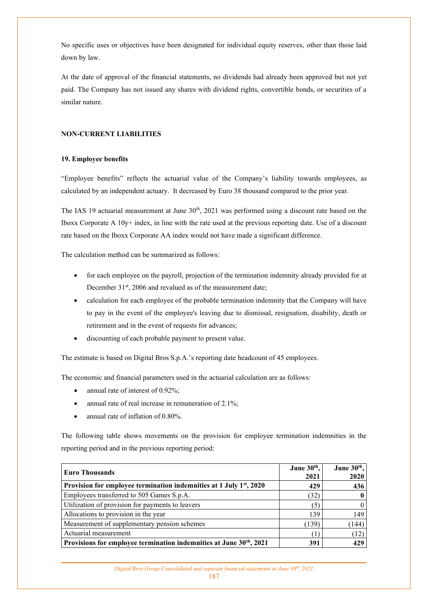No specific uses or objectives have been designated for individual equity reserves, other than those laid down by law.

At the date of approval of the financial statements, no dividends had already been approved but not yet paid. The Company has not issued any shares with dividend rights, convertible bonds, or securities of a similar nature.

### **NON-CURRENT LIABILITIES**

### **19. Employee benefits**

"Employee benefits" reflects the actuarial value of the Company's liability towards employees, as calculated by an independent actuary. It decreased by Euro 38 thousand compared to the prior year.

The IAS 19 actuarial measurement at June  $30<sup>th</sup>$ , 2021 was performed using a discount rate based on the Iboxx Corporate A 10y+ index, in line with the rate used at the previous reporting date. Use of a discount rate based on the Iboxx Corporate AA index would not have made a significant difference.

The calculation method can be summarized as follows:

- for each employee on the payroll, projection of the termination indemnity already provided for at December 31<sup>st</sup>, 2006 and revalued as of the measurement date;
- calculation for each employee of the probable termination indemnity that the Company will have to pay in the event of the employee's leaving due to dismissal, resignation, disability, death or retirement and in the event of requests for advances;
- discounting of each probable payment to present value.

The estimate is based on Digital Bros S.p.A.'s reporting date headcount of 45 employees.

The economic and financial parameters used in the actuarial calculation are as follows:

- annual rate of interest of  $0.92\%$ ;
- annual rate of real increase in remuneration of 2.1%;
- annual rate of inflation of 0.80%.

The following table shows movements on the provision for employee termination indemnities in the reporting period and in the previous reporting period:

| <b>Euro Thousands</b>                                                           | June 30th,<br>2021 | June $30th$ ,<br>2020 |
|---------------------------------------------------------------------------------|--------------------|-----------------------|
| Provision for employee termination indemnities at 1 July 1 <sup>st</sup> , 2020 | 429                | 436                   |
| Employees transferred to 505 Games S.p.A.                                       | (32)               |                       |
| Utilization of provision for payments to leavers                                | (5)                |                       |
| Allocations to provision in the year                                            | 139                | 149                   |
| Measurement of supplementary pension schemes                                    | (139)              | 144                   |
| Actuarial measurement                                                           |                    | (12)                  |
| Provisions for employee termination indemnities at June 30 <sup>th</sup> , 2021 | 391                | 429                   |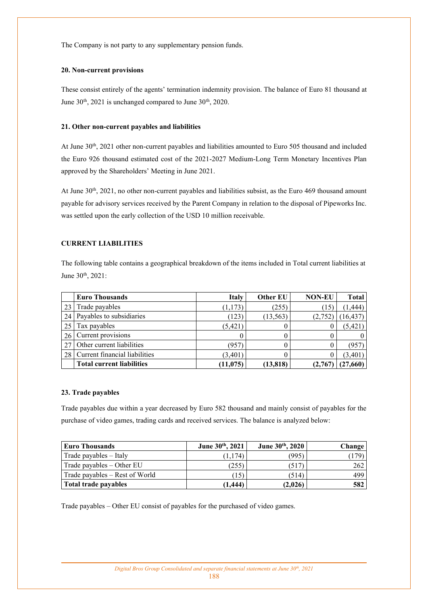The Company is not party to any supplementary pension funds.

### **20. Non-current provisions**

These consist entirely of the agents' termination indemnity provision. The balance of Euro 81 thousand at June 30<sup>th</sup>, 2021 is unchanged compared to June 30<sup>th</sup>, 2020.

## **21. Other non-current payables and liabilities**

At June 30<sup>th</sup>, 2021 other non-current payables and liabilities amounted to Euro 505 thousand and included the Euro 926 thousand estimated cost of the 2021-2027 Medium-Long Term Monetary Incentives Plan approved by the Shareholders' Meeting in June 2021.

At June 30<sup>th</sup>, 2021, no other non-current payables and liabilities subsist, as the Euro 469 thousand amount payable for advisory services received by the Parent Company in relation to the disposal of Pipeworks Inc. was settled upon the early collection of the USD 10 million receivable.

## **CURRENT LIABILITIES**

The following table contains a geographical breakdown of the items included in Total current liabilities at June 30<sup>th</sup>, 2021:

|    | <b>Euro Thousands</b>            | <b>Italy</b> | Other EU  | <b>NON-EU</b> | <b>Total</b> |
|----|----------------------------------|--------------|-----------|---------------|--------------|
| 23 | Trade payables                   | (1, 173)     | (255)     | (15)          | (1, 444)     |
| 24 | Payables to subsidiaries         | (123)        | (13, 563) | (2,752)       | (16, 437)    |
| 25 | Tax payables                     | (5, 421)     |           | 0             | (5, 421)     |
| 26 | Current provisions               |              |           | 0             |              |
|    | Other current liabilities        | (957         |           | 0             | 957          |
| 28 | Current financial liabilities    | (3,401)      |           | 0             | (3, 401)     |
|    | <b>Total current liabilities</b> | (11, 075)    | (13, 818) | (2,767        | (27, 660)    |

### **23. Trade payables**

Trade payables due within a year decreased by Euro 582 thousand and mainly consist of payables for the purchase of video games, trading cards and received services. The balance is analyzed below:

| <b>Euro Thousands</b>          | June 30th, 2021 | June 30th, 2020 | Change |
|--------------------------------|-----------------|-----------------|--------|
| Trade payables - Italy         | (1.174)         | (995)           | 179    |
| Trade payables – Other EU      | (255)           | (517)           | 262    |
| Trade payables – Rest of World | (15)            | (514)           | 499    |
| Total trade payables           | (1.444)         | (2,026)         | 582    |

Trade payables – Other EU consist of payables for the purchased of video games.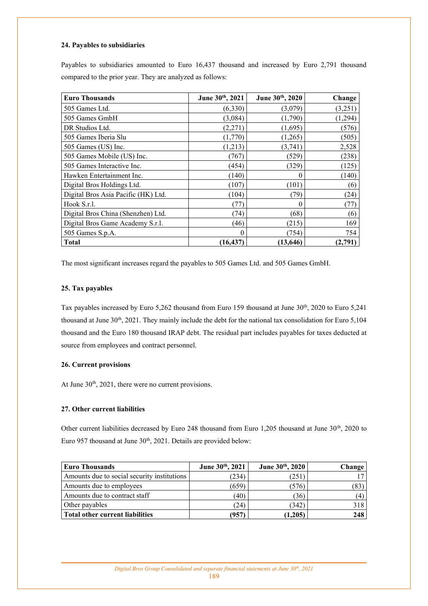### **24. Payables to subsidiaries**

Payables to subsidiaries amounted to Euro 16,437 thousand and increased by Euro 2,791 thousand compared to the prior year. They are analyzed as follows:

| <b>Euro Thousands</b>               | June 30th, 2021 | June 30th, 2020 | Change   |
|-------------------------------------|-----------------|-----------------|----------|
| 505 Games Ltd.                      | (6,330)         | (3,079)         | (3,251)  |
| 505 Games GmbH                      | (3,084)         | (1,790)         | (1, 294) |
| DR Studios Ltd.                     | (2,271)         | (1,695)         | (576)    |
| 505 Games Iberia Slu                | (1,770)         | (1,265)         | (505)    |
| 505 Games (US) Inc.                 | (1,213)         | (3,741)         | 2,528    |
| 505 Games Mobile (US) Inc.          | (767)           | (529)           | (238)    |
| 505 Games Interactive Inc.          | (454)           | (329)           | (125)    |
| Hawken Entertainment Inc.           | (140)           |                 | (140)    |
| Digital Bros Holdings Ltd.          | (107)           | (101)           | (6)      |
| Digital Bros Asia Pacific (HK) Ltd. | (104)           | (79)            | (24)     |
| Hook S.r.l.                         | (77)            | 0               | (77)     |
| Digital Bros China (Shenzhen) Ltd.  | (74)            | (68)            | (6)      |
| Digital Bros Game Academy S.r.l.    | (46)            | (215)           | 169      |
| 505 Games S.p.A.                    | 0               | (754)           | 754      |
| <b>Total</b>                        | (16, 437)       | (13, 646)       | (2,791)  |

The most significant increases regard the payables to 505 Games Ltd. and 505 Games GmbH.

### **25. Tax payables**

Tax payables increased by Euro 5,262 thousand from Euro 159 thousand at June 30<sup>th</sup>, 2020 to Euro 5,241 thousand at June 30<sup>th</sup>, 2021. They mainly include the debt for the national tax consolidation for Euro 5,104 thousand and the Euro 180 thousand IRAP debt. The residual part includes payables for taxes deducted at source from employees and contract personnel.

### **26. Current provisions**

At June 30<sup>th</sup>, 2021, there were no current provisions.

## **27. Other current liabilities**

Other current liabilities decreased by Euro 248 thousand from Euro 1,205 thousand at June 30<sup>th</sup>, 2020 to Euro 957 thousand at June 30<sup>th</sup>, 2021. Details are provided below:

| <b>Euro Thousands</b>                       | June 30th, 2021 | June 30th, 2020 | Change |
|---------------------------------------------|-----------------|-----------------|--------|
| Amounts due to social security institutions | (234)           | (251)           |        |
| Amounts due to employees                    | (659)           | (576)           | 83     |
| Amounts due to contract staff               | (40)            | (36)            | (4)    |
| Other payables                              | (24)            | (342)           | 318    |
| Total other current liabilities             | (957)           | (1,205)         | 248    |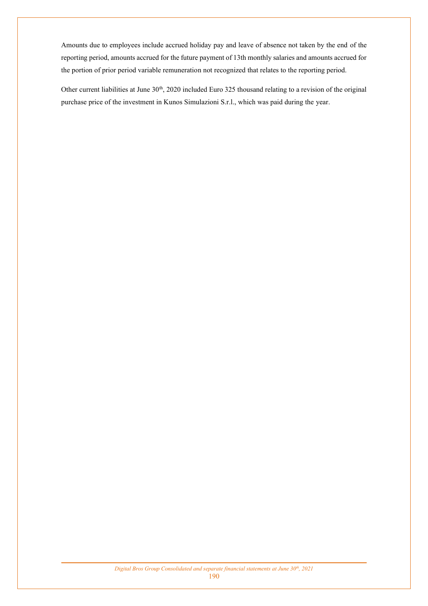Amounts due to employees include accrued holiday pay and leave of absence not taken by the end of the reporting period, amounts accrued for the future payment of 13th monthly salaries and amounts accrued for the portion of prior period variable remuneration not recognized that relates to the reporting period.

Other current liabilities at June 30<sup>th</sup>, 2020 included Euro 325 thousand relating to a revision of the original purchase price of the investment in Kunos Simulazioni S.r.l., which was paid during the year.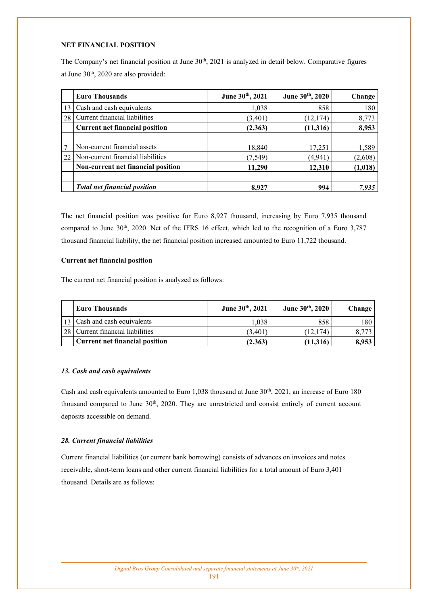### **NET FINANCIAL POSITION**

The Company's net financial position at June 30<sup>th</sup>, 2021 is analyzed in detail below. Comparative figures at June 30<sup>th</sup>, 2020 are also provided:

|    | <b>Euro Thousands</b>                 | June 30th, 2021 | June 30 <sup>th</sup> , 2020 | Change  |
|----|---------------------------------------|-----------------|------------------------------|---------|
| 13 | Cash and cash equivalents             | 1,038           | 858                          | 180     |
| 28 | Current financial liabilities         | (3,401)         | (12, 174)                    | 8,773   |
|    | <b>Current net financial position</b> | (2,363)         | (11,316)                     | 8,953   |
|    |                                       |                 |                              |         |
|    | Non-current financial assets          | 18,840          | 17,251                       | 1,589   |
| 22 | Non-current financial liabilities     | (7, 549)        | (4.941)                      | (2,608) |
|    | Non-current net financial position    | 11,290          | 12,310                       | (1,018) |
|    | <b>Total net financial position</b>   | 8.927           | 994                          | 7,935   |

The net financial position was positive for Euro 8,927 thousand, increasing by Euro 7,935 thousand compared to June  $30<sup>th</sup>$ , 2020. Net of the IFRS 16 effect, which led to the recognition of a Euro 3,787 thousand financial liability, the net financial position increased amounted to Euro 11,722 thousand.

### **Current net financial position**

The current net financial position is analyzed as follows:

|    | <b>Euro Thousands</b>                 | June 30th, 2021 | June 30th, 2020 | Change |
|----|---------------------------------------|-----------------|-----------------|--------|
|    | Cash and cash equivalents             | 1.038           | 858             | 180    |
| 28 | Current financial liabilities         | (3.401)         | (12,174)        |        |
|    | <b>Current net financial position</b> | (2,363)         | (11,316)        | 8,953  |

## *13. Cash and cash equivalents*

Cash and cash equivalents amounted to Euro 1,038 thousand at June 30<sup>th</sup>, 2021, an increase of Euro 180 thousand compared to June 30<sup>th</sup>, 2020. They are unrestricted and consist entirely of current account deposits accessible on demand.

## *28. Current financial liabilities*

Current financial liabilities (or current bank borrowing) consists of advances on invoices and notes receivable, short-term loans and other current financial liabilities for a total amount of Euro 3,401 thousand. Details are as follows: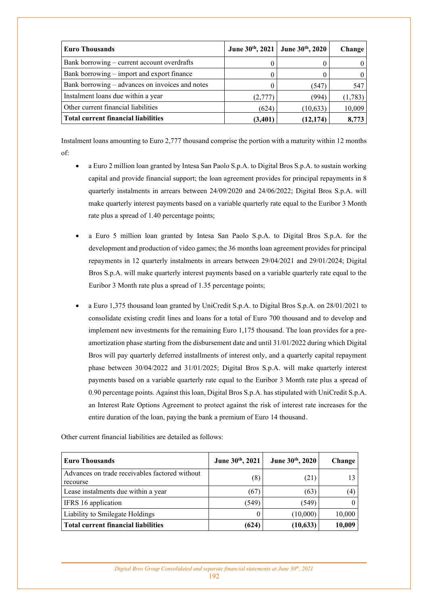| <b>Euro Thousands</b>                           |         | June 30th, 2021   June 30th, 2020 | <b>Change</b> |
|-------------------------------------------------|---------|-----------------------------------|---------------|
| Bank borrowing – current account overdrafts     |         |                                   | 0             |
| Bank borrowing – import and export finance      |         |                                   | 0             |
| Bank borrowing – advances on invoices and notes |         | (547)                             | 547           |
| Instalment loans due within a year              | (2,777) | (994)                             | (1,783)       |
| Other current financial liabilities             | (624)   | (10, 633)                         | 10,009        |
| <b>Total current financial liabilities</b>      | (3,401) | (12, 174)                         | 8,773         |

Instalment loans amounting to Euro 2,777 thousand comprise the portion with a maturity within 12 months of:

- a Euro 2 million loan granted by Intesa San Paolo S.p.A. to Digital Bros S.p.A. to sustain working capital and provide financial support; the loan agreement provides for principal repayments in 8 quarterly instalments in arrears between 24/09/2020 and 24/06/2022; Digital Bros S.p.A. will make quarterly interest payments based on a variable quarterly rate equal to the Euribor 3 Month rate plus a spread of 1.40 percentage points;
- a Euro 5 million loan granted by Intesa San Paolo S.p.A. to Digital Bros S.p.A. for the development and production of video games; the 36 months loan agreement provides for principal repayments in 12 quarterly instalments in arrears between 29/04/2021 and 29/01/2024; Digital Bros S.p.A. will make quarterly interest payments based on a variable quarterly rate equal to the Euribor 3 Month rate plus a spread of 1.35 percentage points;
- a Euro 1,375 thousand loan granted by UniCredit S.p.A. to Digital Bros S.p.A. on 28/01/2021 to consolidate existing credit lines and loans for a total of Euro 700 thousand and to develop and implement new investments for the remaining Euro 1,175 thousand. The loan provides for a preamortization phase starting from the disbursement date and until 31/01/2022 during which Digital Bros will pay quarterly deferred installments of interest only, and a quarterly capital repayment phase between 30/04/2022 and 31/01/2025; Digital Bros S.p.A. will make quarterly interest payments based on a variable quarterly rate equal to the Euribor 3 Month rate plus a spread of 0.90 percentage points. Against this loan, Digital Bros S.p.A. has stipulated with UniCredit S.p.A. an Interest Rate Options Agreement to protect against the risk of interest rate increases for the entire duration of the loan, paying the bank a premium of Euro 14 thousand.

| <b>Euro Thousands</b>                                      | June 30th, 2021 | June 30th, 2020 | Change |
|------------------------------------------------------------|-----------------|-----------------|--------|
| Advances on trade receivables factored without<br>recourse | (8)             | (21)            |        |
| Lease instalments due within a year                        | (67)            | (63)            | (4)    |
| IFRS 16 application                                        | (549)           | (549)           |        |
| Liability to Smilegate Holdings                            |                 | (10,000)        | 10,000 |
| <b>Total current financial liabilities</b>                 | (624)           | (10, 633)       | 10,009 |

Other current financial liabilities are detailed as follows: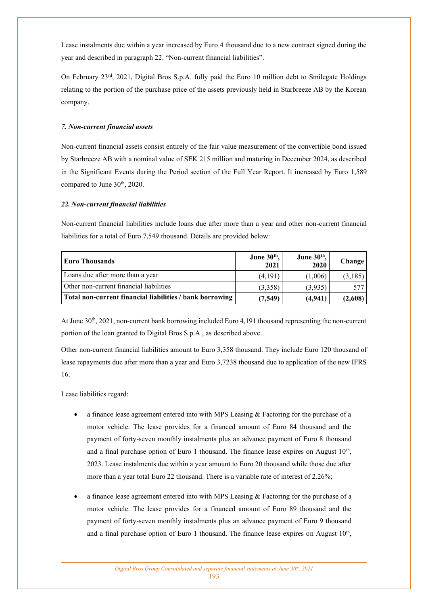Lease instalments due within a year increased by Euro 4 thousand due to a new contract signed during the year and described in paragraph 22. "Non-current financial liabilities".

On February 23rd, 2021, Digital Bros S.p.A. fully paid the Euro 10 million debt to Smilegate Holdings relating to the portion of the purchase price of the assets previously held in Starbreeze AB by the Korean company.

## *7. Non-current financial assets*

Non-current financial assets consist entirely of the fair value measurement of the convertible bond issued by Starbreeze AB with a nominal value of SEK 215 million and maturing in December 2024, as described in the Significant Events during the Period section of the Full Year Report. It increased by Euro 1,589 compared to June 30<sup>th</sup>, 2020.

### *22. Non-current financial liabilities*

Non-current financial liabilities include loans due after more than a year and other non-current financial liabilities for a total of Euro 7,549 thousand. Details are provided below:

| <b>Euro Thousands</b>                                    | June 30th,<br>2021 | June 30 <sup>th</sup> ,<br>2020 | Change  |
|----------------------------------------------------------|--------------------|---------------------------------|---------|
| Loans due after more than a year                         | (4,191)            | (1,006)                         | (3,185) |
| Other non-current financial liabilities                  | (3,358)            | (3,935)                         | 577     |
| Total non-current financial liabilities / bank borrowing | (7,549)            | (4,941)                         | (2,608) |

At June 30th, 2021, non-current bank borrowing included Euro 4,191 thousand representing the non-current portion of the loan granted to Digital Bros S.p.A., as described above.

Other non-current financial liabilities amount to Euro 3,358 thousand. They include Euro 120 thousand of lease repayments due after more than a year and Euro 3,7238 thousand due to application of the new IFRS 16.

Lease liabilities regard:

- a finance lease agreement entered into with MPS Leasing & Factoring for the purchase of a motor vehicle. The lease provides for a financed amount of Euro 84 thousand and the payment of forty-seven monthly instalments plus an advance payment of Euro 8 thousand and a final purchase option of Euro 1 thousand. The finance lease expires on August  $10<sup>th</sup>$ , 2023. Lease instalments due within a year amount to Euro 20 thousand while those due after more than a year total Euro 22 thousand. There is a variable rate of interest of 2.26%;
- a finance lease agreement entered into with MPS Leasing & Factoring for the purchase of a motor vehicle. The lease provides for a financed amount of Euro 89 thousand and the payment of forty-seven monthly instalments plus an advance payment of Euro 9 thousand and a final purchase option of Euro 1 thousand. The finance lease expires on August  $10<sup>th</sup>$ ,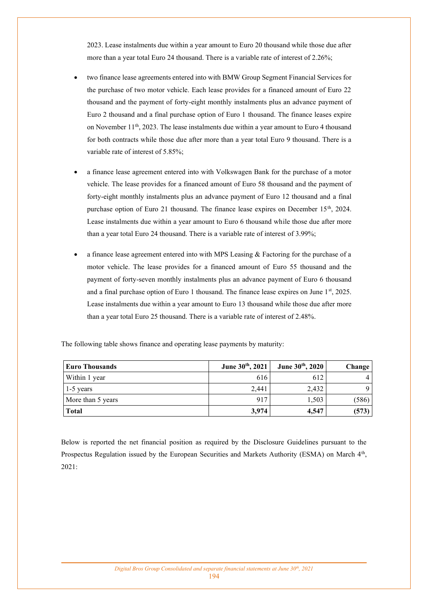2023. Lease instalments due within a year amount to Euro 20 thousand while those due after more than a year total Euro 24 thousand. There is a variable rate of interest of 2.26%;

- two finance lease agreements entered into with BMW Group Segment Financial Services for the purchase of two motor vehicle. Each lease provides for a financed amount of Euro 22 thousand and the payment of forty-eight monthly instalments plus an advance payment of Euro 2 thousand and a final purchase option of Euro 1 thousand. The finance leases expire on November 11th, 2023. The lease instalments due within a year amount to Euro 4 thousand for both contracts while those due after more than a year total Euro 9 thousand. There is a variable rate of interest of 5.85%;
- a finance lease agreement entered into with Volkswagen Bank for the purchase of a motor vehicle. The lease provides for a financed amount of Euro 58 thousand and the payment of forty-eight monthly instalments plus an advance payment of Euro 12 thousand and a final purchase option of Euro 21 thousand. The finance lease expires on December  $15<sup>th</sup>$ , 2024. Lease instalments due within a year amount to Euro 6 thousand while those due after more than a year total Euro 24 thousand. There is a variable rate of interest of 3.99%;
- a finance lease agreement entered into with MPS Leasing  $\&$  Factoring for the purchase of a motor vehicle. The lease provides for a financed amount of Euro 55 thousand and the payment of forty-seven monthly instalments plus an advance payment of Euro 6 thousand and a final purchase option of Euro 1 thousand. The finance lease expires on June 1st, 2025. Lease instalments due within a year amount to Euro 13 thousand while those due after more than a year total Euro 25 thousand. There is a variable rate of interest of 2.48%.

| <b>Euro Thousands</b> | June 30th, 2021 | June 30th, 2020 | Change |
|-----------------------|-----------------|-----------------|--------|
| Within 1 year         | 616             | 612             |        |
| $\vert$ 1-5 years     | 2.441           | 2.432           | 9      |
| More than 5 years     | 917             | 1,503           | (586)  |
| <b>Total</b>          | 3,974           | 4,547           | (573)  |

The following table shows finance and operating lease payments by maturity:

Below is reported the net financial position as required by the Disclosure Guidelines pursuant to the Prospectus Regulation issued by the European Securities and Markets Authority (ESMA) on March 4<sup>th</sup>, 2021: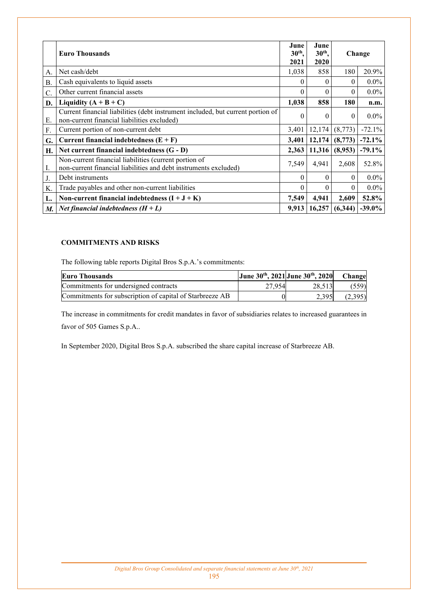|           | <b>Euro Thousands</b>                                                                                                          | June<br>June<br>$30th$ ,<br>$30th$ ,<br>2021<br>2020 |          |          | Change    |  |
|-----------|--------------------------------------------------------------------------------------------------------------------------------|------------------------------------------------------|----------|----------|-----------|--|
| A.        | Net cash/debt                                                                                                                  | 1,038                                                | 858      | 180      | 20.9%     |  |
| <b>B.</b> | Cash equivalents to liquid assets                                                                                              | $\theta$                                             | $\theta$ | $\theta$ | $0.0\%$   |  |
| C.        | Other current financial assets                                                                                                 | $\theta$                                             | 0        | 0        | $0.0\%$   |  |
| D.        | 1,038<br>Liquidity $(A + B + C)$                                                                                               |                                                      | 858      | 180      | n.m.      |  |
| Е.        | Current financial liabilities (debt instrument included, but current portion of<br>non-current financial liabilities excluded) |                                                      | $\theta$ | $\theta$ | $0.0\%$   |  |
| F.        | Current portion of non-current debt                                                                                            |                                                      | 12,174   | (8,773)  | $-72.1%$  |  |
| G.        | Current financial indebtedness $(E + F)$                                                                                       | 3,401                                                | 12,174   | (8,773)  | $-72.1\%$ |  |
| Н.        | Net current financial indebtedness $(G - D)$                                                                                   | 2,363                                                | 11,316   | (8,953)  | $-79.1%$  |  |
| I.        | Non-current financial liabilities (current portion of<br>non-current financial liabilities and debt instruments excluded)      |                                                      | 4,941    | 2,608    | 52.8%     |  |
| J.        | Debt instruments                                                                                                               |                                                      | $\theta$ | $\theta$ | $0.0\%$   |  |
| K.        | Trade payables and other non-current liabilities                                                                               |                                                      | $\theta$ | $\theta$ | $0.0\%$   |  |
| L.        | Non-current financial indebtedness $(I + J + K)$                                                                               |                                                      | 4,941    | 2,609    | 52.8%     |  |
| M.        | <i>Net financial indebtedness</i> $(H + L)$                                                                                    | 9,913                                                | 16,257   | (6,344)  | $-39.0\%$ |  |

## **COMMITMENTS AND RISKS**

The following table reports Digital Bros S.p.A.'s commitments:

| Euro Thousands                                           | June $30^{th}$ , 2021 June $30^{th}$ , 2020 |        | <b>Change</b> |
|----------------------------------------------------------|---------------------------------------------|--------|---------------|
| Commitments for undersigned contracts                    | 27.954                                      | 28.513 | (559)         |
| Commitments for subscription of capital of Starbreeze AB |                                             | 2.395  | (2,395)       |

The increase in commitments for credit mandates in favor of subsidiaries relates to increased guarantees in favor of 505 Games S.p.A..

In September 2020, Digital Bros S.p.A. subscribed the share capital increase of Starbreeze AB.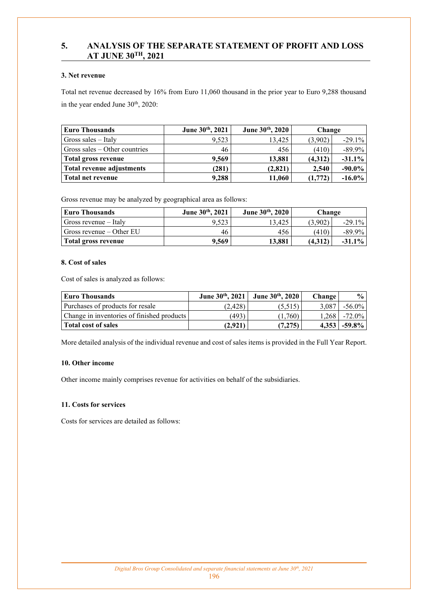# **5. ANALYSIS OF THE SEPARATE STATEMENT OF PROFIT AND LOSS AT JUNE 30TH, 2021**

## **3. Net revenue**

Total net revenue decreased by 16% from Euro 11,060 thousand in the prior year to Euro 9,288 thousand in the year ended June  $30<sup>th</sup>$ , 2020:

| <b>Euro Thousands</b>           | June 30th, 2021 | June 30th, 2020 | Change  |           |
|---------------------------------|-----------------|-----------------|---------|-----------|
| Gross sales $-$ Italy           | 9,523           | 13.425          | (3,902) | $-29.1%$  |
| Gross sales $-$ Other countries | 46              | 456             | (410)   | $-89.9\%$ |
| Total gross revenue             | 9,569           | 13,881          | (4,312) | $-31.1%$  |
| Total revenue adjustments       | (281)           | (2,821)         | 2.540   | $-90.0\%$ |
| Total net revenue               | 9,288           | 11,060          | (1,772) | $-16.0\%$ |

Gross revenue may be analyzed by geographical area as follows:

| Euro Thousands                                  | June $30^{th}$ , $2021$ | June $30^{th}$ , $2020$ | Change  |           |
|-------------------------------------------------|-------------------------|-------------------------|---------|-----------|
| Gross revenue – Italy                           | 9.523                   | 13.425                  | (3.902) | $-29.1\%$ |
| $\sqrt{\frac{1}{100}}$ Gross revenue – Other EU | 46                      | 456                     | (410)   | $-89.9\%$ |
| Total gross revenue                             | 9.569                   | 13.881                  | (4.312) | $-31.1\%$ |

### **8. Cost of sales**

Cost of sales is analyzed as follows:

| <b>Euro Thousands</b>                      | June $30^{th}$ , 2021 | June 30th, 2020 | <b>Change</b> | $\frac{6}{10}$ |
|--------------------------------------------|-----------------------|-----------------|---------------|----------------|
| Purchases of products for resale           | (2.428)               | (5,515)         | 3.087         | $-56.0\%$      |
| Change in inventories of finished products | (493)                 | (1,760)         |               | 1.268 - 72.0%  |
| <b>Total cost of sales</b>                 | (2.921)               | (7,275)         |               | $4,353$ -59.8% |

More detailed analysis of the individual revenue and cost of sales items is provided in the Full Year Report.

## **10. Other income**

Other income mainly comprises revenue for activities on behalf of the subsidiaries.

### **11. Costs for services**

Costs for services are detailed as follows: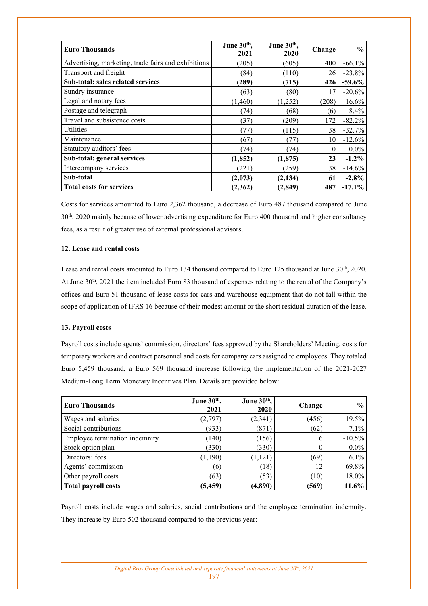| <b>Euro Thousands</b>                               | June 30 <sup>th</sup> ,<br>2021 | June 30th,<br>2020 | Change | $\frac{6}{9}$ |
|-----------------------------------------------------|---------------------------------|--------------------|--------|---------------|
| Advertising, marketing, trade fairs and exhibitions | (205)                           | (605)              | 400    | $-66.1%$      |
| Transport and freight                               | (84)                            | (110)              | 26     | $-23.8%$      |
| Sub-total: sales related services                   | (289)                           | (715)              | 426    | $-59.6\%$     |
| Sundry insurance                                    | (63)                            | (80)               | 17     | $-20.6%$      |
| Legal and notary fees                               | (1,460)                         | (1,252)            | (208)  | 16.6%         |
| Postage and telegraph                               | (74)                            | (68)               | (6)    | 8.4%          |
| Travel and subsistence costs                        | (37)                            | (209)              | 172    | $-82.2%$      |
| Utilities                                           | (77)                            | (115)              | 38     | $-32.7%$      |
| Maintenance                                         | (67)                            | (77)               | 10     | $-12.6%$      |
| Statutory auditors' fees                            | (74)                            | (74)               | 0      | $0.0\%$       |
| Sub-total: general services                         | (1, 852)                        | (1, 875)           | 23     | $-1.2\%$      |
| Intercompany services                               | (221)                           | (259)              | 38     | $-14.6%$      |
| Sub-total                                           | (2,073)                         | (2, 134)           | 61     | $-2.8%$       |
| <b>Total costs for services</b>                     | (2,362)                         | (2, 849)           | 487    | $-17.1\%$     |

Costs for services amounted to Euro 2,362 thousand, a decrease of Euro 487 thousand compared to June 30th, 2020 mainly because of lower advertising expenditure for Euro 400 thousand and higher consultancy fees, as a result of greater use of external professional advisors.

### **12. Lease and rental costs**

Lease and rental costs amounted to Euro 134 thousand compared to Euro 125 thousand at June 30<sup>th</sup>, 2020. At June 30<sup>th</sup>, 2021 the item included Euro 83 thousand of expenses relating to the rental of the Company's offices and Euro 51 thousand of lease costs for cars and warehouse equipment that do not fall within the scope of application of IFRS 16 because of their modest amount or the short residual duration of the lease.

### **13. Payroll costs**

Payroll costs include agents' commission, directors' fees approved by the Shareholders' Meeting, costs for temporary workers and contract personnel and costs for company cars assigned to employees. They totaled Euro 5,459 thousand, a Euro 569 thousand increase following the implementation of the 2021-2027 Medium-Long Term Monetary Incentives Plan. Details are provided below:

| <b>Euro Thousands</b>          | June 30th,<br>2021 | June 30th,<br>2020 | Change | $\frac{6}{9}$ |
|--------------------------------|--------------------|--------------------|--------|---------------|
| Wages and salaries             | (2,797)            | (2,341)            | (456)  | 19.5%         |
| Social contributions           | (933)              | (871)              | (62)   | 7.1%          |
| Employee termination indemnity | (140)              | (156)              | 16     | $-10.5\%$     |
| Stock option plan              | (330)              | (330)              |        | $0.0\%$       |
| Directors' fees                | (1,190)            | (1, 121)           | (69)   | 6.1%          |
| Agents' commission             | (6)                | (18)               | 12     | $-69.8%$      |
| Other payroll costs            | (63)               | (53)               | (10)   | 18.0%         |
| Total payroll costs            | (5, 459)           | (4,890)            | (569)  | 11.6%         |

Payroll costs include wages and salaries, social contributions and the employee termination indemnity. They increase by Euro 502 thousand compared to the previous year: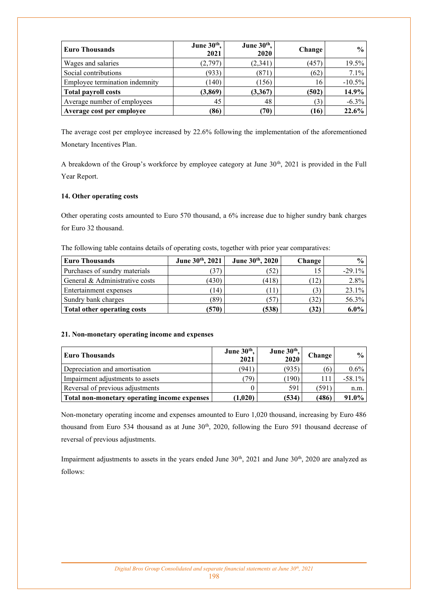| <b>Euro Thousands</b>          | June $30th$ ,<br>2021 | June $30th$ ,<br>2020 | Change | $\frac{0}{0}$ |
|--------------------------------|-----------------------|-----------------------|--------|---------------|
| Wages and salaries             | (2,797)               | (2,341)               | (457)  | $19.5\%$      |
| Social contributions           | (933)                 | (871)                 | (62)   | $7.1\%$       |
| Employee termination indemnity | (140)                 | (156)                 | 16     | $-10.5\%$     |
| <b>Total payroll costs</b>     | (3, 869)              | (3,367)               | (502)  | 14.9%         |
| Average number of employees    | 45                    | 48                    | (3)    | $-6.3\%$      |
| Average cost per employee      | (86)                  | (70)                  | (16)   | 22.6%         |

The average cost per employee increased by 22.6% following the implementation of the aforementioned Monetary Incentives Plan.

A breakdown of the Group's workforce by employee category at June 30<sup>th</sup>, 2021 is provided in the Full Year Report.

## **14. Other operating costs**

Other operating costs amounted to Euro 570 thousand, a 6% increase due to higher sundry bank charges for Euro 32 thousand.

The following table contains details of operating costs, together with prior year comparatives:

| Euro Thousands                 | June 30th, 2021 | June 30th, 2020 | Change       | $\frac{0}{0}$ |
|--------------------------------|-----------------|-----------------|--------------|---------------|
| Purchases of sundry materials  | 37              | (52)            |              | $-29.1\%$     |
| General & Administrative costs | (430)           | (418)           | $12^{\circ}$ | $2.8\%$       |
| Entertainment expenses         | (14)            | 11)             |              | 23.1%         |
| Sundry bank charges            | (89)            | (57)            | (32)         | 56.3%         |
| Total other operating costs    | (570)           | (538)           | (32)         | $6.0\%$       |

### **21. Non-monetary operating income and expenses**

| Euro Thousands                               | June 30th,<br>2021 | June $30th$ ,<br>2020 | Change | $\frac{0}{0}$ |
|----------------------------------------------|--------------------|-----------------------|--------|---------------|
| Depreciation and amortisation                | (941)              | (935)                 | (6)    | $0.6\%$       |
| Impairment adjustments to assets             | 79)                | (190)                 |        | $-58.1\%$     |
| Reversal of previous adjustments             |                    | 591                   | (591)  | n.m.          |
| Total non-monetary operating income expenses | (1.020)            | (534)                 | (486)  | $91.0\%$      |

Non-monetary operating income and expenses amounted to Euro 1,020 thousand, increasing by Euro 486 thousand from Euro 534 thousand as at June 30<sup>th</sup>, 2020, following the Euro 591 thousand decrease of reversal of previous adjustments.

Impairment adjustments to assets in the years ended June 30<sup>th</sup>, 2021 and June 30<sup>th</sup>, 2020 are analyzed as follows: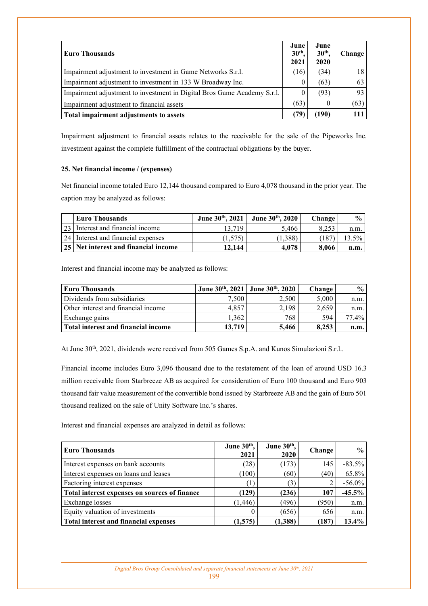| <b>Euro Thousands</b>                                                   |      | June<br>$30th$ .<br>2020 | Change |
|-------------------------------------------------------------------------|------|--------------------------|--------|
| Impairment adjustment to investment in Game Networks S.r.l.             | (16) | (34)                     | 18.    |
| Impairment adjustment to investment in 133 W Broadway Inc.              |      | (63)                     | 63     |
| Impairment adjustment to investment in Digital Bros Game Academy S.r.l. |      | (93)                     | 93     |
| Impairment adjustment to financial assets                               | (63) |                          | (63)   |
| Total impairment adjustments to assets                                  | (79  | (190)                    |        |

Impairment adjustment to financial assets relates to the receivable for the sale of the Pipeworks Inc. investment against the complete fulfillment of the contractual obligations by the buyer.

### **25. Net financial income / (expenses)**

Net financial income totaled Euro 12,144 thousand compared to Euro 4,078 thousand in the prior year. The caption may be analyzed as follows:

| <b>Euro Thousands</b>                | June $30^{th}$ , $2021$ | June $30th$ , 2020 | <b>Change</b> | $\frac{1}{2}$ |
|--------------------------------------|-------------------------|--------------------|---------------|---------------|
| [23] Interest and financial income   | 13.719                  | 5.466              | 0.252         | n.m.          |
| [24] Interest and financial expenses | (1.575)                 | $1.388^{\circ}$    |               | 13.5%         |
| 25 Net interest and financial income | 12.144                  | 4.078              | 8.066         | n.m.          |

Interest and financial income may be analyzed as follows:

| <b>Euro Thousands</b>               | June 30th, 2021   June 30th, 2020 |       | <b>Change</b> | $\frac{0}{0}$ |
|-------------------------------------|-----------------------------------|-------|---------------|---------------|
| Dividends from subsidiaries         | 7,500                             | 2.500 | 5,000         | n.m.          |
| Other interest and financial income | 4.857                             | 2.198 | 2,659         | n.m.          |
| Exchange gains                      | 1.362                             | 768   | 594           | $77.4\%$      |
| Total interest and financial income | 13.719                            | 5.466 | 8.253         | n.m.          |

At June 30<sup>th</sup>, 2021, dividends were received from 505 Games S.p.A. and Kunos Simulazioni S.r.l..

Financial income includes Euro 3,096 thousand due to the restatement of the loan of around USD 16.3 million receivable from Starbreeze AB as acquired for consideration of Euro 100 thousand and Euro 903 thousand fair value measurement of the convertible bond issued by Starbreeze AB and the gain of Euro 501 thousand realized on the sale of Unity Software Inc.'s shares.

Interest and financial expenses are analyzed in detail as follows:

| <b>Euro Thousands</b>                         | June 30 <sup>th</sup> ,<br>2021 | June $30th$ ,<br>2020 | Change | $\frac{0}{0}$ |
|-----------------------------------------------|---------------------------------|-----------------------|--------|---------------|
| Interest expenses on bank accounts            | (28)                            | (173)                 | 145    | $-83.5\%$     |
| Interest expenses on loans and leases         | (100)                           | (60)                  | (40)   | 65.8%         |
| Factoring interest expenses                   | ่ไ                              | (3)                   |        | $-56.0\%$     |
| Total interest expenses on sources of finance | (129)                           | (236)                 | 107    | $-45.5\%$     |
| Exchange losses                               | (1, 446)                        | (496)                 | (950)  | n.m.          |
| Equity valuation of investments               |                                 | (656)                 | 656    | n.m.          |
| <b>Total interest and financial expenses</b>  | (1,575)                         | (1,388)               | (187)  | 13.4%         |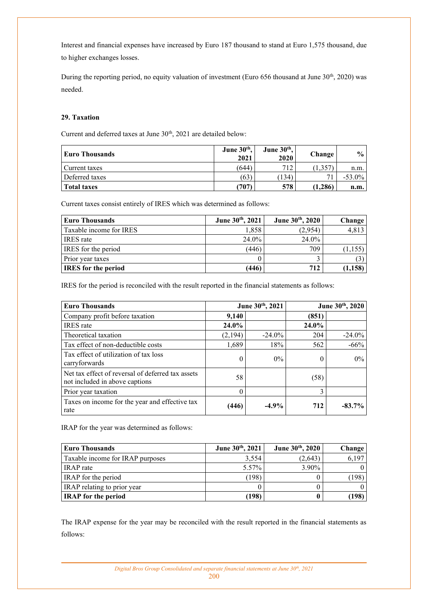Interest and financial expenses have increased by Euro 187 thousand to stand at Euro 1,575 thousand, due to higher exchanges losses.

During the reporting period, no equity valuation of investment (Euro 656 thousand at June 30<sup>th</sup>, 2020) was needed.

## **29. Taxation**

Current and deferred taxes at June 30<sup>th</sup>, 2021 are detailed below:

| Euro Thousands     | June 30th,<br>2021 | June 30 <sup>th</sup> ,<br>2020 | Change  | $\frac{6}{10}$ |
|--------------------|--------------------|---------------------------------|---------|----------------|
| Current taxes      | (644               | 712                             | 1,357   | n.m.           |
| Deferred taxes     | (63)               | (134)                           | 71      | $-53.0\%$      |
| <b>Total taxes</b> | (707               | 578                             | (1.286) | n.m.           |

Current taxes consist entirely of IRES which was determined as follows:

| <b>Euro Thousands</b>      | June 30th, 2021 | June 30th, 2020 | Change   |
|----------------------------|-----------------|-----------------|----------|
| Taxable income for IRES    | 1.858           | (2.954)         | 4,813    |
| <b>IRES</b> rate           | $24.0\%$        | $24.0\%$        |          |
| <b>IRES</b> for the period | (446)           | 709             | (1, 155) |
| Prior year taxes           |                 |                 |          |
| <b>IRES</b> for the period | (446)           | 712             | (1, 158) |

IRES for the period is reconciled with the result reported in the financial statements as follows:

| <b>Euro Thousands</b>                                                               | June 30th, 2021 |           | June 30th, 2020 |           |  |
|-------------------------------------------------------------------------------------|-----------------|-----------|-----------------|-----------|--|
| Company profit before taxation                                                      | 9,140           |           | (851)           |           |  |
| <b>IRES</b> rate                                                                    | 24.0%           |           | 24.0%           |           |  |
| Theoretical taxation                                                                | (2,194)         | $-24.0\%$ | 204             | $-24.0\%$ |  |
| Tax effect of non-deductible costs                                                  | 1,689           | 18%       | 562             | $-66%$    |  |
| Tax effect of utilization of tax loss<br>carryforwards                              | 0               | $0\%$     | 0               | $0\%$     |  |
| Net tax effect of reversal of deferred tax assets<br>not included in above captions | 58              |           | (58)            |           |  |
| Prior year taxation                                                                 | 0               |           | 3               |           |  |
| Taxes on income for the year and effective tax<br>rate                              | (446)           | $-4.9\%$  | 712             | $-83.7\%$ |  |

IRAP for the year was determined as follows:

| <b>Euro Thousands</b>            | June 30th, 2021 | June 30th, 2020 | Change |
|----------------------------------|-----------------|-----------------|--------|
| Taxable income for IRAP purposes | 3.554           | (2,643)         | 6,197  |
| <b>IRAP</b> rate                 | 5.57%           | $3.90\%$        |        |
| IRAP for the period              | (198)           |                 | (198)  |
| IRAP relating to prior year      |                 |                 |        |
| <b>IRAP</b> for the period       | 198)            |                 | .198)  |

The IRAP expense for the year may be reconciled with the result reported in the financial statements as follows: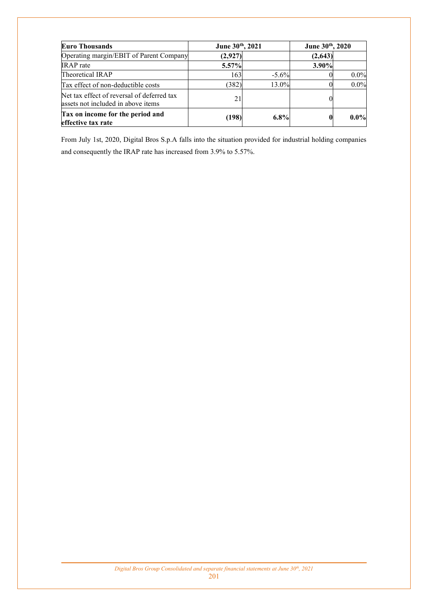| <b>Euro Thousands</b>                                                            | June 30th, 2021 |          | June 30th, 2020 |         |
|----------------------------------------------------------------------------------|-----------------|----------|-----------------|---------|
| Operating margin/EBIT of Parent Company                                          | (2,927)         |          | (2,643)         |         |
| <b>IRAP</b> rate                                                                 | 5.57%           |          | 3.90%           |         |
| Theoretical IRAP                                                                 | 163             | $-5.6\%$ |                 | $0.0\%$ |
| Tax effect of non-deductible costs                                               | (382)           | 13.0%    |                 | $0.0\%$ |
| Net tax effect of reversal of deferred tax<br>assets not included in above items | 21              |          |                 |         |
| Tax on income for the period and<br>effective tax rate                           | (198)           | $6.8\%$  |                 | $0.0\%$ |

From July 1st, 2020, Digital Bros S.p.A falls into the situation provided for industrial holding companies and consequently the IRAP rate has increased from 3.9% to 5.57%.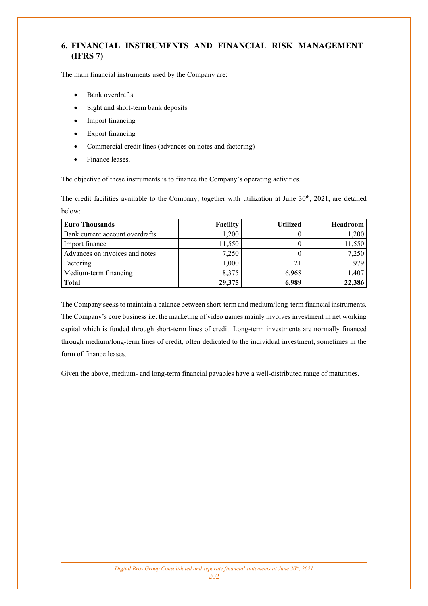# **6. FINANCIAL INSTRUMENTS AND FINANCIAL RISK MANAGEMENT (IFRS 7)**

The main financial instruments used by the Company are:

- Bank overdrafts
- Sight and short-term bank deposits
- Import financing
- Export financing
- Commercial credit lines (advances on notes and factoring)
- Finance leases.

The objective of these instruments is to finance the Company's operating activities.

The credit facilities available to the Company, together with utilization at June  $30<sup>th</sup>$ , 2021, are detailed below:

| <b>Euro Thousands</b>           | <b>Facility</b> | Utilized | Headroom |
|---------------------------------|-----------------|----------|----------|
| Bank current account overdrafts | 1,200           |          | 1,200    |
| Import finance                  | 11,550          |          | 11,550   |
| Advances on invoices and notes  | 7,250           |          | 7,250    |
| Factoring                       | 1,000           |          | 979      |
| Medium-term financing           | 8,375           | 6,968    | 1,407    |
| <b>Total</b>                    | 29,375          | 6,989    | 22,386   |

The Company seeks to maintain a balance between short-term and medium/long-term financial instruments. The Company's core business i.e. the marketing of video games mainly involves investment in net working capital which is funded through short-term lines of credit. Long-term investments are normally financed through medium/long-term lines of credit, often dedicated to the individual investment, sometimes in the form of finance leases.

Given the above, medium- and long-term financial payables have a well-distributed range of maturities.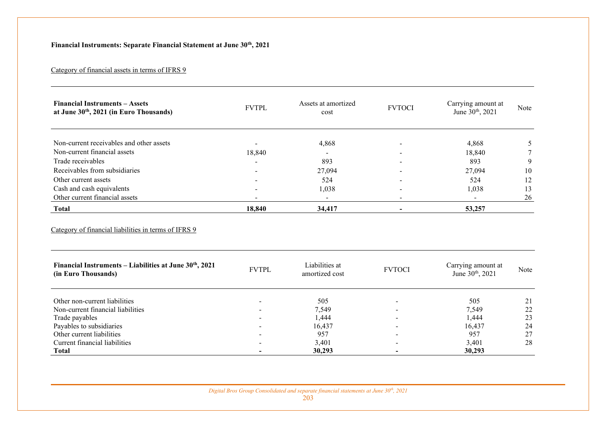# **Financial Instruments: Separate Financial Statement at June 30th, 2021**

# Category of financial assets in terms of IFRS 9

| <b>Financial Instruments - Assets</b><br>at June 30th, 2021 (in Euro Thousands) | <b>FVTPL</b> | Assets at amortized<br>cost | <b>FVTOCI</b>  | Carrying amount at<br>June 30 <sup>th</sup> , 2021 | Note   |
|---------------------------------------------------------------------------------|--------------|-----------------------------|----------------|----------------------------------------------------|--------|
| Non-current receivables and other assets                                        |              | 4,868                       |                | 4,868                                              | 5      |
| Non-current financial assets                                                    | 18,840       |                             |                | 18,840                                             |        |
| Trade receivables                                                               |              | 893                         |                | 893                                                | 9      |
| Receivables from subsidiaries                                                   |              | 27,094                      |                | 27,094                                             | 10     |
| Other current assets                                                            |              | 524                         |                | 524                                                | 12     |
| Cash and cash equivalents                                                       |              | 1,038                       |                | 1,038                                              | 13     |
| Other current financial assets                                                  |              |                             |                |                                                    | 26     |
| <b>Total</b>                                                                    | 18,840       | 34,417                      | $\blacksquare$ | 53,257                                             |        |
| Financial Instruments – Liabilities at June 30th, 2021                          |              | Liabilities at              |                | Carrying amount at                                 |        |
| (in Euro Thousands)                                                             | <b>FVTPL</b> | amortized cost              | <b>FVTOCI</b>  | June 30 <sup>th</sup> , 2021                       | Note   |
| Other non-current liabilities                                                   |              | 505                         |                | 505                                                | 21     |
| Non-current financial liabilities                                               |              | 7,549                       |                | 7,549                                              |        |
| Trade payables                                                                  |              | 1,444                       |                |                                                    | $22\,$ |
| Payables to subsidiaries                                                        |              |                             |                | 1,444                                              | 23     |
| Other current liabilities                                                       |              | 16,437                      |                | 16,437                                             | 24     |
|                                                                                 |              | 957                         |                | 957                                                | 27     |
| Current financial liabilities<br><b>Total</b>                                   |              | 3,401<br>30,293             |                | 3,401<br>30,293                                    | 28     |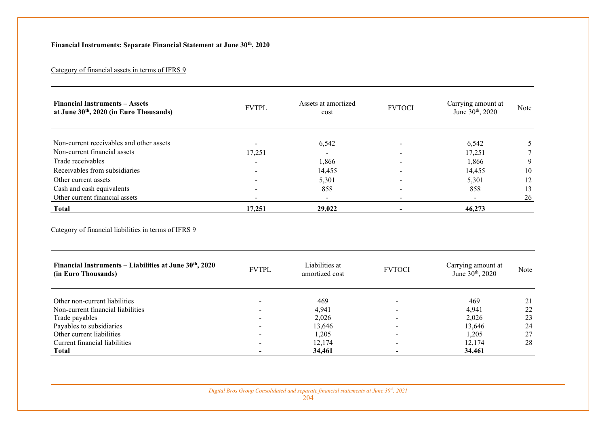## **Financial Instruments: Separate Financial Statement at June 30th, 2020**

### Category of financial assets in terms of IFRS 9

| <b>Financial Instruments - Assets</b><br>at June 30th, 2020 (in Euro Thousands)                                | <b>FVTPL</b> | Assets at amortized<br>cost | <b>FVTOCI</b>            | Carrying amount at<br>June 30 <sup>th</sup> , 2020 | <b>Note</b> |
|----------------------------------------------------------------------------------------------------------------|--------------|-----------------------------|--------------------------|----------------------------------------------------|-------------|
|                                                                                                                |              |                             |                          |                                                    |             |
| Non-current receivables and other assets                                                                       |              | 6,542                       |                          | 6,542                                              | 5           |
| Non-current financial assets                                                                                   | 17,251       |                             |                          | 17,251                                             |             |
| Trade receivables                                                                                              |              | 1,866                       |                          | 1,866                                              | 9           |
| Receivables from subsidiaries                                                                                  |              | 14,455                      |                          | 14,455                                             | 10          |
| Other current assets                                                                                           |              | 5,301                       |                          | 5,301                                              | 12          |
| Cash and cash equivalents                                                                                      |              | 858                         |                          | 858                                                | 13          |
| Other current financial assets                                                                                 |              |                             |                          |                                                    | 26          |
| <b>Total</b>                                                                                                   | 17,251       | 29,022                      | $\overline{\phantom{0}}$ | 46,273                                             |             |
| Category of financial liabilities in terms of IFRS 9<br>Financial Instruments - Liabilities at June 30th, 2020 |              | Liabilities at              |                          | Carrying amount at                                 |             |
| (in Euro Thousands)                                                                                            | <b>FVTPL</b> | amortized cost              | <b>FVTOCI</b>            | June 30 <sup>th</sup> , 2020                       | Note        |
| Other non-current liabilities                                                                                  |              | 469                         |                          | 469                                                | 21          |
| Non-current financial liabilities                                                                              |              | 4,941                       |                          | 4,941                                              | 22          |
| Trade payables                                                                                                 |              | 2,026                       |                          | 2,026                                              | 23          |
| Payables to subsidiaries                                                                                       |              | 13,646                      |                          | 13,646                                             | 24          |
| Other current liabilities                                                                                      |              | 1,205                       |                          | 1,205                                              | 27          |
| Current financial liabilities                                                                                  |              | 12,174<br>34,461            |                          | 12,174<br>34,461                                   | 28          |
| <b>Total</b>                                                                                                   |              |                             |                          |                                                    |             |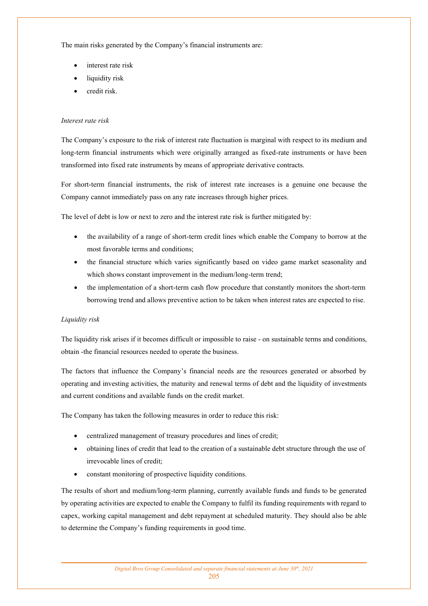The main risks generated by the Company's financial instruments are:

- interest rate risk
- liquidity risk
- credit risk.

#### *Interest rate risk*

The Company's exposure to the risk of interest rate fluctuation is marginal with respect to its medium and long-term financial instruments which were originally arranged as fixed-rate instruments or have been transformed into fixed rate instruments by means of appropriate derivative contracts.

For short-term financial instruments, the risk of interest rate increases is a genuine one because the Company cannot immediately pass on any rate increases through higher prices.

The level of debt is low or next to zero and the interest rate risk is further mitigated by:

- the availability of a range of short-term credit lines which enable the Company to borrow at the most favorable terms and conditions;
- the financial structure which varies significantly based on video game market seasonality and which shows constant improvement in the medium/long-term trend;
- the implementation of a short-term cash flow procedure that constantly monitors the short-term borrowing trend and allows preventive action to be taken when interest rates are expected to rise.

#### *Liquidity risk*

The liquidity risk arises if it becomes difficult or impossible to raise - on sustainable terms and conditions, obtain -the financial resources needed to operate the business.

The factors that influence the Company's financial needs are the resources generated or absorbed by operating and investing activities, the maturity and renewal terms of debt and the liquidity of investments and current conditions and available funds on the credit market.

The Company has taken the following measures in order to reduce this risk:

- centralized management of treasury procedures and lines of credit;
- obtaining lines of credit that lead to the creation of a sustainable debt structure through the use of irrevocable lines of credit;
- constant monitoring of prospective liquidity conditions.

The results of short and medium/long-term planning, currently available funds and funds to be generated by operating activities are expected to enable the Company to fulfil its funding requirements with regard to capex, working capital management and debt repayment at scheduled maturity. They should also be able to determine the Company's funding requirements in good time.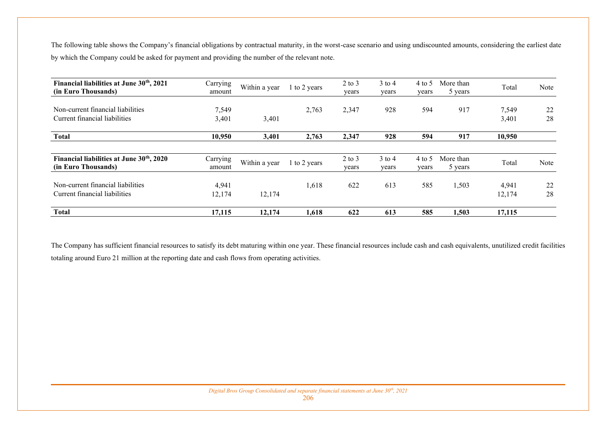The following table shows the Company's financial obligations by contractual maturity, in the worst-case scenario and using undiscounted amounts, considering the earliest date by which the Company could be asked for payment and providing the number of the relevant note.

| Financial liabilities at June 30 <sup>th</sup> , 2021<br>(in Euro Thousands) | Carrying<br>amount | Within a year | 1 to 2 years | $2$ to $3$<br>years | $3$ to 4<br>years | 4 to 5<br>years | More than<br>5 years | Total           | <b>Note</b> |
|------------------------------------------------------------------------------|--------------------|---------------|--------------|---------------------|-------------------|-----------------|----------------------|-----------------|-------------|
| Non-current financial liabilities<br>Current financial liabilities           | 7,549<br>3,401     | 3,401         | 2,763        | 2,347               | 928               | 594             | 917                  | 7,549<br>3,401  | 22<br>28    |
| <b>Total</b>                                                                 | 10,950             | 3,401         | 2,763        | 2,347               | 928               | 594             | 917                  | 10,950          |             |
| Financial liabilities at June 30 <sup>th</sup> , 2020<br>(in Euro Thousands) | Carrying<br>amount | Within a year | 1 to 2 years | $2$ to $3$<br>years | $3$ to 4<br>years | 4 to 5<br>years | More than<br>5 years | Total           | Note        |
| Non-current financial liabilities<br>Current financial liabilities           | 4,941<br>12,174    | 12,174        | 1,618        | 622                 | 613               | 585             | 1,503                | 4,941<br>12,174 | 22<br>28    |
| <b>Total</b>                                                                 | 17,115             | 12,174        | 1,618        | 622                 | 613               | 585             | 1,503                | 17.115          |             |

The Company has sufficient financial resources to satisfy its debt maturing within one year. These financial resources include cash and cash equivalents, unutilized credit facilities totaling around Euro 21 million at the reporting date and cash flows from operating activities.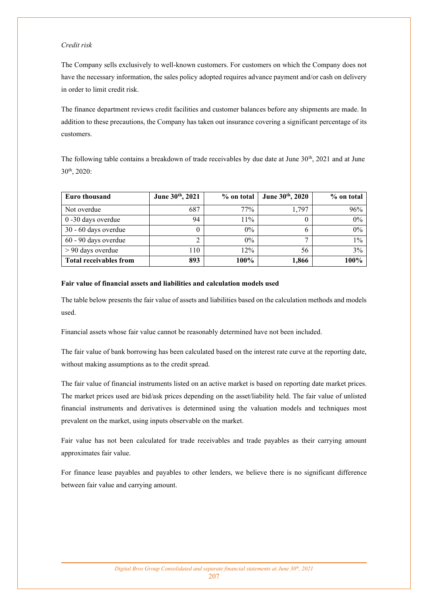#### *Credit risk*

The Company sells exclusively to well-known customers. For customers on which the Company does not have the necessary information, the sales policy adopted requires advance payment and/or cash on delivery in order to limit credit risk.

The finance department reviews credit facilities and customer balances before any shipments are made. In addition to these precautions, the Company has taken out insurance covering a significant percentage of its customers.

The following table contains a breakdown of trade receivables by due date at June  $30<sup>th</sup>$ ,  $2021$  and at June 30th, 2020:

| <b>Euro thousand</b>          | June 30th, 2021 | % on total | June 30th, 2020 | % on total |
|-------------------------------|-----------------|------------|-----------------|------------|
| Not overdue                   | 687             | 77%        | 1.797           | 96%        |
| 0 -30 days overdue            | 94              | 11%        |                 | 0%         |
| 30 - 60 days overdue          |                 | $0\%$      | 6               | 0%         |
| 60 - 90 days overdue          |                 | $0\%$      |                 | $1\%$      |
| $> 90$ days overdue           | 110             | 12%        | 56              | 3%         |
| <b>Total receivables from</b> | 893             | $100\%$    | 1,866           | 100%       |

#### **Fair value of financial assets and liabilities and calculation models used**

The table below presents the fair value of assets and liabilities based on the calculation methods and models used.

Financial assets whose fair value cannot be reasonably determined have not been included.

The fair value of bank borrowing has been calculated based on the interest rate curve at the reporting date, without making assumptions as to the credit spread.

The fair value of financial instruments listed on an active market is based on reporting date market prices. The market prices used are bid/ask prices depending on the asset/liability held. The fair value of unlisted financial instruments and derivatives is determined using the valuation models and techniques most prevalent on the market, using inputs observable on the market.

Fair value has not been calculated for trade receivables and trade payables as their carrying amount approximates fair value.

For finance lease payables and payables to other lenders, we believe there is no significant difference between fair value and carrying amount.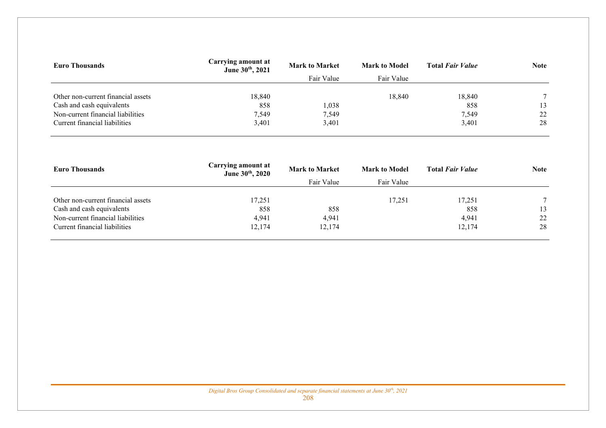| <b>Euro Thousands</b>              | Carrying amount at<br>June 30th, 2021 | <b>Mark to Market</b> | <b>Mark to Model</b> | <b>Total Fair Value</b> | <b>Note</b> |
|------------------------------------|---------------------------------------|-----------------------|----------------------|-------------------------|-------------|
|                                    |                                       | Fair Value            | Fair Value           |                         |             |
|                                    |                                       |                       |                      |                         |             |
| Other non-current financial assets | 18,840                                |                       | 18,840               | 18,840                  | $\tau$      |
| Cash and cash equivalents          | 858                                   | 1,038                 |                      | 858                     | 13          |
| Non-current financial liabilities  | 7,549                                 | 7,549                 |                      | 7,549                   | 22          |
| Current financial liabilities      | 3,401                                 | 3,401                 |                      | 3,401                   | 28          |
|                                    |                                       |                       |                      |                         |             |

| <b>Euro Thousands</b>              | Carrying amount at<br>June 30th, 2020 | <b>Mark to Market</b> | <b>Mark to Model</b> | <b>Total Fair Value</b> | <b>Note</b> |
|------------------------------------|---------------------------------------|-----------------------|----------------------|-------------------------|-------------|
|                                    |                                       | Fair Value            | Fair Value           |                         |             |
| Other non-current financial assets | 17,251                                |                       | 17,251               | 17,251                  |             |
| Cash and cash equivalents          | 858                                   | 858                   |                      | 858                     | 13          |
| Non-current financial liabilities  | 4,941                                 | 4,941                 |                      | 4,941                   | 22          |
| Current financial liabilities      | 12,174                                | 12,174                |                      | 12,174                  | 28          |
|                                    |                                       |                       |                      |                         |             |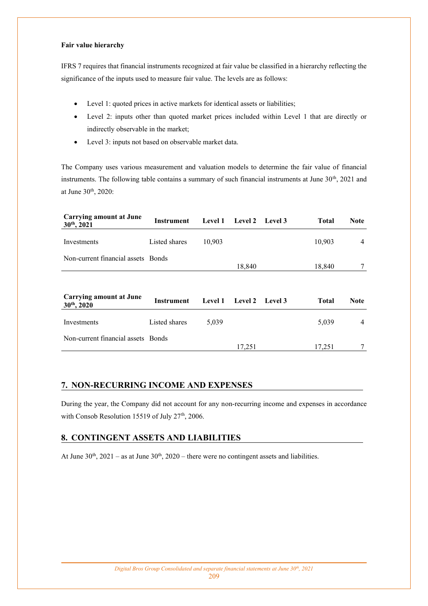#### **Fair value hierarchy**

IFRS 7 requires that financial instruments recognized at fair value be classified in a hierarchy reflecting the significance of the inputs used to measure fair value. The levels are as follows:

- Level 1: quoted prices in active markets for identical assets or liabilities;
- Level 2: inputs other than quoted market prices included within Level 1 that are directly or indirectly observable in the market;
- Level 3: inputs not based on observable market data.

The Company uses various measurement and valuation models to determine the fair value of financial instruments. The following table contains a summary of such financial instruments at June 30<sup>th</sup>, 2021 and at June 30th, 2020:

| Carrying amount at June<br>$30th$ , 2021    | Instrument    | <b>Level 1</b> | Level 2        | Level 3 | <b>Total</b> | <b>Note</b>    |
|---------------------------------------------|---------------|----------------|----------------|---------|--------------|----------------|
| Investments                                 | Listed shares | 10,903         |                |         | 10,903       | 4              |
| Non-current financial assets Bonds          |               |                | 18,840         |         | 18,840       |                |
|                                             |               |                |                |         |              |                |
| Carrying amount at June<br>$30^{th}$ , 2020 | Instrument    | <b>Level 1</b> | <b>Level 2</b> | Level 3 | <b>Total</b> | <b>Note</b>    |
| Investments                                 | Listed shares | 5,039          |                |         | 5,039        | $\overline{4}$ |
| Non-current financial assets Bonds          |               |                | 17,251         |         | 17,251       |                |

## **7. NON-RECURRING INCOME AND EXPENSES**

During the year, the Company did not account for any non-recurring income and expenses in accordance with Consob Resolution 15519 of July 27<sup>th</sup>, 2006.

## **8. CONTINGENT ASSETS AND LIABILITIES**

At June  $30<sup>th</sup>$ ,  $2021 - as$  at June  $30<sup>th</sup>$ ,  $2020 - there$  were no contingent assets and liabilities.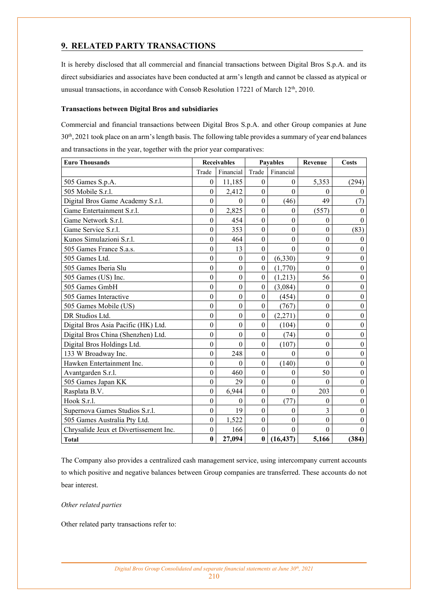## **9. RELATED PARTY TRANSACTIONS**

It is hereby disclosed that all commercial and financial transactions between Digital Bros S.p.A. and its direct subsidiaries and associates have been conducted at arm's length and cannot be classed as atypical or unusual transactions, in accordance with Consob Resolution 17221 of March 12<sup>th</sup>, 2010.

#### **Transactions between Digital Bros and subsidiaries**

Commercial and financial transactions between Digital Bros S.p.A. and other Group companies at June 30th, 2021 took place on an arm's length basis. The following table provides a summary of year end balances and transactions in the year, together with the prior year comparatives:

| <b>Euro Thousands</b>                  | <b>Receivables</b> |                  | <b>Payables</b>  |                  | Revenue          | Costs            |
|----------------------------------------|--------------------|------------------|------------------|------------------|------------------|------------------|
|                                        | Trade              | Financial        | Trade            | Financial        |                  |                  |
| 505 Games S.p.A.                       | $\boldsymbol{0}$   | 11,185           | $\boldsymbol{0}$ | $\theta$         | 5,353            | (294)            |
| 505 Mobile S.r.l.                      | $\theta$           | 2,412            | $\mathbf{0}$     | $\theta$         | $\Omega$         | $\Omega$         |
| Digital Bros Game Academy S.r.l.       | $\theta$           | $\Omega$         | $\boldsymbol{0}$ | (46)             | 49               | (7)              |
| Game Entertainment S.r.l.              | $\theta$           | 2,825            | $\mathbf{0}$     | $\Omega$         | (557)            | $\Omega$         |
| Game Network S.r.l.                    | $\mathbf{0}$       | 454              | $\boldsymbol{0}$ | $\theta$         | $\theta$         | $\Omega$         |
| Game Service S.r.l.                    | $\mathbf{0}$       | 353              | $\overline{0}$   | $\mathbf{0}$     | $\overline{0}$   | (83)             |
| Kunos Simulazioni S.r.l.               | $\theta$           | 464              | $\Omega$         | $\theta$         | $\theta$         | $\theta$         |
| 505 Games France S.a.s.                | $\overline{0}$     | 13               | $\boldsymbol{0}$ | $\theta$         | $\overline{0}$   | $\mathbf{0}$     |
| 505 Games Ltd.                         | $\theta$           | $\theta$         | $\boldsymbol{0}$ | (6, 330)         | 9                | $\boldsymbol{0}$ |
| 505 Games Iberia Slu                   | $\mathbf{0}$       | $\boldsymbol{0}$ | $\boldsymbol{0}$ | (1,770)          | $\overline{0}$   | $\boldsymbol{0}$ |
| 505 Games (US) Inc.                    | $\overline{0}$     | $\theta$         | $\Omega$         | (1,213)          | 56               | $\theta$         |
| 505 Games GmbH                         | $\boldsymbol{0}$   | $\mathbf{0}$     | $\boldsymbol{0}$ | (3,084)          | $\theta$         | $\boldsymbol{0}$ |
| 505 Games Interactive                  | $\mathbf{0}$       | $\boldsymbol{0}$ | $\Omega$         | (454)            | $\theta$         | $\boldsymbol{0}$ |
| 505 Games Mobile (US)                  | $\overline{0}$     | $\boldsymbol{0}$ | $\mathbf{0}$     | (767)            | $\mathbf{0}$     | $\mathbf{0}$     |
| DR Studios Ltd.                        | $\overline{0}$     | $\theta$         | $\theta$         | (2,271)          | $\theta$         | $\theta$         |
| Digital Bros Asia Pacific (HK) Ltd.    | $\mathbf{0}$       | $\boldsymbol{0}$ | $\theta$         | (104)            | $\theta$         | $\boldsymbol{0}$ |
| Digital Bros China (Shenzhen) Ltd.     | $\mathbf{0}$       | $\boldsymbol{0}$ | $\boldsymbol{0}$ | (74)             | $\boldsymbol{0}$ | $\boldsymbol{0}$ |
| Digital Bros Holdings Ltd.             | $\mathbf{0}$       | $\theta$         | $\theta$         | (107)            | $\theta$         | $\boldsymbol{0}$ |
| 133 W Broadway Inc.                    | $\overline{0}$     | 248              | $\boldsymbol{0}$ | $\theta$         | $\overline{0}$   | $\boldsymbol{0}$ |
| Hawken Entertainment Inc.              | $\mathbf{0}$       | $\theta$         | $\mathbf{0}$     | (140)            | $\Omega$         | $\boldsymbol{0}$ |
| Avantgarden S.r.l.                     | $\mathbf{0}$       | 460              | $\mathbf{0}$     | $\theta$         | 50               | $\boldsymbol{0}$ |
| 505 Games Japan KK                     | $\boldsymbol{0}$   | 29               | $\boldsymbol{0}$ | $\boldsymbol{0}$ | $\theta$         | $\boldsymbol{0}$ |
| Rasplata B.V.                          | $\mathbf{0}$       | 6,944            | $\boldsymbol{0}$ | $\theta$         | 203              | $\boldsymbol{0}$ |
| Hook S.r.l.                            | $\mathbf{0}$       | $\mathbf{0}$     | $\boldsymbol{0}$ | (77)             | $\theta$         | $\boldsymbol{0}$ |
| Supernova Games Studios S.r.l.         | $\mathbf{0}$       | 19               | $\mathbf{0}$     | $\theta$         | $\overline{3}$   | $\mathbf{0}$     |
| 505 Games Australia Pty Ltd.           | $\boldsymbol{0}$   | 1,522            | $\boldsymbol{0}$ | $\boldsymbol{0}$ | $\mathbf{0}$     | $\mathbf{0}$     |
| Chrysalide Jeux et Divertissement Inc. | $\mathbf{0}$       | 166              | $\mathbf{0}$     | $\theta$         | $\theta$         | $\theta$         |
| <b>Total</b>                           | $\bf{0}$           | 27,094           | $\bf{0}$         | (16, 437)        | 5,166            | (384)            |

The Company also provides a centralized cash management service, using intercompany current accounts to which positive and negative balances between Group companies are transferred. These accounts do not bear interest.

#### *Other related parties*

Other related party transactions refer to: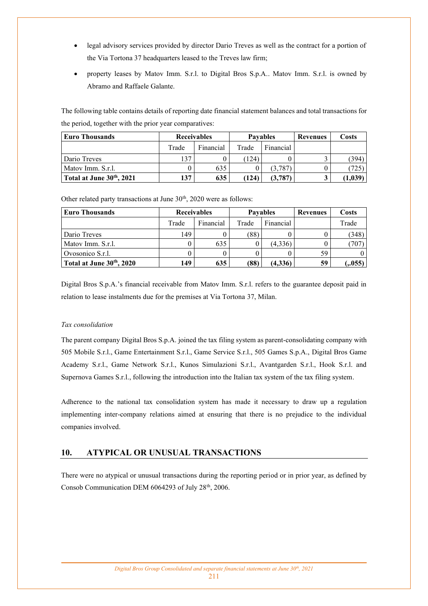- legal advisory services provided by director Dario Treves as well as the contract for a portion of the Via Tortona 37 headquarters leased to the Treves law firm;
- property leases by Matov Imm. S.r.l. to Digital Bros S.p.A.. Matov Imm. S.r.l. is owned by Abramo and Raffaele Galante.

The following table contains details of reporting date financial statement balances and total transactions for the period, together with the prior year comparatives:

| <b>Euro Thousands</b>    | <b>Receivables</b> |           |       | <b>Pavables</b> | Revenues | Costs   |
|--------------------------|--------------------|-----------|-------|-----------------|----------|---------|
|                          | Trade              | Financial | Trade | Financial       |          |         |
| Dario Treves             | 137                |           | 124   |                 |          | 394     |
| Matov Imm. S.r.l.        |                    | 635       |       | (3,787)         |          | 725     |
| Total at June 30th, 2021 | 137                | 635       | (124  | (3,787)         |          | (1,039) |

Other related party transactions at June  $30<sup>th</sup>$ , 2020 were as follows:

| <b>Euro Thousands</b>    | <b>Receivables</b> |           |       | <b>Pavables</b> | Revenues | Costs  |
|--------------------------|--------------------|-----------|-------|-----------------|----------|--------|
|                          | Trade              | Financial | Trade | Financial       |          | Trade  |
| Dario Treves             | 149                |           | (88)  |                 |          | 348    |
| Matov Imm. S.r.l.        |                    | 635       |       | (4,336)         |          | 707    |
| Ovosonico S.r.l.         |                    |           |       |                 | 59       |        |
| Total at June 30th, 2020 | 149                | 635       | (88)  | (4,336)         | 59       | (.055) |

Digital Bros S.p.A.'s financial receivable from Matov Imm. S.r.l. refers to the guarantee deposit paid in relation to lease instalments due for the premises at Via Tortona 37, Milan.

#### *Tax consolidation*

The parent company Digital Bros S.p.A. joined the tax filing system as parent-consolidating company with 505 Mobile S.r.l., Game Entertainment S.r.l., Game Service S.r.l., 505 Games S.p.A., Digital Bros Game Academy S.r.l., Game Network S.r.l., Kunos Simulazioni S.r.l., Avantgarden S.r.l., Hook S.r.l. and Supernova Games S.r.l., following the introduction into the Italian tax system of the tax filing system.

Adherence to the national tax consolidation system has made it necessary to draw up a regulation implementing inter-company relations aimed at ensuring that there is no prejudice to the individual companies involved.

### **10. ATYPICAL OR UNUSUAL TRANSACTIONS**

There were no atypical or unusual transactions during the reporting period or in prior year, as defined by Consob Communication DEM 6064293 of July 28<sup>th</sup>, 2006.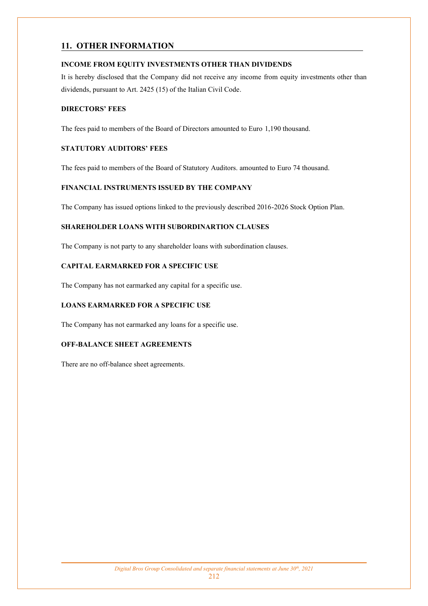## **11. OTHER INFORMATION**

### **INCOME FROM EQUITY INVESTMENTS OTHER THAN DIVIDENDS**

It is hereby disclosed that the Company did not receive any income from equity investments other than dividends, pursuant to Art. 2425 (15) of the Italian Civil Code.

### **DIRECTORS' FEES**

The fees paid to members of the Board of Directors amounted to Euro 1,190 thousand.

### **STATUTORY AUDITORS' FEES**

The fees paid to members of the Board of Statutory Auditors. amounted to Euro 74 thousand.

### **FINANCIAL INSTRUMENTS ISSUED BY THE COMPANY**

The Company has issued options linked to the previously described 2016-2026 Stock Option Plan.

### **SHAREHOLDER LOANS WITH SUBORDINARTION CLAUSES**

The Company is not party to any shareholder loans with subordination clauses.

### **CAPITAL EARMARKED FOR A SPECIFIC USE**

The Company has not earmarked any capital for a specific use.

### **LOANS EARMARKED FOR A SPECIFIC USE**

The Company has not earmarked any loans for a specific use.

## **OFF-BALANCE SHEET AGREEMENTS**

There are no off-balance sheet agreements.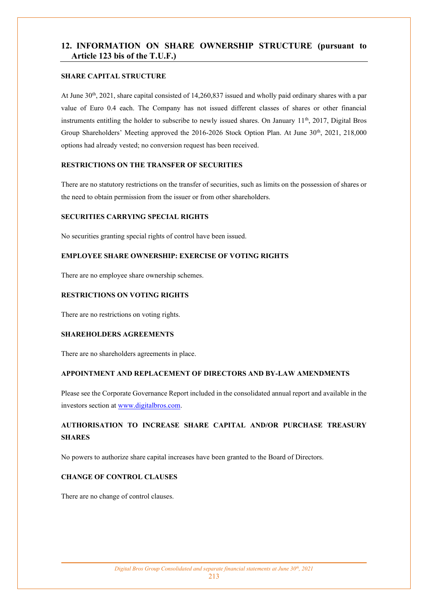## **12. INFORMATION ON SHARE OWNERSHIP STRUCTURE (pursuant to Article 123 bis of the T.U.F.)**

#### **SHARE CAPITAL STRUCTURE**

At June 30th, 2021, share capital consisted of 14,260,837 issued and wholly paid ordinary shares with a par value of Euro 0.4 each. The Company has not issued different classes of shares or other financial instruments entitling the holder to subscribe to newly issued shares. On January  $11<sup>th</sup>$ , 2017, Digital Bros Group Shareholders' Meeting approved the 2016-2026 Stock Option Plan. At June 30<sup>th</sup>, 2021, 218,000 options had already vested; no conversion request has been received.

#### **RESTRICTIONS ON THE TRANSFER OF SECURITIES**

There are no statutory restrictions on the transfer of securities, such as limits on the possession of shares or the need to obtain permission from the issuer or from other shareholders.

### **SECURITIES CARRYING SPECIAL RIGHTS**

No securities granting special rights of control have been issued.

### **EMPLOYEE SHARE OWNERSHIP: EXERCISE OF VOTING RIGHTS**

There are no employee share ownership schemes.

### **RESTRICTIONS ON VOTING RIGHTS**

There are no restrictions on voting rights.

#### **SHAREHOLDERS AGREEMENTS**

There are no shareholders agreements in place.

#### **APPOINTMENT AND REPLACEMENT OF DIRECTORS AND BY-LAW AMENDMENTS**

Please see the Corporate Governance Report included in the consolidated annual report and available in the investors section at [www.digitalbros.com.](http://www.digitalbros.com/)

# **AUTHORISATION TO INCREASE SHARE CAPITAL AND/OR PURCHASE TREASURY SHARES**

No powers to authorize share capital increases have been granted to the Board of Directors.

#### **CHANGE OF CONTROL CLAUSES**

There are no change of control clauses.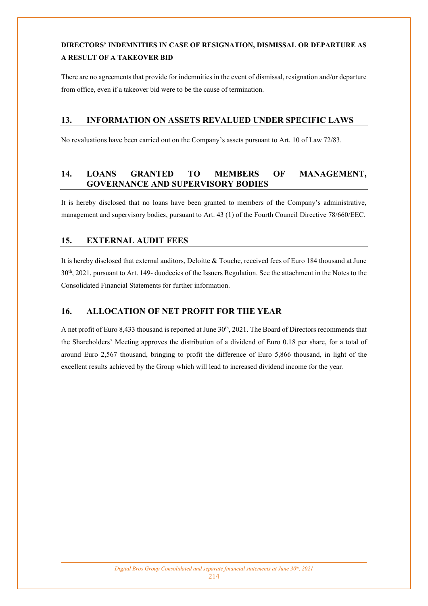# **DIRECTORS' INDEMNITIES IN CASE OF RESIGNATION, DISMISSAL OR DEPARTURE AS A RESULT OF A TAKEOVER BID**

There are no agreements that provide for indemnities in the event of dismissal, resignation and/or departure from office, even if a takeover bid were to be the cause of termination.

## **13. INFORMATION ON ASSETS REVALUED UNDER SPECIFIC LAWS**

No revaluations have been carried out on the Company's assets pursuant to Art. 10 of Law 72/83.

## **14. LOANS GRANTED TO MEMBERS OF MANAGEMENT, GOVERNANCE AND SUPERVISORY BODIES**

It is hereby disclosed that no loans have been granted to members of the Company's administrative, management and supervisory bodies, pursuant to Art. 43 (1) of the Fourth Council Directive 78/660/EEC.

## **15. EXTERNAL AUDIT FEES**

It is hereby disclosed that external auditors, Deloitte & Touche, received fees of Euro 184 thousand at June 30th, 2021, pursuant to Art. 149- duodecies of the Issuers Regulation. See the attachment in the Notes to the Consolidated Financial Statements for further information.

## **16. ALLOCATION OF NET PROFIT FOR THE YEAR**

A net profit of Euro 8,433 thousand is reported at June 30<sup>th</sup>, 2021. The Board of Directors recommends that the Shareholders' Meeting approves the distribution of a dividend of Euro 0.18 per share, for a total of around Euro 2,567 thousand, bringing to profit the difference of Euro 5,866 thousand, in light of the excellent results achieved by the Group which will lead to increased dividend income for the year.